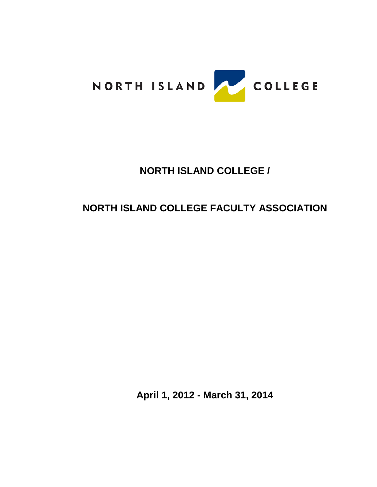

# **NORTH ISLAND COLLEGE /**

# **NORTH ISLAND COLLEGE FACULTY ASSOCIATION**

**April 1, 2012 - March 31, 2014**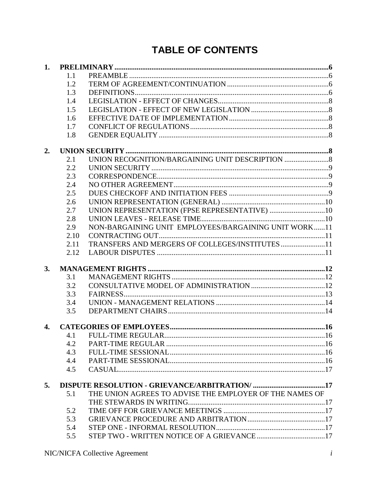# **TABLE OF CONTENTS**

| 1. |      |                                                         |  |
|----|------|---------------------------------------------------------|--|
|    | 1.1  |                                                         |  |
|    | 1.2  |                                                         |  |
|    | 1.3  |                                                         |  |
|    | 1.4  |                                                         |  |
|    | 1.5  |                                                         |  |
|    | 1.6  |                                                         |  |
|    | 1.7  |                                                         |  |
|    | 1.8  |                                                         |  |
| 2. |      |                                                         |  |
|    | 2.1  | UNION RECOGNITION/BARGAINING UNIT DESCRIPTION           |  |
|    | 2.2  |                                                         |  |
|    | 2.3  |                                                         |  |
|    | 2.4  |                                                         |  |
|    | 2.5  |                                                         |  |
|    | 2.6  |                                                         |  |
|    | 2.7  | UNION REPRESENTATION (FPSE REPRESENTATIVE) 10           |  |
|    | 2.8  |                                                         |  |
|    | 2.9  | NON-BARGAINING UNIT EMPLOYEES/BARGAINING UNIT WORK11    |  |
|    | 2.10 |                                                         |  |
|    | 2.11 | TRANSFERS AND MERGERS OF COLLEGES/INSTITUTES 11         |  |
|    | 2.12 |                                                         |  |
| 3. |      |                                                         |  |
|    | 3.1  |                                                         |  |
|    | 3.2  |                                                         |  |
|    | 3.3  |                                                         |  |
|    | 3.4  |                                                         |  |
|    | 3.5  |                                                         |  |
| 4. |      |                                                         |  |
|    | 4.1  |                                                         |  |
|    | 4.2  |                                                         |  |
|    | 4.3  |                                                         |  |
|    | 4.4  |                                                         |  |
|    | 4.5  |                                                         |  |
| 5. |      |                                                         |  |
|    | 5.1  | THE UNION AGREES TO ADVISE THE EMPLOYER OF THE NAMES OF |  |
|    |      |                                                         |  |
|    | 5.2  |                                                         |  |
|    | 5.3  |                                                         |  |
|    | 5.4  |                                                         |  |
|    | 5.5  |                                                         |  |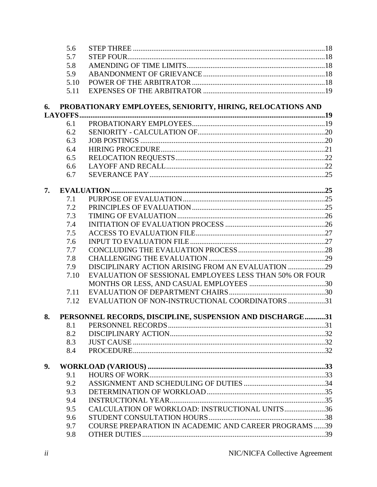|    | 5.6  |                                                              |  |
|----|------|--------------------------------------------------------------|--|
|    | 5.7  |                                                              |  |
|    | 5.8  |                                                              |  |
|    | 5.9  |                                                              |  |
|    | 5.10 |                                                              |  |
|    | 5.11 |                                                              |  |
| 6. |      | PROBATIONARY EMPLOYEES, SENIORITY, HIRING, RELOCATIONS AND   |  |
|    |      |                                                              |  |
|    | 6.1  |                                                              |  |
|    | 6.2  |                                                              |  |
|    | 6.3  |                                                              |  |
|    | 6.4  |                                                              |  |
|    | 6.5  |                                                              |  |
|    | 6.6  |                                                              |  |
|    | 6.7  |                                                              |  |
| 7. |      |                                                              |  |
|    | 7.1  |                                                              |  |
|    | 7.2  |                                                              |  |
|    | 7.3  |                                                              |  |
|    | 7.4  |                                                              |  |
|    | 7.5  |                                                              |  |
|    | 7.6  |                                                              |  |
|    | 7.7  |                                                              |  |
|    | 7.8  |                                                              |  |
|    | 7.9  | DISCIPLINARY ACTION ARISING FROM AN EVALUATION 29            |  |
|    | 7.10 | EVALUATION OF SESSIONAL EMPLOYEES LESS THAN 50% OR FOUR      |  |
|    |      |                                                              |  |
|    | 7.11 |                                                              |  |
|    | 7.12 | EVALUATION OF NON-INSTRUCTIONAL COORDINATORS 31              |  |
| 8. |      | PERSONNEL RECORDS, DISCIPLINE, SUSPENSION AND DISCHARGE31    |  |
|    | 8.1  |                                                              |  |
|    | 8.2  |                                                              |  |
|    | 8.3  |                                                              |  |
|    | 8.4  |                                                              |  |
| 9. |      |                                                              |  |
|    | 9.1  |                                                              |  |
|    | 9.2  |                                                              |  |
|    | 9.3  |                                                              |  |
|    | 9.4  |                                                              |  |
|    | 9.5  | CALCULATION OF WORKLOAD: INSTRUCTIONAL UNITS36               |  |
|    | 9.6  |                                                              |  |
|    | 9.7  | <b>COURSE PREPARATION IN ACADEMIC AND CAREER PROGRAMS 39</b> |  |
|    | 9.8  |                                                              |  |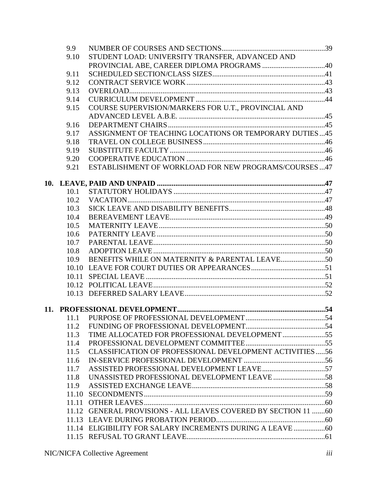| 9.9   |                                                                |  |
|-------|----------------------------------------------------------------|--|
| 9.10  | STUDENT LOAD: UNIVERSITY TRANSFER, ADVANCED AND                |  |
|       |                                                                |  |
| 9.11  |                                                                |  |
| 9.12  |                                                                |  |
| 9.13  |                                                                |  |
| 9.14  |                                                                |  |
| 9.15  | COURSE SUPERVISION/MARKERS FOR U.T., PROVINCIAL AND            |  |
|       |                                                                |  |
| 9.16  |                                                                |  |
| 9.17  | ASSIGNMENT OF TEACHING LOCATIONS OR TEMPORARY DUTIES45         |  |
| 9.18  |                                                                |  |
| 9.19  |                                                                |  |
| 9.20  |                                                                |  |
| 9.21  | ESTABLISHMENT OF WORKLOAD FOR NEW PROGRAMS/COURSES 47          |  |
|       |                                                                |  |
| 10.1  |                                                                |  |
| 10.2  |                                                                |  |
| 10.3  |                                                                |  |
| 10.4  |                                                                |  |
| 10.5  |                                                                |  |
| 10.6  |                                                                |  |
| 10.7  |                                                                |  |
| 10.8  |                                                                |  |
| 10.9  |                                                                |  |
| 10.10 |                                                                |  |
| 10.11 |                                                                |  |
|       |                                                                |  |
|       |                                                                |  |
|       |                                                                |  |
|       |                                                                |  |
| 11.2  |                                                                |  |
| 11.3  | TIME ALLOCATED FOR PROFESSIONAL DEVELOPMENT 55                 |  |
| 11.4  |                                                                |  |
| 11.5  | CLASSIFICATION OF PROFESSIONAL DEVELOPMENT ACTIVITIES 56       |  |
| 11.6  |                                                                |  |
| 11.7  |                                                                |  |
| 11.8  |                                                                |  |
| 11.9  |                                                                |  |
| 11.10 |                                                                |  |
| 11.11 |                                                                |  |
|       | 11.12 GENERAL PROVISIONS - ALL LEAVES COVERED BY SECTION 11 60 |  |
|       |                                                                |  |
|       |                                                                |  |
|       |                                                                |  |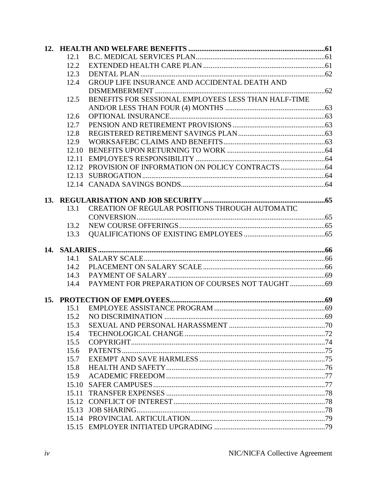| 12.1  |                                                      |  |
|-------|------------------------------------------------------|--|
| 12.2  |                                                      |  |
| 12.3  |                                                      |  |
| 12.4  | GROUP LIFE INSURANCE AND ACCIDENTAL DEATH AND        |  |
|       |                                                      |  |
| 12.5  | BENEFITS FOR SESSIONAL EMPLOYEES LESS THAN HALF-TIME |  |
|       |                                                      |  |
| 12.6  |                                                      |  |
| 12.7  |                                                      |  |
| 12.8  |                                                      |  |
| 12.9  |                                                      |  |
| 12.10 |                                                      |  |
|       |                                                      |  |
| 12.12 |                                                      |  |
|       |                                                      |  |
|       |                                                      |  |
|       |                                                      |  |
|       |                                                      |  |
| 13.1  | CREATION OF REGULAR POSITIONS THROUGH AUTOMATIC      |  |
|       |                                                      |  |
| 13.2  |                                                      |  |
| 13.3  |                                                      |  |
|       |                                                      |  |
| 14.1  |                                                      |  |
| 14.2  |                                                      |  |
| 14.3  |                                                      |  |
| 14.4  |                                                      |  |
|       |                                                      |  |
|       |                                                      |  |
| 15.1  |                                                      |  |
| 15.2  |                                                      |  |
| 15.3  |                                                      |  |
| 15.4  |                                                      |  |
| 15.5  |                                                      |  |
| 15.6  |                                                      |  |
| 15.7  |                                                      |  |
| 15.8  |                                                      |  |
| 15.9  |                                                      |  |
| 15.10 |                                                      |  |
| 15.11 |                                                      |  |
|       |                                                      |  |
| 15.13 |                                                      |  |
|       |                                                      |  |
|       |                                                      |  |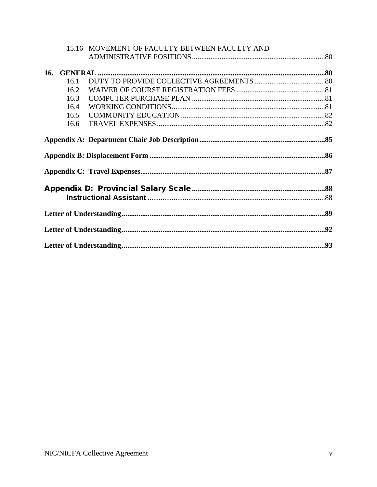|     |      | 15.16 MOVEMENT OF FACULTY BETWEEN FACULTY AND |  |
|-----|------|-----------------------------------------------|--|
|     |      |                                               |  |
| 16. |      |                                               |  |
|     | 16.1 |                                               |  |
|     | 16.2 |                                               |  |
|     | 16.3 |                                               |  |
|     | 16.4 |                                               |  |
|     | 16.5 |                                               |  |
|     | 16.6 |                                               |  |
|     |      |                                               |  |
|     |      |                                               |  |
|     |      |                                               |  |
|     |      |                                               |  |
|     |      |                                               |  |
|     |      |                                               |  |
|     |      |                                               |  |
|     |      |                                               |  |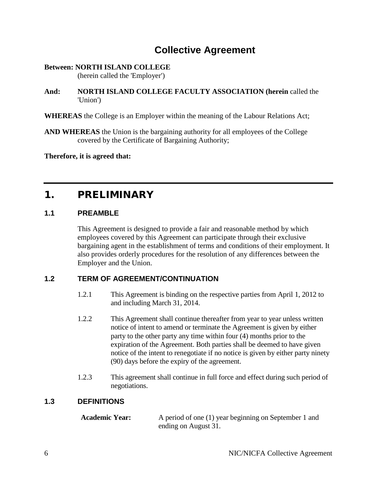# **Collective Agreement**

#### **Between: NORTH ISLAND COLLEGE**  (herein called the 'Employer')

**And: NORTH ISLAND COLLEGE FACULTY ASSOCIATION (herein** called the 'Union')

#### **WHEREAS** the College is an Employer within the meaning of the Labour Relations Act;

**AND WHEREAS** the Union is the bargaining authority for all employees of the College covered by the Certificate of Bargaining Authority;

<span id="page-7-0"></span>**Therefore, it is agreed that:**

# 1. PRELIMINARY

#### <span id="page-7-1"></span>**1.1 PREAMBLE**

This Agreement is designed to provide a fair and reasonable method by which employees covered by this Agreement can participate through their exclusive bargaining agent in the establishment of terms and conditions of their employment. It also provides orderly procedures for the resolution of any differences between the Employer and the Union.

# <span id="page-7-2"></span>**1.2 TERM OF AGREEMENT/CONTINUATION**

- 1.2.1 This Agreement is binding on the respective parties from April 1, 2012 to and including March 31, 2014.
- 1.2.2 This Agreement shall continue thereafter from year to year unless written notice of intent to amend or terminate the Agreement is given by either party to the other party any time within four (4) months prior to the expiration of the Agreement. Both parties shall be deemed to have given notice of the intent to renegotiate if no notice is given by either party ninety (90) days before the expiry of the agreement.
- 1.2.3 This agreement shall continue in full force and effect during such period of negotiations.

# <span id="page-7-3"></span>**1.3 DEFINITIONS**

**Academic Year:** A period of one (1) year beginning on September 1 and ending on August 31.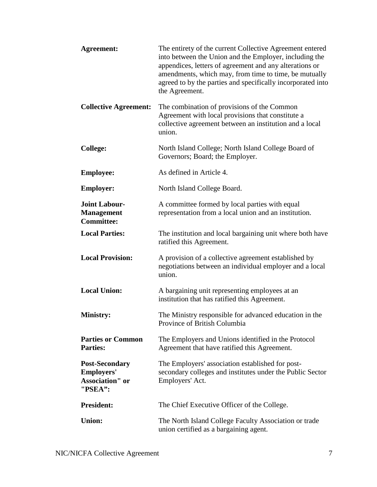| <b>Agreement:</b>                                                               | The entirety of the current Collective Agreement entered<br>into between the Union and the Employer, including the<br>appendices, letters of agreement and any alterations or<br>amendments, which may, from time to time, be mutually<br>agreed to by the parties and specifically incorporated into<br>the Agreement. |
|---------------------------------------------------------------------------------|-------------------------------------------------------------------------------------------------------------------------------------------------------------------------------------------------------------------------------------------------------------------------------------------------------------------------|
| <b>Collective Agreement:</b>                                                    | The combination of provisions of the Common<br>Agreement with local provisions that constitute a<br>collective agreement between an institution and a local<br>union.                                                                                                                                                   |
| <b>College:</b>                                                                 | North Island College; North Island College Board of<br>Governors; Board; the Employer.                                                                                                                                                                                                                                  |
| <b>Employee:</b>                                                                | As defined in Article 4.                                                                                                                                                                                                                                                                                                |
| <b>Employer:</b>                                                                | North Island College Board.                                                                                                                                                                                                                                                                                             |
| <b>Joint Labour-</b><br><b>Management</b><br><b>Committee:</b>                  | A committee formed by local parties with equal<br>representation from a local union and an institution.                                                                                                                                                                                                                 |
| <b>Local Parties:</b>                                                           | The institution and local bargaining unit where both have<br>ratified this Agreement.                                                                                                                                                                                                                                   |
| <b>Local Provision:</b>                                                         | A provision of a collective agreement established by<br>negotiations between an individual employer and a local<br>union.                                                                                                                                                                                               |
| <b>Local Union:</b>                                                             | A bargaining unit representing employees at an<br>institution that has ratified this Agreement.                                                                                                                                                                                                                         |
| <b>Ministry:</b>                                                                | The Ministry responsible for advanced education in the<br>Province of British Columbia                                                                                                                                                                                                                                  |
| <b>Parties or Common</b><br><b>Parties:</b>                                     | The Employers and Unions identified in the Protocol<br>Agreement that have ratified this Agreement.                                                                                                                                                                                                                     |
| <b>Post-Secondary</b><br><b>Employers'</b><br><b>Association"</b> or<br>"PSEA": | The Employers' association established for post-<br>secondary colleges and institutes under the Public Sector<br>Employers' Act.                                                                                                                                                                                        |
| <b>President:</b>                                                               | The Chief Executive Officer of the College.                                                                                                                                                                                                                                                                             |
| <b>Union:</b>                                                                   | The North Island College Faculty Association or trade<br>union certified as a bargaining agent.                                                                                                                                                                                                                         |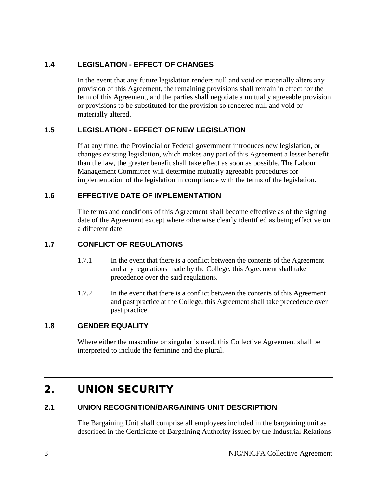# <span id="page-9-0"></span>**1.4 LEGISLATION - EFFECT OF CHANGES**

In the event that any future legislation renders null and void or materially alters any provision of this Agreement, the remaining provisions shall remain in effect for the term of this Agreement, and the parties shall negotiate a mutually agreeable provision or provisions to be substituted for the provision so rendered null and void or materially altered.

#### <span id="page-9-1"></span>**1.5 LEGISLATION - EFFECT OF NEW LEGISLATION**

If at any time, the Provincial or Federal government introduces new legislation, or changes existing legislation, which makes any part of this Agreement a lesser benefit than the law, the greater benefit shall take effect as soon as possible. The Labour Management Committee will determine mutually agreeable procedures for implementation of the legislation in compliance with the terms of the legislation.

#### <span id="page-9-2"></span>**1.6 EFFECTIVE DATE OF IMPLEMENTATION**

The terms and conditions of this Agreement shall become effective as of the signing date of the Agreement except where otherwise clearly identified as being effective on a different date.

# <span id="page-9-3"></span>**1.7 CONFLICT OF REGULATIONS**

- 1.7.1 In the event that there is a conflict between the contents of the Agreement and any regulations made by the College, this Agreement shall take precedence over the said regulations.
- 1.7.2 In the event that there is a conflict between the contents of this Agreement and past practice at the College, this Agreement shall take precedence over past practice.

#### <span id="page-9-4"></span>**1.8 GENDER EQUALITY**

Where either the masculine or singular is used, this Collective Agreement shall be interpreted to include the feminine and the plural.

# <span id="page-9-5"></span>2. UNION SECURITY

# <span id="page-9-6"></span>**2.1 UNION RECOGNITION/BARGAINING UNIT DESCRIPTION**

The Bargaining Unit shall comprise all employees included in the bargaining unit as described in the Certificate of Bargaining Authority issued by the Industrial Relations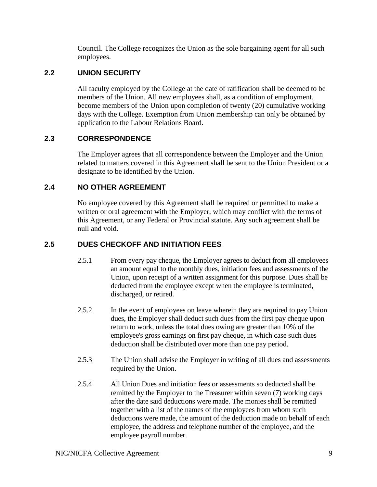Council. The College recognizes the Union as the sole bargaining agent for all such employees.

# <span id="page-10-0"></span>**2.2 UNION SECURITY**

All faculty employed by the College at the date of ratification shall be deemed to be members of the Union. All new employees shall, as a condition of employment, become members of the Union upon completion of twenty (20) cumulative working days with the College. Exemption from Union membership can only be obtained by application to the Labour Relations Board.

# <span id="page-10-1"></span>**2.3 CORRESPONDENCE**

The Employer agrees that all correspondence between the Employer and the Union related to matters covered in this Agreement shall be sent to the Union President or a designate to be identified by the Union.

# <span id="page-10-2"></span>**2.4 NO OTHER AGREEMENT**

No employee covered by this Agreement shall be required or permitted to make a written or oral agreement with the Employer, which may conflict with the terms of this Agreement, or any Federal or Provincial statute. Any such agreement shall be null and void.

# <span id="page-10-3"></span>**2.5 DUES CHECKOFF AND INITIATION FEES**

- 2.5.1 From every pay cheque, the Employer agrees to deduct from all employees an amount equal to the monthly dues, initiation fees and assessments of the Union, upon receipt of a written assignment for this purpose. Dues shall be deducted from the employee except when the employee is terminated, discharged, or retired.
- 2.5.2 In the event of employees on leave wherein they are required to pay Union dues, the Employer shall deduct such dues from the first pay cheque upon return to work, unless the total dues owing are greater than 10% of the employee's gross earnings on first pay cheque, in which case such dues deduction shall be distributed over more than one pay period.
- 2.5.3 The Union shall advise the Employer in writing of all dues and assessments required by the Union.
- 2.5.4 All Union Dues and initiation fees or assessments so deducted shall be remitted by the Employer to the Treasurer within seven (7) working days after the date said deductions were made. The monies shall be remitted together with a list of the names of the employees from whom such deductions were made, the amount of the deduction made on behalf of each employee, the address and telephone number of the employee, and the employee payroll number.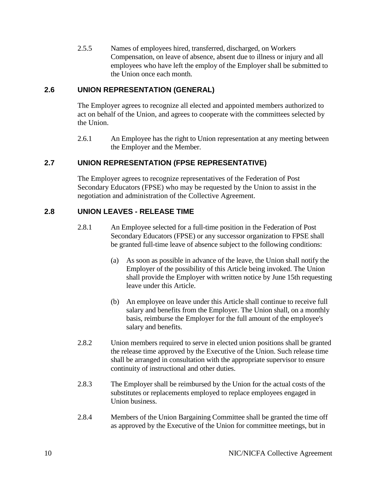2.5.5 Names of employees hired, transferred, discharged, on Workers Compensation, on leave of absence, absent due to illness or injury and all employees who have left the employ of the Employer shall be submitted to the Union once each month.

### <span id="page-11-0"></span>**2.6 UNION REPRESENTATION (GENERAL)**

The Employer agrees to recognize all elected and appointed members authorized to act on behalf of the Union, and agrees to cooperate with the committees selected by the Union.

2.6.1 An Employee has the right to Union representation at any meeting between the Employer and the Member.

#### <span id="page-11-1"></span>**2.7 UNION REPRESENTATION (FPSE REPRESENTATIVE)**

The Employer agrees to recognize representatives of the Federation of Post Secondary Educators (FPSE) who may be requested by the Union to assist in the negotiation and administration of the Collective Agreement.

#### <span id="page-11-2"></span>**2.8 UNION LEAVES - RELEASE TIME**

- 2.8.1 An Employee selected for a full-time position in the Federation of Post Secondary Educators (FPSE) or any successor organization to FPSE shall be granted full-time leave of absence subject to the following conditions:
	- (a) As soon as possible in advance of the leave, the Union shall notify the Employer of the possibility of this Article being invoked. The Union shall provide the Employer with written notice by June 15th requesting leave under this Article.
	- (b) An employee on leave under this Article shall continue to receive full salary and benefits from the Employer. The Union shall, on a monthly basis, reimburse the Employer for the full amount of the employee's salary and benefits.
- 2.8.2 Union members required to serve in elected union positions shall be granted the release time approved by the Executive of the Union. Such release time shall be arranged in consultation with the appropriate supervisor to ensure continuity of instructional and other duties.
- 2.8.3 The Employer shall be reimbursed by the Union for the actual costs of the substitutes or replacements employed to replace employees engaged in Union business.
- 2.8.4 Members of the Union Bargaining Committee shall be granted the time off as approved by the Executive of the Union for committee meetings, but in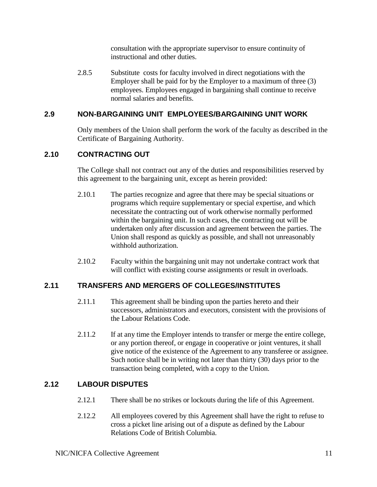consultation with the appropriate supervisor to ensure continuity of instructional and other duties.

2.8.5 Substitute costs for faculty involved in direct negotiations with the Employer shall be paid for by the Employer to a maximum of three (3) employees. Employees engaged in bargaining shall continue to receive normal salaries and benefits.

# <span id="page-12-0"></span>**2.9 NON-BARGAINING UNIT EMPLOYEES/BARGAINING UNIT WORK**

Only members of the Union shall perform the work of the faculty as described in the Certificate of Bargaining Authority.

# <span id="page-12-1"></span>**2.10 CONTRACTING OUT**

The College shall not contract out any of the duties and responsibilities reserved by this agreement to the bargaining unit, except as herein provided:

- 2.10.1 The parties recognize and agree that there may be special situations or programs which require supplementary or special expertise, and which necessitate the contracting out of work otherwise normally performed within the bargaining unit. In such cases, the contracting out will be undertaken only after discussion and agreement between the parties. The Union shall respond as quickly as possible, and shall not unreasonably withhold authorization.
- 2.10.2 Faculty within the bargaining unit may not undertake contract work that will conflict with existing course assignments or result in overloads.

# <span id="page-12-2"></span>**2.11 TRANSFERS AND MERGERS OF COLLEGES/INSTITUTES**

- 2.11.1 This agreement shall be binding upon the parties hereto and their successors, administrators and executors, consistent with the provisions of the Labour Relations Code.
- 2.11.2 If at any time the Employer intends to transfer or merge the entire college, or any portion thereof, or engage in cooperative or joint ventures, it shall give notice of the existence of the Agreement to any transferee or assignee. Such notice shall be in writing not later than thirty (30) days prior to the transaction being completed, with a copy to the Union.

# <span id="page-12-3"></span>**2.12 LABOUR DISPUTES**

- 2.12.1 There shall be no strikes or lockouts during the life of this Agreement.
- 2.12.2 All employees covered by this Agreement shall have the right to refuse to cross a picket line arising out of a dispute as defined by the Labour Relations Code of British Columbia.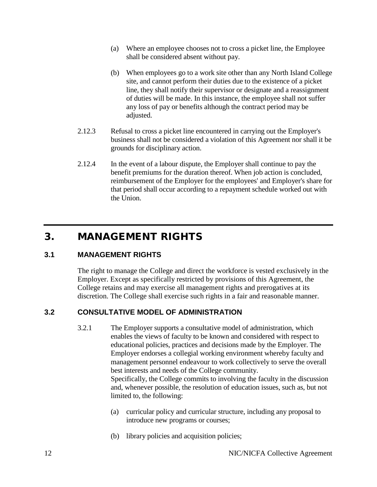- (a) Where an employee chooses not to cross a picket line, the Employee shall be considered absent without pay.
- (b) When employees go to a work site other than any North Island College site, and cannot perform their duties due to the existence of a picket line, they shall notify their supervisor or designate and a reassignment of duties will be made. In this instance, the employee shall not suffer any loss of pay or benefits although the contract period may be adjusted.
- 2.12.3 Refusal to cross a picket line encountered in carrying out the Employer's business shall not be considered a violation of this Agreement nor shall it be grounds for disciplinary action.
- 2.12.4 In the event of a labour dispute, the Employer shall continue to pay the benefit premiums for the duration thereof. When job action is concluded, reimbursement of the Employer for the employees' and Employer's share for that period shall occur according to a repayment schedule worked out with the Union.

# <span id="page-13-0"></span>3. MANAGEMENT RIGHTS

# <span id="page-13-1"></span>**3.1 MANAGEMENT RIGHTS**

The right to manage the College and direct the workforce is vested exclusively in the Employer. Except as specifically restricted by provisions of this Agreement, the College retains and may exercise all management rights and prerogatives at its discretion. The College shall exercise such rights in a fair and reasonable manner.

# <span id="page-13-2"></span>**3.2 CONSULTATIVE MODEL OF ADMINISTRATION**

3.2.1 The Employer supports a consultative model of administration, which enables the views of faculty to be known and considered with respect to educational policies, practices and decisions made by the Employer. The Employer endorses a collegial working environment whereby faculty and management personnel endeavour to work collectively to serve the overall best interests and needs of the College community. Specifically, the College commits to involving the faculty in the discussion

and, whenever possible, the resolution of education issues, such as, but not limited to, the following:

- (a) curricular policy and curricular structure, including any proposal to introduce new programs or courses;
- (b) library policies and acquisition policies;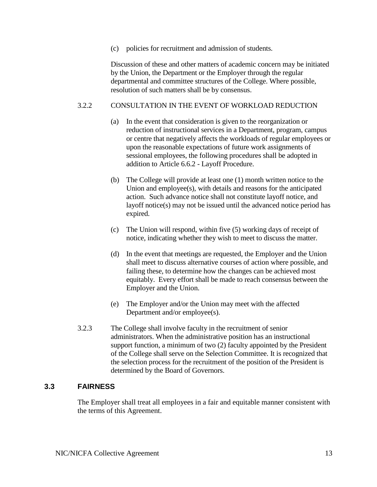(c) policies for recruitment and admission of students.

Discussion of these and other matters of academic concern may be initiated by the Union, the Department or the Employer through the regular departmental and committee structures of the College. Where possible, resolution of such matters shall be by consensus.

#### 3.2.2 CONSULTATION IN THE EVENT OF WORKLOAD REDUCTION

- (a) In the event that consideration is given to the reorganization or reduction of instructional services in a Department, program, campus or centre that negatively affects the workloads of regular employees or upon the reasonable expectations of future work assignments of sessional employees, the following procedures shall be adopted in addition to Article 6.6.2 - Layoff Procedure.
- (b) The College will provide at least one (1) month written notice to the Union and employee(s), with details and reasons for the anticipated action. Such advance notice shall not constitute layoff notice, and layoff notice(s) may not be issued until the advanced notice period has expired.
- (c) The Union will respond, within five (5) working days of receipt of notice, indicating whether they wish to meet to discuss the matter.
- (d) In the event that meetings are requested, the Employer and the Union shall meet to discuss alternative courses of action where possible, and failing these, to determine how the changes can be achieved most equitably. Every effort shall be made to reach consensus between the Employer and the Union.
- (e) The Employer and/or the Union may meet with the affected Department and/or employee(s).
- 3.2.3 The College shall involve faculty in the recruitment of senior administrators. When the administrative position has an instructional support function, a minimum of two (2) faculty appointed by the President of the College shall serve on the Selection Committee. It is recognized that the selection process for the recruitment of the position of the President is determined by the Board of Governors.

#### <span id="page-14-0"></span>**3.3 FAIRNESS**

The Employer shall treat all employees in a fair and equitable manner consistent with the terms of this Agreement.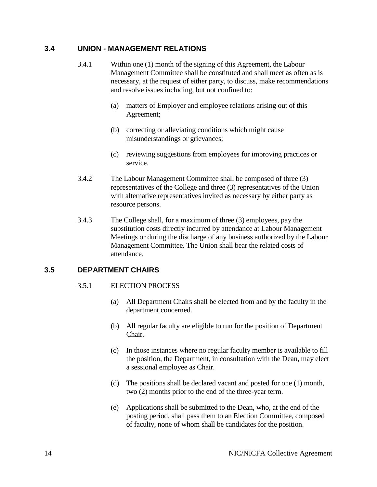#### <span id="page-15-0"></span>**3.4 UNION - MANAGEMENT RELATIONS**

- 3.4.1 Within one (1) month of the signing of this Agreement, the Labour Management Committee shall be constituted and shall meet as often as is necessary, at the request of either party, to discuss, make recommendations and resolve issues including, but not confined to:
	- (a) matters of Employer and employee relations arising out of this Agreement;
	- (b) correcting or alleviating conditions which might cause misunderstandings or grievances;
	- (c) reviewing suggestions from employees for improving practices or service.
- 3.4.2 The Labour Management Committee shall be composed of three (3) representatives of the College and three (3) representatives of the Union with alternative representatives invited as necessary by either party as resource persons.
- 3.4.3 The College shall, for a maximum of three (3) employees, pay the substitution costs directly incurred by attendance at Labour Management Meetings or during the discharge of any business authorized by the Labour Management Committee. The Union shall bear the related costs of attendance.

#### <span id="page-15-1"></span>**3.5 DEPARTMENT CHAIRS**

#### 3.5.1 ELECTION PROCESS

- (a) All Department Chairs shall be elected from and by the faculty in the department concerned.
- (b) All regular faculty are eligible to run for the position of Department Chair.
- (c) In those instances where no regular faculty member is available to fill the position, the Department, in consultation with the Dean**,** may elect a sessional employee as Chair.
- (d) The positions shall be declared vacant and posted for one (1) month, two (2) months prior to the end of the three-year term.
- (e) Applications shall be submitted to the Dean, who, at the end of the posting period, shall pass them to an Election Committee, composed of faculty, none of whom shall be candidates for the position.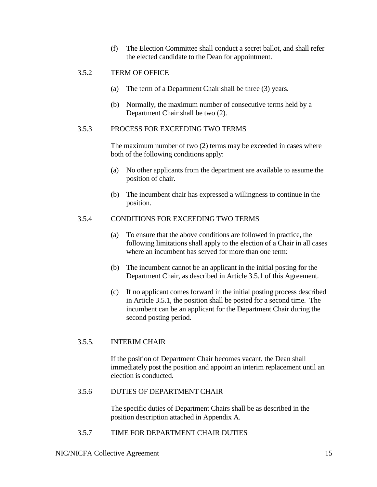(f) The Election Committee shall conduct a secret ballot, and shall refer the elected candidate to the Dean for appointment.

#### 3.5.2 TERM OF OFFICE

- (a) The term of a Department Chair shall be three (3) years.
- (b) Normally, the maximum number of consecutive terms held by a Department Chair shall be two (2).

#### 3.5.3 PROCESS FOR EXCEEDING TWO TERMS

The maximum number of two (2) terms may be exceeded in cases where both of the following conditions apply:

- (a) No other applicants from the department are available to assume the position of chair.
- (b) The incumbent chair has expressed a willingness to continue in the position.

#### 3.5.4 CONDITIONS FOR EXCEEDING TWO TERMS

- (a) To ensure that the above conditions are followed in practice, the following limitations shall apply to the election of a Chair in all cases where an incumbent has served for more than one term:
- (b) The incumbent cannot be an applicant in the initial posting for the Department Chair, as described in Article 3.5.1 of this Agreement.
- (c) If no applicant comes forward in the initial posting process described in Article 3.5.1, the position shall be posted for a second time. The incumbent can be an applicant for the Department Chair during the second posting period.

#### 3.5.5. INTERIM CHAIR

If the position of Department Chair becomes vacant, the Dean shall immediately post the position and appoint an interim replacement until an election is conducted.

#### 3.5.6 DUTIES OF DEPARTMENT CHAIR

The specific duties of Department Chairs shall be as described in the position description attached in Appendix A.

3.5.7 TIME FOR DEPARTMENT CHAIR DUTIES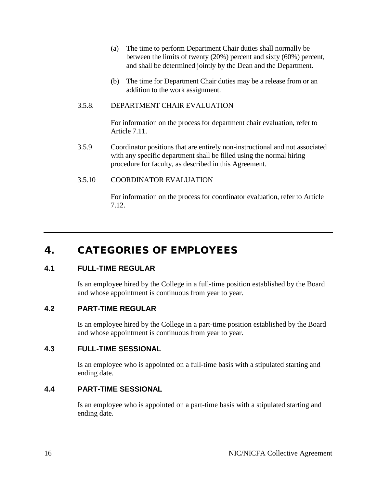- (a) The time to perform Department Chair duties shall normally be between the limits of twenty (20%) percent and sixty (60%) percent, and shall be determined jointly by the Dean and the Department.
- (b) The time for Department Chair duties may be a release from or an addition to the work assignment.

#### 3.5.8. DEPARTMENT CHAIR EVALUATION

For information on the process for department chair evaluation, refer to Article 7.11.

3.5.9 Coordinator positions that are entirely non-instructional and not associated with any specific department shall be filled using the normal hiring procedure for faculty, as described in this Agreement.

#### 3.5.10 COORDINATOR EVALUATION

For information on the process for coordinator evaluation, refer to Article 7.12.

# <span id="page-17-0"></span>4. CATEGORIES OF EMPLOYEES

# <span id="page-17-1"></span>**4.1 FULL-TIME REGULAR**

Is an employee hired by the College in a full-time position established by the Board and whose appointment is continuous from year to year.

#### <span id="page-17-2"></span>**4.2 PART-TIME REGULAR**

Is an employee hired by the College in a part-time position established by the Board and whose appointment is continuous from year to year.

#### <span id="page-17-3"></span>**4.3 FULL-TIME SESSIONAL**

Is an employee who is appointed on a full-time basis with a stipulated starting and ending date.

#### <span id="page-17-4"></span>**4.4 PART-TIME SESSIONAL**

Is an employee who is appointed on a part-time basis with a stipulated starting and ending date.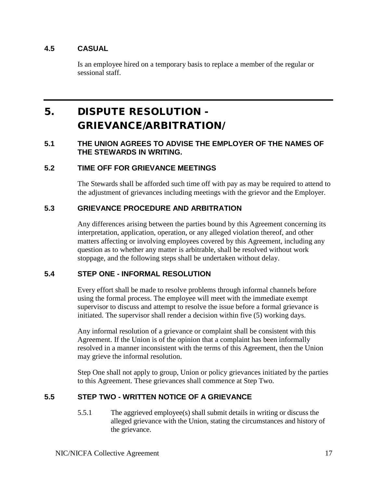# <span id="page-18-0"></span>**4.5 CASUAL**

Is an employee hired on a temporary basis to replace a member of the regular or sessional staff.

# <span id="page-18-1"></span>5. DISPUTE RESOLUTION - GRIEVANCE/ARBITRATION/

#### <span id="page-18-2"></span>**5.1 THE UNION AGREES TO ADVISE THE EMPLOYER OF THE NAMES OF THE STEWARDS IN WRITING.**

#### <span id="page-18-3"></span>**5.2 TIME OFF FOR GRIEVANCE MEETINGS**

The Stewards shall be afforded such time off with pay as may be required to attend to the adjustment of grievances including meetings with the grievor and the Employer.

#### <span id="page-18-4"></span>**5.3 GRIEVANCE PROCEDURE AND ARBITRATION**

Any differences arising between the parties bound by this Agreement concerning its interpretation, application, operation, or any alleged violation thereof, and other matters affecting or involving employees covered by this Agreement, including any question as to whether any matter is arbitrable, shall be resolved without work stoppage, and the following steps shall be undertaken without delay.

#### <span id="page-18-5"></span>**5.4 STEP ONE - INFORMAL RESOLUTION**

Every effort shall be made to resolve problems through informal channels before using the formal process. The employee will meet with the immediate exempt supervisor to discuss and attempt to resolve the issue before a formal grievance is initiated. The supervisor shall render a decision within five (5) working days.

Any informal resolution of a grievance or complaint shall be consistent with this Agreement. If the Union is of the opinion that a complaint has been informally resolved in a manner inconsistent with the terms of this Agreement, then the Union may grieve the informal resolution.

Step One shall not apply to group, Union or policy grievances initiated by the parties to this Agreement. These grievances shall commence at Step Two.

# <span id="page-18-6"></span>**5.5 STEP TWO - WRITTEN NOTICE OF A GRIEVANCE**

5.5.1 The aggrieved employee(s) shall submit details in writing or discuss the alleged grievance with the Union, stating the circumstances and history of the grievance.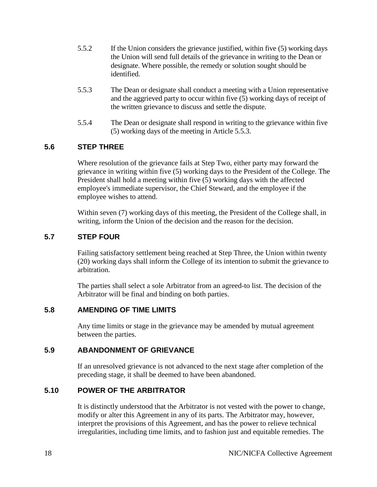- 5.5.2 If the Union considers the grievance justified, within five (5) working days the Union will send full details of the grievance in writing to the Dean or designate. Where possible, the remedy or solution sought should be identified.
- 5.5.3 The Dean or designate shall conduct a meeting with a Union representative and the aggrieved party to occur within five (5) working days of receipt of the written grievance to discuss and settle the dispute.
- 5.5.4 The Dean or designate shall respond in writing to the grievance within five (5) working days of the meeting in Article 5.5.3.

# <span id="page-19-0"></span>**5.6 STEP THREE**

Where resolution of the grievance fails at Step Two, either party may forward the grievance in writing within five (5) working days to the President of the College. The President shall hold a meeting within five (5) working days with the affected employee's immediate supervisor, the Chief Steward, and the employee if the employee wishes to attend.

Within seven (7) working days of this meeting, the President of the College shall, in writing, inform the Union of the decision and the reason for the decision.

#### <span id="page-19-1"></span>**5.7 STEP FOUR**

Failing satisfactory settlement being reached at Step Three, the Union within twenty (20) working days shall inform the College of its intention to submit the grievance to arbitration.

The parties shall select a sole Arbitrator from an agreed-to list. The decision of the Arbitrator will be final and binding on both parties.

#### <span id="page-19-2"></span>**5.8 AMENDING OF TIME LIMITS**

Any time limits or stage in the grievance may be amended by mutual agreement between the parties.

#### <span id="page-19-3"></span>**5.9 ABANDONMENT OF GRIEVANCE**

If an unresolved grievance is not advanced to the next stage after completion of the preceding stage, it shall be deemed to have been abandoned.

# <span id="page-19-4"></span>**5.10 POWER OF THE ARBITRATOR**

It is distinctly understood that the Arbitrator is not vested with the power to change, modify or alter this Agreement in any of its parts. The Arbitrator may, however, interpret the provisions of this Agreement, and has the power to relieve technical irregularities, including time limits, and to fashion just and equitable remedies. The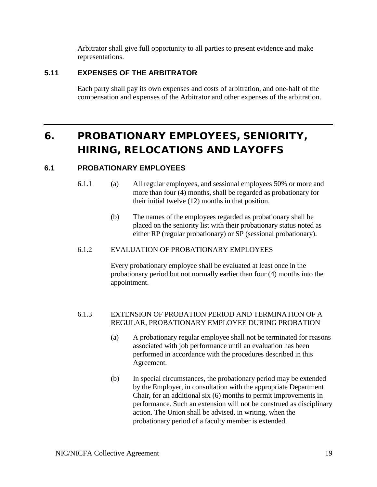Arbitrator shall give full opportunity to all parties to present evidence and make representations.

# <span id="page-20-0"></span>**5.11 EXPENSES OF THE ARBITRATOR**

Each party shall pay its own expenses and costs of arbitration, and one-half of the compensation and expenses of the Arbitrator and other expenses of the arbitration.

# <span id="page-20-1"></span>6. PROBATIONARY EMPLOYEES, SENIORITY, HIRING, RELOCATIONS AND LAYOFFS

#### <span id="page-20-2"></span>**6.1 PROBATIONARY EMPLOYEES**

- 6.1.1 (a) All regular employees, and sessional employees 50% or more and more than four (4) months, shall be regarded as probationary for their initial twelve (12) months in that position.
	- (b) The names of the employees regarded as probationary shall be placed on the seniority list with their probationary status noted as either RP (regular probationary) or SP (sessional probationary).

#### 6.1.2 EVALUATION OF PROBATIONARY EMPLOYEES

Every probationary employee shall be evaluated at least once in the probationary period but not normally earlier than four (4) months into the appointment.

#### 6.1.3 EXTENSION OF PROBATION PERIOD AND TERMINATION OF A REGULAR, PROBATIONARY EMPLOYEE DURING PROBATION

- (a) A probationary regular employee shall not be terminated for reasons associated with job performance until an evaluation has been performed in accordance with the procedures described in this Agreement.
- (b) In special circumstances, the probationary period may be extended by the Employer, in consultation with the appropriate Department Chair, for an additional six (6) months to permit improvements in performance. Such an extension will not be construed as disciplinary action. The Union shall be advised, in writing, when the probationary period of a faculty member is extended.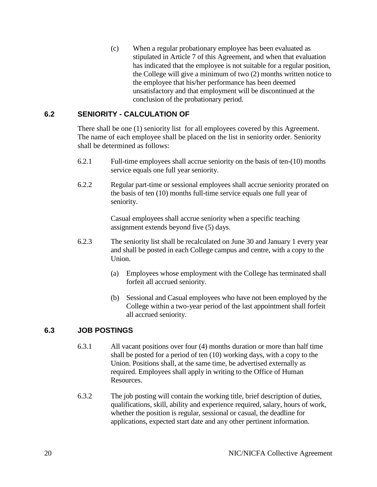(c) When a regular probationary employee has been evaluated as stipulated in Article 7 of this Agreement, and when that evaluation has indicated that the employee is not suitable for a regular position, the College will give a minimum of two (2) months written notice to the employee that his/her performance has been deemed unsatisfactory and that employment will be discontinued at the conclusion of the probationary period.

# <span id="page-21-0"></span>**6.2 SENIORITY - CALCULATION OF**

There shall be one (1) seniority list for all employees covered by this Agreement. The name of each employee shall be placed on the list in seniority order. Seniority shall be determined as follows:

- 6.2.1 Full-time employees shall accrue seniority on the basis of ten-(10) months service equals one full year seniority.
- 6.2.2 Regular part-time or sessional employees shall accrue seniority prorated on the basis of ten (10) months full-time service equals one full year of seniority.

Casual employees shall accrue seniority when a specific teaching assignment extends beyond five (5) days.

- 6.2.3 The seniority list shall be recalculated on June 30 and January 1 every year and shall be posted in each College campus and centre, with a copy to the Union.
	- (a) Employees whose employment with the College has terminated shall forfeit all accrued seniority.
	- (b) Sessional and Casual employees who have not been employed by the College within a two-year period of the last appointment shall forfeit all accrued seniority.

# <span id="page-21-1"></span>**6.3 JOB POSTINGS**

- 6.3.1 All vacant positions over four (4) months duration or more than half time shall be posted for a period of ten (10) working days, with a copy to the Union. Positions shall, at the same time, be advertised externally as required. Employees shall apply in writing to the Office of Human Resources.
- 6.3.2 The job posting will contain the working title, brief description of duties, qualifications, skill, ability and experience required, salary, hours of work, whether the position is regular, sessional or casual, the deadline for applications, expected start date and any other pertinent information.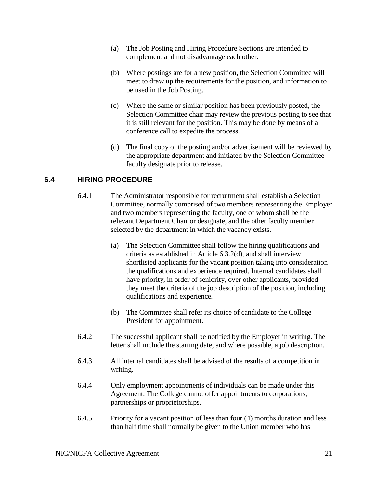- (a) The Job Posting and Hiring Procedure Sections are intended to complement and not disadvantage each other.
- (b) Where postings are for a new position, the Selection Committee will meet to draw up the requirements for the position, and information to be used in the Job Posting.
- (c) Where the same or similar position has been previously posted, the Selection Committee chair may review the previous posting to see that it is still relevant for the position. This may be done by means of a conference call to expedite the process.
- (d) The final copy of the posting and/or advertisement will be reviewed by the appropriate department and initiated by the Selection Committee faculty designate prior to release.

# <span id="page-22-0"></span>**6.4 HIRING PROCEDURE**

- 6.4.1 The Administrator responsible for recruitment shall establish a Selection Committee, normally comprised of two members representing the Employer and two members representing the faculty, one of whom shall be the relevant Department Chair or designate, and the other faculty member selected by the department in which the vacancy exists.
	- (a) The Selection Committee shall follow the hiring qualifications and criteria as established in Article 6.3.2(d), and shall interview shortlisted applicants for the vacant position taking into consideration the qualifications and experience required. Internal candidates shall have priority, in order of seniority, over other applicants, provided they meet the criteria of the job description of the position, including qualifications and experience.
	- (b) The Committee shall refer its choice of candidate to the College President for appointment.
- 6.4.2 The successful applicant shall be notified by the Employer in writing. The letter shall include the starting date, and where possible, a job description.
- 6.4.3 All internal candidates shall be advised of the results of a competition in writing.
- 6.4.4 Only employment appointments of individuals can be made under this Agreement. The College cannot offer appointments to corporations, partnerships or proprietorships.
- 6.4.5 Priority for a vacant position of less than four (4) months duration and less than half time shall normally be given to the Union member who has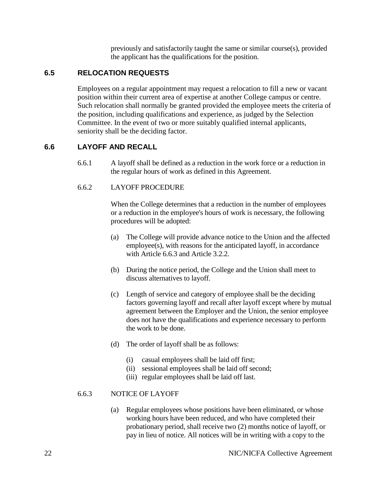previously and satisfactorily taught the same or similar course(s), provided the applicant has the qualifications for the position.

#### <span id="page-23-0"></span>**6.5 RELOCATION REQUESTS**

Employees on a regular appointment may request a relocation to fill a new or vacant position within their current area of expertise at another College campus or centre. Such relocation shall normally be granted provided the employee meets the criteria of the position, including qualifications and experience, as judged by the Selection Committee. In the event of two or more suitably qualified internal applicants, seniority shall be the deciding factor.

#### <span id="page-23-1"></span>**6.6 LAYOFF AND RECALL**

6.6.1 A layoff shall be defined as a reduction in the work force or a reduction in the regular hours of work as defined in this Agreement.

#### 6.6.2 LAYOFF PROCEDURE

When the College determines that a reduction in the number of employees or a reduction in the employee's hours of work is necessary, the following procedures will be adopted:

- (a) The College will provide advance notice to the Union and the affected employee(s), with reasons for the anticipated layoff, in accordance with Article 6.6.3 and Article 3.2.2.
- (b) During the notice period, the College and the Union shall meet to discuss alternatives to layoff.
- (c) Length of service and category of employee shall be the deciding factors governing layoff and recall after layoff except where by mutual agreement between the Employer and the Union, the senior employee does not have the qualifications and experience necessary to perform the work to be done.
- (d) The order of layoff shall be as follows:
	- (i) casual employees shall be laid off first;
	- (ii) sessional employees shall be laid off second;
	- (iii) regular employees shall be laid off last.

#### 6.6.3 NOTICE OF LAYOFF

(a) Regular employees whose positions have been eliminated, or whose working hours have been reduced, and who have completed their probationary period, shall receive two (2) months notice of layoff, or pay in lieu of notice. All notices will be in writing with a copy to the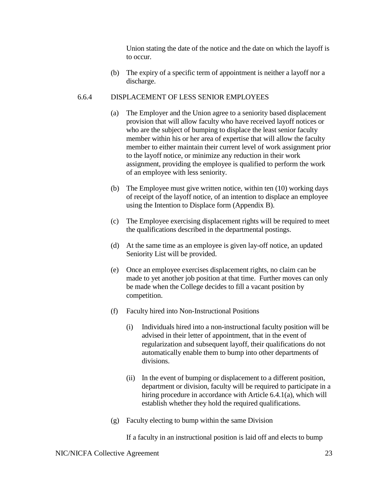Union stating the date of the notice and the date on which the layoff is to occur.

(b) The expiry of a specific term of appointment is neither a layoff nor a discharge.

#### 6.6.4 DISPLACEMENT OF LESS SENIOR EMPLOYEES

- (a) The Employer and the Union agree to a seniority based displacement provision that will allow faculty who have received layoff notices or who are the subject of bumping to displace the least senior faculty member within his or her area of expertise that will allow the faculty member to either maintain their current level of work assignment prior to the layoff notice, or minimize any reduction in their work assignment, providing the employee is qualified to perform the work of an employee with less seniority.
- (b) The Employee must give written notice, within ten (10) working days of receipt of the layoff notice, of an intention to displace an employee using the Intention to Displace form (Appendix B).
- (c) The Employee exercising displacement rights will be required to meet the qualifications described in the departmental postings.
- (d) At the same time as an employee is given lay-off notice, an updated Seniority List will be provided.
- (e) Once an employee exercises displacement rights, no claim can be made to yet another job position at that time. Further moves can only be made when the College decides to fill a vacant position by competition.
- (f) Faculty hired into Non-Instructional Positions
	- (i) Individuals hired into a non-instructional faculty position will be advised in their letter of appointment, that in the event of regularization and subsequent layoff, their qualifications do not automatically enable them to bump into other departments of divisions.
	- (ii) In the event of bumping or displacement to a different position, department or division, faculty will be required to participate in a hiring procedure in accordance with Article 6.4.1(a), which will establish whether they hold the required qualifications.
- (g) Faculty electing to bump within the same Division

If a faculty in an instructional position is laid off and elects to bump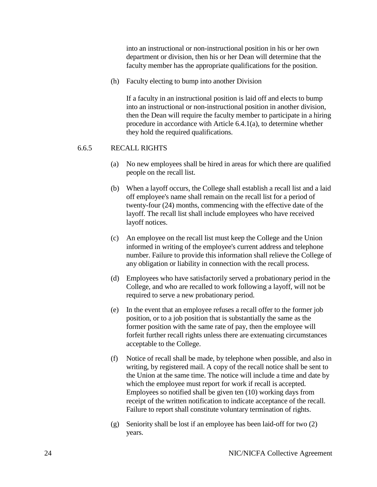into an instructional or non-instructional position in his or her own department or division, then his or her Dean will determine that the faculty member has the appropriate qualifications for the position.

(h) Faculty electing to bump into another Division

If a faculty in an instructional position is laid off and elects to bump into an instructional or non-instructional position in another division, then the Dean will require the faculty member to participate in a hiring procedure in accordance with Article 6.4.1(a), to determine whether they hold the required qualifications.

#### 6.6.5 RECALL RIGHTS

- (a) No new employees shall be hired in areas for which there are qualified people on the recall list.
- (b) When a layoff occurs, the College shall establish a recall list and a laid off employee's name shall remain on the recall list for a period of twenty-four (24) months, commencing with the effective date of the layoff. The recall list shall include employees who have received layoff notices.
- (c) An employee on the recall list must keep the College and the Union informed in writing of the employee's current address and telephone number. Failure to provide this information shall relieve the College of any obligation or liability in connection with the recall process.
- (d) Employees who have satisfactorily served a probationary period in the College, and who are recalled to work following a layoff, will not be required to serve a new probationary period.
- (e) In the event that an employee refuses a recall offer to the former job position, or to a job position that is substantially the same as the former position with the same rate of pay, then the employee will forfeit further recall rights unless there are extenuating circumstances acceptable to the College.
- (f) Notice of recall shall be made, by telephone when possible, and also in writing, by registered mail. A copy of the recall notice shall be sent to the Union at the same time. The notice will include a time and date by which the employee must report for work if recall is accepted. Employees so notified shall be given ten (10) working days from receipt of the written notification to indicate acceptance of the recall. Failure to report shall constitute voluntary termination of rights.
- (g) Seniority shall be lost if an employee has been laid-off for two (2) years.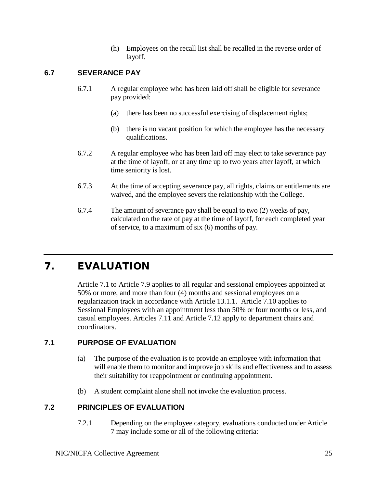(h) Employees on the recall list shall be recalled in the reverse order of layoff.

# <span id="page-26-0"></span>**6.7 SEVERANCE PAY**

- 6.7.1 A regular employee who has been laid off shall be eligible for severance pay provided:
	- (a) there has been no successful exercising of displacement rights;
	- (b) there is no vacant position for which the employee has the necessary qualifications.
- 6.7.2 A regular employee who has been laid off may elect to take severance pay at the time of layoff, or at any time up to two years after layoff, at which time seniority is lost.
- 6.7.3 At the time of accepting severance pay, all rights, claims or entitlements are waived, and the employee severs the relationship with the College.
- 6.7.4 The amount of severance pay shall be equal to two (2) weeks of pay, calculated on the rate of pay at the time of layoff, for each completed year of service, to a maximum of six (6) months of pay.

# <span id="page-26-1"></span>7. EVALUATION

Article 7.1 to Article 7.9 applies to all regular and sessional employees appointed at 50% or more, and more than four (4) months and sessional employees on a regularization track in accordance with Article 13.1.1. Article 7.10 applies to Sessional Employees with an appointment less than 50% or four months or less, and casual employees. Articles 7.11 and Article 7.12 apply to department chairs and coordinators.

# <span id="page-26-2"></span>**7.1 PURPOSE OF EVALUATION**

- (a) The purpose of the evaluation is to provide an employee with information that will enable them to monitor and improve job skills and effectiveness and to assess their suitability for reappointment or continuing appointment.
- (b) A student complaint alone shall not invoke the evaluation process.

# <span id="page-26-3"></span>**7.2 PRINCIPLES OF EVALUATION**

7.2.1 Depending on the employee category, evaluations conducted under Article 7 may include some or all of the following criteria: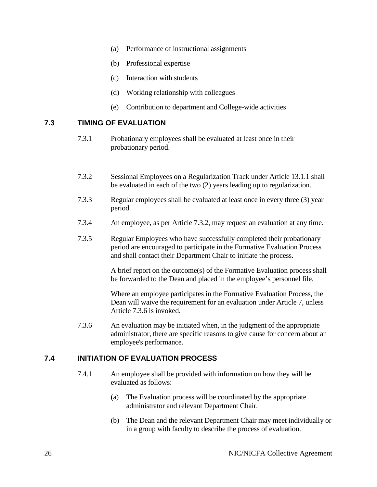- (a) Performance of instructional assignments
- (b) Professional expertise
- (c) Interaction with students
- (d) Working relationship with colleagues
- (e) Contribution to department and College-wide activities

#### <span id="page-27-0"></span>**7.3 TIMING OF EVALUATION**

- 7.3.1 Probationary employees shall be evaluated at least once in their probationary period.
- 7.3.2 Sessional Employees on a Regularization Track under Article 13.1.1 shall be evaluated in each of the two (2) years leading up to regularization.
- 7.3.3 Regular employees shall be evaluated at least once in every three (3) year period.
- 7.3.4 An employee, as per Article 7.3.2, may request an evaluation at any time.
- 7.3.5 Regular Employees who have successfully completed their probationary period are encouraged to participate in the Formative Evaluation Process and shall contact their Department Chair to initiate the process.

A brief report on the outcome(s) of the Formative Evaluation process shall be forwarded to the Dean and placed in the employee's personnel file.

Where an employee participates in the Formative Evaluation Process, the Dean will waive the requirement for an evaluation under Article 7, unless Article 7.3.6 is invoked.

7.3.6 An evaluation may be initiated when, in the judgment of the appropriate administrator, there are specific reasons to give cause for concern about an employee's performance.

#### <span id="page-27-1"></span>**7.4 INITIATION OF EVALUATION PROCESS**

- 7.4.1 An employee shall be provided with information on how they will be evaluated as follows:
	- (a) The Evaluation process will be coordinated by the appropriate administrator and relevant Department Chair.
	- (b) The Dean and the relevant Department Chair may meet individually or in a group with faculty to describe the process of evaluation.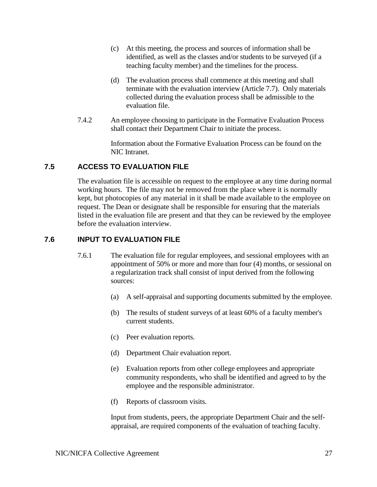- (c) At this meeting, the process and sources of information shall be identified, as well as the classes and/or students to be surveyed (if a teaching faculty member) and the timelines for the process.
- (d) The evaluation process shall commence at this meeting and shall terminate with the evaluation interview (Article 7.7). Only materials collected during the evaluation process shall be admissible to the evaluation file.
- 7.4.2 An employee choosing to participate in the Formative Evaluation Process shall contact their Department Chair to initiate the process.

Information about the Formative Evaluation Process can be found on the NIC Intranet.

# <span id="page-28-0"></span>**7.5 ACCESS TO EVALUATION FILE**

The evaluation file is accessible on request to the employee at any time during normal working hours. The file may not be removed from the place where it is normally kept, but photocopies of any material in it shall be made available to the employee on request. The Dean or designate shall be responsible for ensuring that the materials listed in the evaluation file are present and that they can be reviewed by the employee before the evaluation interview.

# <span id="page-28-1"></span>**7.6 INPUT TO EVALUATION FILE**

- 7.6.1 The evaluation file for regular employees, and sessional employees with an appointment of 50% or more and more than four (4) months, or sessional on a regularization track shall consist of input derived from the following sources:
	- (a) A self-appraisal and supporting documents submitted by the employee.
	- (b) The results of student surveys of at least 60% of a faculty member's current students.
	- (c) Peer evaluation reports.
	- (d) Department Chair evaluation report.
	- (e) Evaluation reports from other college employees and appropriate community respondents, who shall be identified and agreed to by the employee and the responsible administrator.
	- (f) Reports of classroom visits.

Input from students, peers, the appropriate Department Chair and the selfappraisal, are required components of the evaluation of teaching faculty.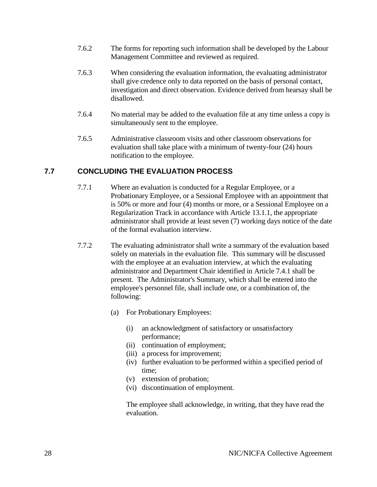- 7.6.2 The forms for reporting such information shall be developed by the Labour Management Committee and reviewed as required.
- 7.6.3 When considering the evaluation information, the evaluating administrator shall give credence only to data reported on the basis of personal contact, investigation and direct observation. Evidence derived from hearsay shall be disallowed.
- 7.6.4 No material may be added to the evaluation file at any time unless a copy is simultaneously sent to the employee.
- 7.6.5 Administrative classroom visits and other classroom observations for evaluation shall take place with a minimum of twenty-four (24) hours notification to the employee.

# <span id="page-29-0"></span>**7.7 CONCLUDING THE EVALUATION PROCESS**

- 7.7.1 Where an evaluation is conducted for a Regular Employee, or a Probationary Employee, or a Sessional Employee with an appointment that is 50% or more and four (4) months or more, or a Sessional Employee on a Regularization Track in accordance with Article 13.1.1, the appropriate administrator shall provide at least seven (7) working days notice of the date of the formal evaluation interview.
- 7.7.2 The evaluating administrator shall write a summary of the evaluation based solely on materials in the evaluation file. This summary will be discussed with the employee at an evaluation interview, at which the evaluating administrator and Department Chair identified in Article 7.4.1 shall be present. The Administrator's Summary, which shall be entered into the employee's personnel file, shall include one, or a combination of, the following:
	- (a) For Probationary Employees:
		- (i) an acknowledgment of satisfactory or unsatisfactory performance;
		- (ii) continuation of employment;
		- (iii) a process for improvement;
		- (iv) further evaluation to be performed within a specified period of time;
		- (v) extension of probation;
		- (vi) discontinuation of employment.

The employee shall acknowledge, in writing, that they have read the evaluation.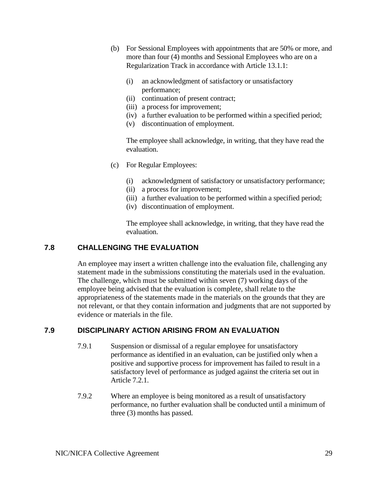- (b) For Sessional Employees with appointments that are 50% or more, and more than four (4) months and Sessional Employees who are on a Regularization Track in accordance with Article 13.1.1:
	- (i) an acknowledgment of satisfactory or unsatisfactory performance;
	- (ii) continuation of present contract;
	- (iii) a process for improvement;
	- (iv) a further evaluation to be performed within a specified period;
	- (v) discontinuation of employment.

The employee shall acknowledge, in writing, that they have read the evaluation.

- (c) For Regular Employees:
	- (i) acknowledgment of satisfactory or unsatisfactory performance;
	- (ii) a process for improvement;
	- (iii) a further evaluation to be performed within a specified period;
	- (iv) discontinuation of employment.

The employee shall acknowledge, in writing, that they have read the evaluation.

#### <span id="page-30-0"></span>**7.8 CHALLENGING THE EVALUATION**

An employee may insert a written challenge into the evaluation file, challenging any statement made in the submissions constituting the materials used in the evaluation. The challenge, which must be submitted within seven (7) working days of the employee being advised that the evaluation is complete, shall relate to the appropriateness of the statements made in the materials on the grounds that they are not relevant, or that they contain information and judgments that are not supported by evidence or materials in the file.

#### <span id="page-30-1"></span>**7.9 DISCIPLINARY ACTION ARISING FROM AN EVALUATION**

- 7.9.1 Suspension or dismissal of a regular employee for unsatisfactory performance as identified in an evaluation, can be justified only when a positive and supportive process for improvement has failed to result in a satisfactory level of performance as judged against the criteria set out in Article 7.2.1.
- 7.9.2 Where an employee is being monitored as a result of unsatisfactory performance, no further evaluation shall be conducted until a minimum of three (3) months has passed.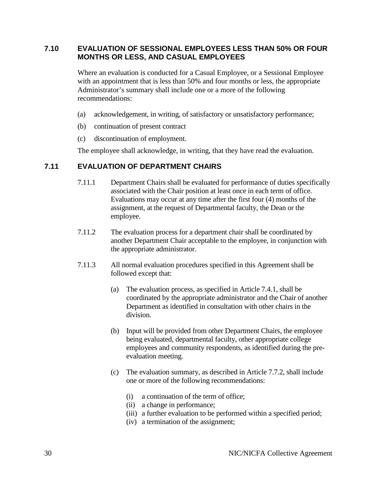#### <span id="page-31-0"></span>**7.10 EVALUATION OF SESSIONAL EMPLOYEES LESS THAN 50% OR FOUR MONTHS OR LESS, AND CASUAL EMPLOYEES**

Where an evaluation is conducted for a Casual Employee, or a Sessional Employee with an appointment that is less than 50% and four months or less, the appropriate Administrator's summary shall include one or a more of the following recommendations:

- (a) acknowledgement, in writing, of satisfactory or unsatisfactory performance;
- (b) continuation of present contract
- (c) discontinuation of employment.

The employee shall acknowledge, in writing, that they have read the evaluation.

#### <span id="page-31-1"></span>**7.11 EVALUATION OF DEPARTMENT CHAIRS**

- 7.11.1 Department Chairs shall be evaluated for performance of duties specifically associated with the Chair position at least once in each term of office. Evaluations may occur at any time after the first four (4) months of the assignment, at the request of Departmental faculty, the Dean or the employee.
- 7.11.2 The evaluation process for a department chair shall be coordinated by another Department Chair acceptable to the employee, in conjunction with the appropriate administrator.
- 7.11.3 All normal evaluation procedures specified in this Agreement shall be followed except that:
	- (a) The evaluation process, as specified in Article 7.4.1, shall be coordinated by the appropriate administrator and the Chair of another Department as identified in consultation with other chairs in the division.
	- (b) Input will be provided from other Department Chairs, the employee being evaluated, departmental faculty, other appropriate college employees and community respondents, as identified during the preevaluation meeting.
	- (c) The evaluation summary, as described in Article 7.7.2, shall include one or more of the following recommendations:
		- (i) a continuation of the term of office;
		- (ii) a change in performance;
		- (iii) a further evaluation to be performed within a specified period;
		- (iv) a termination of the assignment;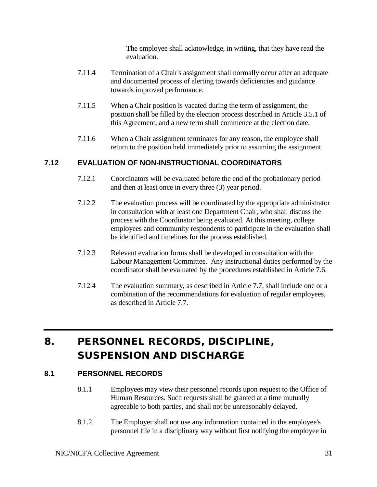The employee shall acknowledge, in writing, that they have read the evaluation.

- 7.11.4 Termination of a Chair's assignment shall normally occur after an adequate and documented process of alerting towards deficiencies and guidance towards improved performance.
- 7.11.5 When a Chair position is vacated during the term of assignment, the position shall be filled by the election process described in Article 3.5.1 of this Agreement, and a new term shall commence at the election date.
- 7.11.6 When a Chair assignment terminates for any reason, the employee shall return to the position held immediately prior to assuming the assignment.

# <span id="page-32-0"></span>**7.12 EVALUATION OF NON-INSTRUCTIONAL COORDINATORS**

- 7.12.1 Coordinators will be evaluated before the end of the probationary period and then at least once in every three (3) year period.
- 7.12.2 The evaluation process will be coordinated by the appropriate administrator in consultation with at least one Department Chair, who shall discuss the process with the Coordinator being evaluated. At this meeting, college employees and community respondents to participate in the evaluation shall be identified and timelines for the process established.
- 7.12.3 Relevant evaluation forms shall be developed in consultation with the Labour Management Committee. Any instructional duties performed by the coordinator shall be evaluated by the procedures established in Article 7.6.
- 7.12.4 The evaluation summary, as described in Article 7.7, shall include one or a combination of the recommendations for evaluation of regular employees, as described in Article 7.7.

# <span id="page-32-1"></span>8. PERSONNEL RECORDS, DISCIPLINE, SUSPENSION AND DISCHARGE

# <span id="page-32-2"></span>**8.1 PERSONNEL RECORDS**

- 8.1.1 Employees may view their personnel records upon request to the Office of Human Resources. Such requests shall be granted at a time mutually agreeable to both parties, and shall not be unreasonably delayed.
- 8.1.2 The Employer shall not use any information contained in the employee's personnel file in a disciplinary way without first notifying the employee in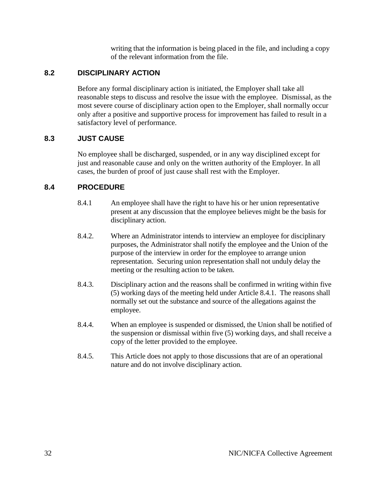writing that the information is being placed in the file, and including a copy of the relevant information from the file.

# <span id="page-33-0"></span>**8.2 DISCIPLINARY ACTION**

Before any formal disciplinary action is initiated, the Employer shall take all reasonable steps to discuss and resolve the issue with the employee. Dismissal, as the most severe course of disciplinary action open to the Employer, shall normally occur only after a positive and supportive process for improvement has failed to result in a satisfactory level of performance.

# <span id="page-33-1"></span>**8.3 JUST CAUSE**

No employee shall be discharged, suspended, or in any way disciplined except for just and reasonable cause and only on the written authority of the Employer. In all cases, the burden of proof of just cause shall rest with the Employer.

# <span id="page-33-2"></span>**8.4 PROCEDURE**

- 8.4.1 An employee shall have the right to have his or her union representative present at any discussion that the employee believes might be the basis for disciplinary action.
- 8.4.2. Where an Administrator intends to interview an employee for disciplinary purposes, the Administrator shall notify the employee and the Union of the purpose of the interview in order for the employee to arrange union representation. Securing union representation shall not unduly delay the meeting or the resulting action to be taken.
- 8.4.3. Disciplinary action and the reasons shall be confirmed in writing within five (5) working days of the meeting held under Article 8.4.1. The reasons shall normally set out the substance and source of the allegations against the employee.
- 8.4.4. When an employee is suspended or dismissed, the Union shall be notified of the suspension or dismissal within five (5) working days, and shall receive a copy of the letter provided to the employee.
- 8.4.5. This Article does not apply to those discussions that are of an operational nature and do not involve disciplinary action.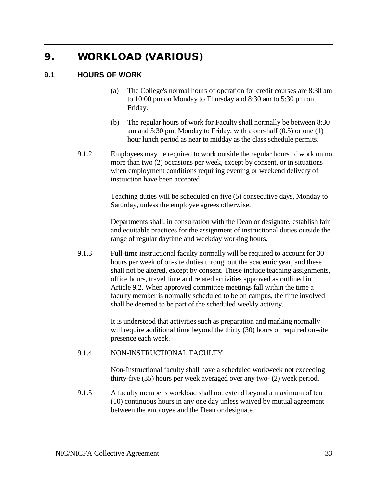# <span id="page-34-0"></span>9. WORKLOAD (VARIOUS)

#### <span id="page-34-1"></span>**9.1 HOURS OF WORK**

- (a) The College's normal hours of operation for credit courses are 8:30 am to 10:00 pm on Monday to Thursday and 8:30 am to 5:30 pm on Friday.
- (b) The regular hours of work for Faculty shall normally be between 8:30 am and 5:30 pm, Monday to Friday, with a one-half (0.5) or one (1) hour lunch period as near to midday as the class schedule permits.
- 9.1.2 Employees may be required to work outside the regular hours of work on no more than two (2) occasions per week, except by consent, or in situations when employment conditions requiring evening or weekend delivery of instruction have been accepted.

Teaching duties will be scheduled on five (5) consecutive days, Monday to Saturday, unless the employee agrees otherwise.

Departments shall, in consultation with the Dean or designate, establish fair and equitable practices for the assignment of instructional duties outside the range of regular daytime and weekday working hours.

9.1.3 Full-time instructional faculty normally will be required to account for 30 hours per week of on-site duties throughout the academic year, and these shall not be altered, except by consent. These include teaching assignments, office hours, travel time and related activities approved as outlined in Article 9.2. When approved committee meetings fall within the time a faculty member is normally scheduled to be on campus, the time involved shall be deemed to be part of the scheduled weekly activity.

> It is understood that activities such as preparation and marking normally will require additional time beyond the thirty (30) hours of required on-site presence each week.

#### 9.1.4 NON-INSTRUCTIONAL FACULTY

Non-Instructional faculty shall have a scheduled workweek not exceeding thirty-five (35) hours per week averaged over any two- (2) week period.

9.1.5 A faculty member's workload shall not extend beyond a maximum of ten (10) continuous hours in any one day unless waived by mutual agreement between the employee and the Dean or designate.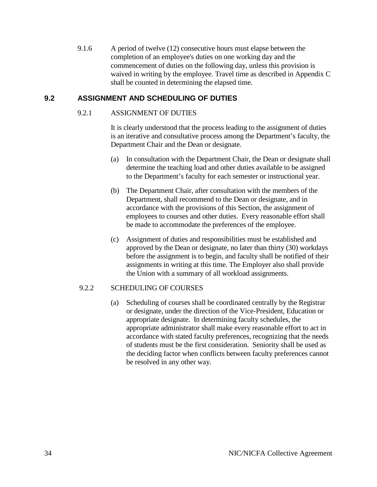9.1.6 A period of twelve (12) consecutive hours must elapse between the completion of an employee's duties on one working day and the commencement of duties on the following day, unless this provision is waived in writing by the employee. Travel time as described in Appendix C shall be counted in determining the elapsed time.

### <span id="page-35-0"></span>**9.2 ASSIGNMENT AND SCHEDULING OF DUTIES**

#### 9.2.1 ASSIGNMENT OF DUTIES

It is clearly understood that the process leading to the assignment of duties is an iterative and consultative process among the Department's faculty, the Department Chair and the Dean or designate.

- (a) In consultation with the Department Chair, the Dean or designate shall determine the teaching load and other duties available to be assigned to the Department's faculty for each semester or instructional year.
- (b) The Department Chair, after consultation with the members of the Department, shall recommend to the Dean or designate, and in accordance with the provisions of this Section, the assignment of employees to courses and other duties. Every reasonable effort shall be made to accommodate the preferences of the employee.
- (c) Assignment of duties and responsibilities must be established and approved by the Dean or designate, no later than thirty (30) workdays before the assignment is to begin, and faculty shall be notified of their assignments in writing at this time. The Employer also shall provide the Union with a summary of all workload assignments.

#### 9.2.2 SCHEDULING OF COURSES

(a) Scheduling of courses shall be coordinated centrally by the Registrar or designate, under the direction of the Vice-President, Education or appropriate designate. In determining faculty schedules, the appropriate administrator shall make every reasonable effort to act in accordance with stated faculty preferences, recognizing that the needs of students must be the first consideration. Seniority shall be used as the deciding factor when conflicts between faculty preferences cannot be resolved in any other way.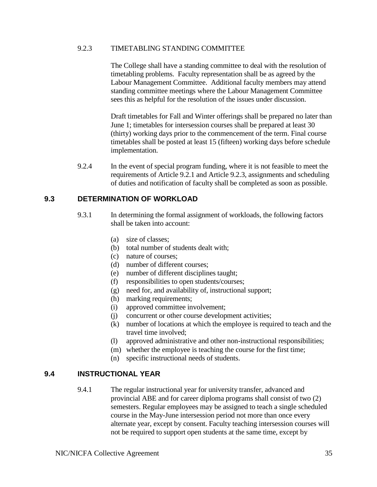#### 9.2.3 TIMETABLING STANDING COMMITTEE

The College shall have a standing committee to deal with the resolution of timetabling problems. Faculty representation shall be as agreed by the Labour Management Committee. Additional faculty members may attend standing committee meetings where the Labour Management Committee sees this as helpful for the resolution of the issues under discussion.

Draft timetables for Fall and Winter offerings shall be prepared no later than June 1; timetables for intersession courses shall be prepared at least 30 (thirty) working days prior to the commencement of the term. Final course timetables shall be posted at least 15 (fifteen) working days before schedule implementation.

9.2.4 In the event of special program funding, where it is not feasible to meet the requirements of Article 9.2.1 and Article 9.2.3, assignments and scheduling of duties and notification of faculty shall be completed as soon as possible.

### **9.3 DETERMINATION OF WORKLOAD**

- 9.3.1 In determining the formal assignment of workloads, the following factors shall be taken into account:
	- (a) size of classes;
	- (b) total number of students dealt with;
	- (c) nature of courses;
	- (d) number of different courses;
	- (e) number of different disciplines taught;
	- (f) responsibilities to open students/courses;
	- (g) need for, and availability of, instructional support;
	- (h) marking requirements;
	- (i) approved committee involvement;
	- (j) concurrent or other course development activities;
	- (k) number of locations at which the employee is required to teach and the travel time involved;
	- (l) approved administrative and other non-instructional responsibilities;
	- (m) whether the employee is teaching the course for the first time;
	- (n) specific instructional needs of students.

### **9.4 INSTRUCTIONAL YEAR**

9.4.1 The regular instructional year for university transfer, advanced and provincial ABE and for career diploma programs shall consist of two (2) semesters. Regular employees may be assigned to teach a single scheduled course in the May-June intersession period not more than once every alternate year, except by consent. Faculty teaching intersession courses will not be required to support open students at the same time, except by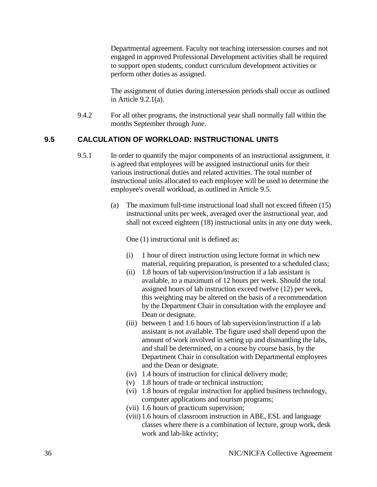Departmental agreement. Faculty not teaching intersession courses and not engaged in approved Professional Development activities shall be required to support open students, conduct curriculum development activities or perform other duties as assigned.

The assignment of duties during intersession periods shall occur as outlined in Article 9.2.1(a).

9.4.2 For all other programs, the instructional year shall normally fall within the months September through June.

### **9.5 CALCULATION OF WORKLOAD: INSTRUCTIONAL UNITS**

- 9.5.1 In order to quantify the major components of an instructional assignment, it is agreed that employees will be assigned instructional units for their various instructional duties and related activities. The total number of instructional units allocated to each employee will be used to determine the employee's overall workload, as outlined in Article 9.5.
	- (a) The maximum full-time instructional load shall not exceed fifteen (15) instructional units per week, averaged over the instructional year, and shall not exceed eighteen (18) instructional units in any one duty week.

One (1) instructional unit is defined as:

- (i) 1 hour of direct instruction using lecture format in which new material, requiring preparation, is presented to a scheduled class;
- (ii) 1.8 hours of lab supervision/instruction if a lab assistant is available, to a maximum of 12 hours per week. Should the total assigned hours of lab instruction exceed twelve (12) per week, this weighting may be altered on the basis of a recommendation by the Department Chair in consultation with the employee and Dean or designate.
- (iii) between 1 and 1.6 hours of lab supervision/instruction if a lab assistant is not available. The figure used shall depend upon the amount of work involved in setting up and dismantling the labs, and shall be determined, on a course by course basis, by the Department Chair in consultation with Departmental employees and the Dean or designate.
- (iv) 1.4 hours of instruction for clinical delivery mode;
- (v) 1.8 hours of trade or technical instruction;
- (vi) 1.8 hours of regular instruction for applied business technology, computer applications and tourism programs;
- (vii) 1.6 hours of practicum supervision;
- (viii) 1.6 hours of classroom instruction in ABE, ESL and language classes where there is a combination of lecture, group work, desk work and lab-like activity;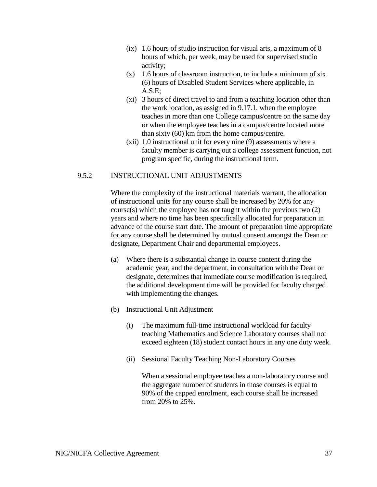- (ix) 1.6 hours of studio instruction for visual arts, a maximum of 8 hours of which, per week, may be used for supervised studio activity;
- $(x)$  1.6 hours of classroom instruction, to include a minimum of six (6) hours of Disabled Student Services where applicable, in A.S.E;
- (xi) 3 hours of direct travel to and from a teaching location other than the work location, as assigned in 9.17.1, when the employee teaches in more than one College campus/centre on the same day or when the employee teaches in a campus/centre located more than sixty (60) km from the home campus/centre.
- (xii) 1.0 instructional unit for every nine (9) assessments where a faculty member is carrying out a college assessment function, not program specific, during the instructional term.

#### 9.5.2 INSTRUCTIONAL UNIT ADJUSTMENTS

Where the complexity of the instructional materials warrant, the allocation of instructional units for any course shall be increased by 20% for any course(s) which the employee has not taught within the previous two (2) years and where no time has been specifically allocated for preparation in advance of the course start date. The amount of preparation time appropriate for any course shall be determined by mutual consent amongst the Dean or designate, Department Chair and departmental employees.

- (a) Where there is a substantial change in course content during the academic year, and the department, in consultation with the Dean or designate, determines that immediate course modification is required, the additional development time will be provided for faculty charged with implementing the changes.
- (b) Instructional Unit Adjustment
	- (i) The maximum full-time instructional workload for faculty teaching Mathematics and Science Laboratory courses shall not exceed eighteen (18) student contact hours in any one duty week.
	- (ii) Sessional Faculty Teaching Non-Laboratory Courses

When a sessional employee teaches a non-laboratory course and the aggregate number of students in those courses is equal to 90% of the capped enrolment, each course shall be increased from 20% to 25%.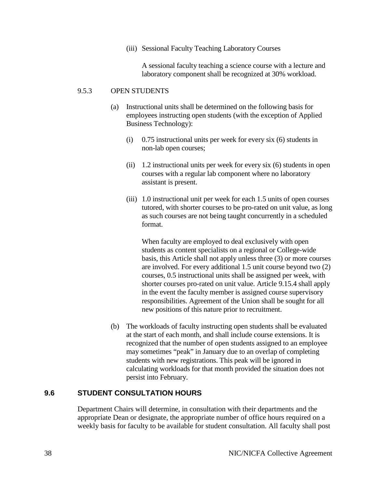(iii) Sessional Faculty Teaching Laboratory Courses

A sessional faculty teaching a science course with a lecture and laboratory component shall be recognized at 30% workload.

#### 9.5.3 OPEN STUDENTS

- (a) Instructional units shall be determined on the following basis for employees instructing open students (with the exception of Applied Business Technology):
	- (i) 0.75 instructional units per week for every six (6) students in non-lab open courses;
	- (ii) 1.2 instructional units per week for every six (6) students in open courses with a regular lab component where no laboratory assistant is present.
	- (iii) 1.0 instructional unit per week for each 1.5 units of open courses tutored, with shorter courses to be pro-rated on unit value, as long as such courses are not being taught concurrently in a scheduled format.

When faculty are employed to deal exclusively with open students as content specialists on a regional or College-wide basis, this Article shall not apply unless three (3) or more courses are involved. For every additional 1.5 unit course beyond two (2) courses, 0.5 instructional units shall be assigned per week, with shorter courses pro-rated on unit value. Article 9.15.4 shall apply in the event the faculty member is assigned course supervisory responsibilities. Agreement of the Union shall be sought for all new positions of this nature prior to recruitment.

(b) The workloads of faculty instructing open students shall be evaluated at the start of each month, and shall include course extensions. It is recognized that the number of open students assigned to an employee may sometimes "peak" in January due to an overlap of completing students with new registrations. This peak will be ignored in calculating workloads for that month provided the situation does not persist into February.

#### **9.6 STUDENT CONSULTATION HOURS**

Department Chairs will determine, in consultation with their departments and the appropriate Dean or designate, the appropriate number of office hours required on a weekly basis for faculty to be available for student consultation. All faculty shall post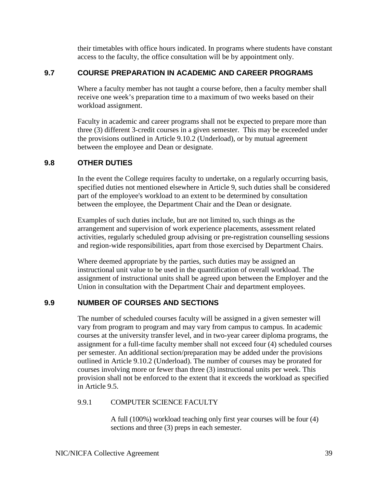their timetables with office hours indicated. In programs where students have constant access to the faculty, the office consultation will be by appointment only.

# **9.7 COURSE PREPARATION IN ACADEMIC AND CAREER PROGRAMS**

Where a faculty member has not taught a course before, then a faculty member shall receive one week's preparation time to a maximum of two weeks based on their workload assignment.

Faculty in academic and career programs shall not be expected to prepare more than three (3) different 3-credit courses in a given semester. This may be exceeded under the provisions outlined in Article 9.10.2 (Underload), or by mutual agreement between the employee and Dean or designate.

### **9.8 OTHER DUTIES**

In the event the College requires faculty to undertake, on a regularly occurring basis, specified duties not mentioned elsewhere in Article 9, such duties shall be considered part of the employee's workload to an extent to be determined by consultation between the employee, the Department Chair and the Dean or designate.

Examples of such duties include, but are not limited to, such things as the arrangement and supervision of work experience placements, assessment related activities, regularly scheduled group advising or pre-registration counselling sessions and region-wide responsibilities, apart from those exercised by Department Chairs.

Where deemed appropriate by the parties, such duties may be assigned an instructional unit value to be used in the quantification of overall workload. The assignment of instructional units shall be agreed upon between the Employer and the Union in consultation with the Department Chair and department employees.

# **9.9 NUMBER OF COURSES AND SECTIONS**

The number of scheduled courses faculty will be assigned in a given semester will vary from program to program and may vary from campus to campus. In academic courses at the university transfer level, and in two-year career diploma programs, the assignment for a full-time faculty member shall not exceed four (4) scheduled courses per semester. An additional section/preparation may be added under the provisions outlined in Article 9.10.2 (Underload). The number of courses may be prorated for courses involving more or fewer than three (3) instructional units per week. This provision shall not be enforced to the extent that it exceeds the workload as specified in Article 9.5.

### 9.9.1 COMPUTER SCIENCE FACULTY

A full (100%) workload teaching only first year courses will be four (4) sections and three (3) preps in each semester.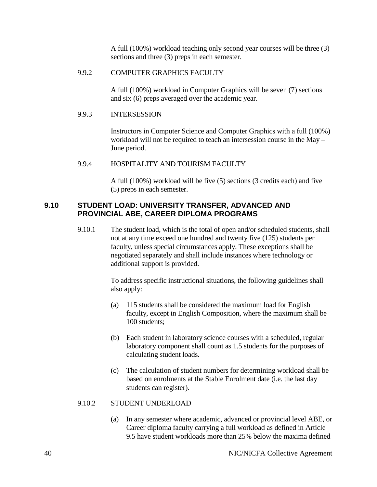A full (100%) workload teaching only second year courses will be three (3) sections and three (3) preps in each semester.

#### 9.9.2 COMPUTER GRAPHICS FACULTY

A full (100%) workload in Computer Graphics will be seven (7) sections and six (6) preps averaged over the academic year.

#### 9.9.3 INTERSESSION

Instructors in Computer Science and Computer Graphics with a full (100%) workload will not be required to teach an intersession course in the May – June period.

#### 9.9.4 HOSPITALITY AND TOURISM FACULTY

A full (100%) workload will be five (5) sections (3 credits each) and five (5) preps in each semester.

### **9.10 STUDENT LOAD: UNIVERSITY TRANSFER, ADVANCED AND PROVINCIAL ABE, CAREER DIPLOMA PROGRAMS**

9.10.1 The student load, which is the total of open and/or scheduled students, shall not at any time exceed one hundred and twenty five (125) students per faculty, unless special circumstances apply. These exceptions shall be negotiated separately and shall include instances where technology or additional support is provided.

> To address specific instructional situations, the following guidelines shall also apply:

- (a) 115 students shall be considered the maximum load for English faculty, except in English Composition, where the maximum shall be 100 students;
- (b) Each student in laboratory science courses with a scheduled, regular laboratory component shall count as 1.5 students for the purposes of calculating student loads.
- (c) The calculation of student numbers for determining workload shall be based on enrolments at the Stable Enrolment date (i.e. the last day students can register).

#### 9.10.2 STUDENT UNDERLOAD

(a) In any semester where academic, advanced or provincial level ABE, or Career diploma faculty carrying a full workload as defined in Article 9.5 have student workloads more than 25% below the maxima defined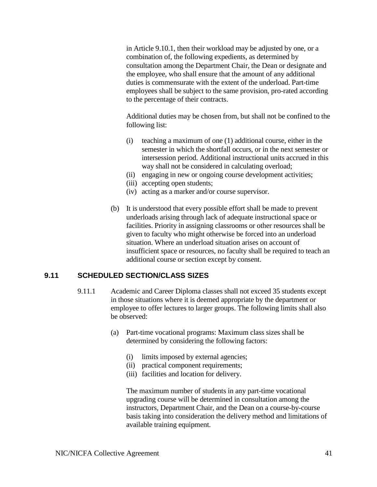in Article 9.10.1, then their workload may be adjusted by one, or a combination of, the following expedients, as determined by consultation among the Department Chair, the Dean or designate and the employee, who shall ensure that the amount of any additional duties is commensurate with the extent of the underload. Part-time employees shall be subject to the same provision, pro-rated according to the percentage of their contracts.

Additional duties may be chosen from, but shall not be confined to the following list:

- (i) teaching a maximum of one (1) additional course, either in the semester in which the shortfall occurs, or in the next semester or intersession period. Additional instructional units accrued in this way shall not be considered in calculating overload;
- (ii) engaging in new or ongoing course development activities;
- (iii) accepting open students;
- (iv) acting as a marker and/or course supervisor.
- (b) It is understood that every possible effort shall be made to prevent underloads arising through lack of adequate instructional space or facilities. Priority in assigning classrooms or other resources shall be given to faculty who might otherwise be forced into an underload situation. Where an underload situation arises on account of insufficient space or resources, no faculty shall be required to teach an additional course or section except by consent.

### **9.11 SCHEDULED SECTION/CLASS SIZES**

- 9.11.1 Academic and Career Diploma classes shall not exceed 35 students except in those situations where it is deemed appropriate by the department or employee to offer lectures to larger groups. The following limits shall also be observed:
	- (a) Part-time vocational programs: Maximum class sizes shall be determined by considering the following factors:
		- (i) limits imposed by external agencies;
		- (ii) practical component requirements;
		- (iii) facilities and location for delivery.

The maximum number of students in any part-time vocational upgrading course will be determined in consultation among the instructors, Department Chair, and the Dean on a course-by-course basis taking into consideration the delivery method and limitations of available training equipment.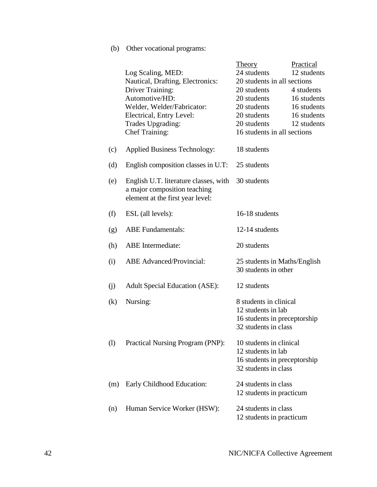# (b) Other vocational programs:

|          |                                                                                                           | <b>Theory</b>                                        | Practical   |
|----------|-----------------------------------------------------------------------------------------------------------|------------------------------------------------------|-------------|
|          | Log Scaling, MED:<br>Nautical, Drafting, Electronics:                                                     | 24 students<br>20 students in all sections           | 12 students |
|          | <b>Driver Training:</b>                                                                                   | 20 students                                          | 4 students  |
|          | Automotive/HD:                                                                                            | 20 students                                          | 16 students |
|          | Welder, Welder/Fabricator:                                                                                | 20 students                                          | 16 students |
|          | Electrical, Entry Level:                                                                                  | 20 students                                          | 16 students |
|          | Trades Upgrading:                                                                                         | 20 students                                          | 12 students |
|          | <b>Chef Training:</b>                                                                                     | 16 students in all sections                          |             |
| (c)      | <b>Applied Business Technology:</b>                                                                       | 18 students                                          |             |
| (d)      | English composition classes in U.T:                                                                       | 25 students                                          |             |
| (e)      | English U.T. literature classes, with<br>a major composition teaching<br>element at the first year level: | 30 students                                          |             |
| (f)      | ESL (all levels):                                                                                         | 16-18 students                                       |             |
| (g)      | <b>ABE</b> Fundamentals:                                                                                  | 12-14 students                                       |             |
| (h)      | <b>ABE</b> Intermediate:                                                                                  | 20 students                                          |             |
| (i)      | <b>ABE</b> Advanced/Provincial:                                                                           | 25 students in Maths/English<br>30 students in other |             |
| (j)      | <b>Adult Special Education (ASE):</b>                                                                     | 12 students                                          |             |
| $\rm(k)$ | Nursing:                                                                                                  | 8 students in clinical                               |             |
|          |                                                                                                           | 12 students in lab                                   |             |
|          |                                                                                                           | 16 students in preceptorship                         |             |
|          |                                                                                                           | 32 students in class                                 |             |
| (1)      | Practical Nursing Program (PNP):                                                                          | 10 students in clinical                              |             |
|          |                                                                                                           | 12 students in lab                                   |             |
|          |                                                                                                           | 16 students in preceptorship                         |             |
|          |                                                                                                           | 32 students in class                                 |             |
| (m)      | Early Childhood Education:                                                                                | 24 students in class                                 |             |
|          |                                                                                                           | 12 students in practicum                             |             |
| (n)      | Human Service Worker (HSW):                                                                               | 24 students in class                                 |             |
|          |                                                                                                           | 12 students in practicum                             |             |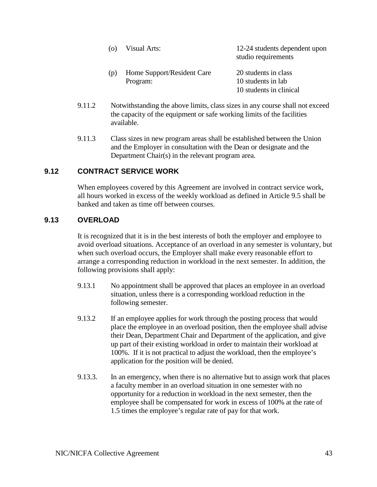|     | Visual Arts:                           | 12-24 students dependent upon<br>studio requirements                  |
|-----|----------------------------------------|-----------------------------------------------------------------------|
| (D) | Home Support/Resident Care<br>Program: | 20 students in class<br>10 students in lab<br>10 students in clinical |

- 9.11.2 Notwithstanding the above limits, class sizes in any course shall not exceed the capacity of the equipment or safe working limits of the facilities available.
- 9.11.3 Class sizes in new program areas shall be established between the Union and the Employer in consultation with the Dean or designate and the Department Chair(s) in the relevant program area.

### **9.12 CONTRACT SERVICE WORK**

When employees covered by this Agreement are involved in contract service work, all hours worked in excess of the weekly workload as defined in Article 9.5 shall be banked and taken as time off between courses.

### **9.13 OVERLOAD**

It is recognized that it is in the best interests of both the employer and employee to avoid overload situations. Acceptance of an overload in any semester is voluntary, but when such overload occurs, the Employer shall make every reasonable effort to arrange a corresponding reduction in workload in the next semester. In addition, the following provisions shall apply:

- 9.13.1 No appointment shall be approved that places an employee in an overload situation, unless there is a corresponding workload reduction in the following semester.
- 9.13.2 If an employee applies for work through the posting process that would place the employee in an overload position, then the employee shall advise their Dean, Department Chair and Department of the application, and give up part of their existing workload in order to maintain their workload at 100%. If it is not practical to adjust the workload, then the employee's application for the position will be denied.
- 9.13.3. In an emergency, when there is no alternative but to assign work that places a faculty member in an overload situation in one semester with no opportunity for a reduction in workload in the next semester, then the employee shall be compensated for work in excess of 100% at the rate of 1.5 times the employee's regular rate of pay for that work.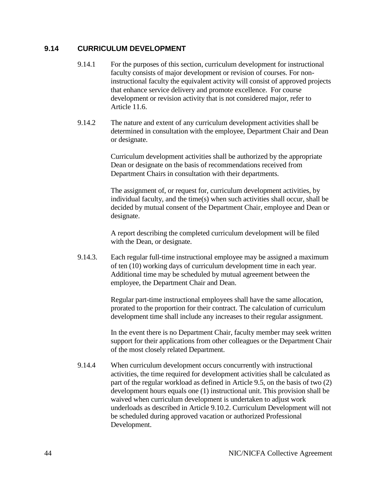### **9.14 CURRICULUM DEVELOPMENT**

- 9.14.1 For the purposes of this section, curriculum development for instructional faculty consists of major development or revision of courses. For noninstructional faculty the equivalent activity will consist of approved projects that enhance service delivery and promote excellence. For course development or revision activity that is not considered major, refer to Article 11.6.
- 9.14.2 The nature and extent of any curriculum development activities shall be determined in consultation with the employee, Department Chair and Dean or designate.

Curriculum development activities shall be authorized by the appropriate Dean or designate on the basis of recommendations received from Department Chairs in consultation with their departments.

The assignment of, or request for, curriculum development activities, by individual faculty, and the time(s) when such activities shall occur, shall be decided by mutual consent of the Department Chair, employee and Dean or designate.

A report describing the completed curriculum development will be filed with the Dean, or designate.

9.14.3. Each regular full-time instructional employee may be assigned a maximum of ten (10) working days of curriculum development time in each year. Additional time may be scheduled by mutual agreement between the employee, the Department Chair and Dean.

> Regular part-time instructional employees shall have the same allocation, prorated to the proportion for their contract. The calculation of curriculum development time shall include any increases to their regular assignment.

In the event there is no Department Chair, faculty member may seek written support for their applications from other colleagues or the Department Chair of the most closely related Department.

9.14.4 When curriculum development occurs concurrently with instructional activities, the time required for development activities shall be calculated as part of the regular workload as defined in Article 9.5, on the basis of two (2) development hours equals one (1) instructional unit. This provision shall be waived when curriculum development is undertaken to adjust work underloads as described in Article 9.10.2. Curriculum Development will not be scheduled during approved vacation or authorized Professional Development.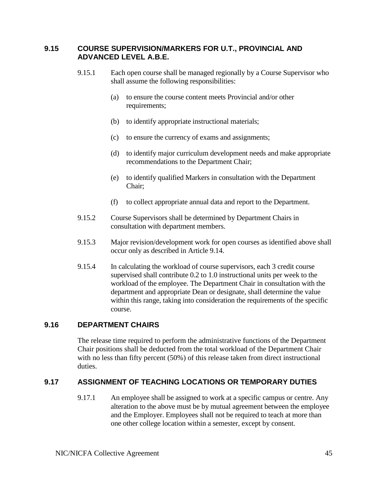### **9.15 COURSE SUPERVISION/MARKERS FOR U.T., PROVINCIAL AND ADVANCED LEVEL A.B.E.**

- 9.15.1 Each open course shall be managed regionally by a Course Supervisor who shall assume the following responsibilities:
	- (a) to ensure the course content meets Provincial and/or other requirements;
	- (b) to identify appropriate instructional materials;
	- (c) to ensure the currency of exams and assignments;
	- (d) to identify major curriculum development needs and make appropriate recommendations to the Department Chair;
	- (e) to identify qualified Markers in consultation with the Department Chair;
	- (f) to collect appropriate annual data and report to the Department.
- 9.15.2 Course Supervisors shall be determined by Department Chairs in consultation with department members.
- 9.15.3 Major revision/development work for open courses as identified above shall occur only as described in Article 9.14.
- 9.15.4 In calculating the workload of course supervisors, each 3 credit course supervised shall contribute 0.2 to 1.0 instructional units per week to the workload of the employee. The Department Chair in consultation with the department and appropriate Dean or designate, shall determine the value within this range, taking into consideration the requirements of the specific course.

# **9.16 DEPARTMENT CHAIRS**

The release time required to perform the administrative functions of the Department Chair positions shall be deducted from the total workload of the Department Chair with no less than fifty percent (50%) of this release taken from direct instructional duties.

# **9.17 ASSIGNMENT OF TEACHING LOCATIONS OR TEMPORARY DUTIES**

9.17.1 An employee shall be assigned to work at a specific campus or centre. Any alteration to the above must be by mutual agreement between the employee and the Employer. Employees shall not be required to teach at more than one other college location within a semester, except by consent.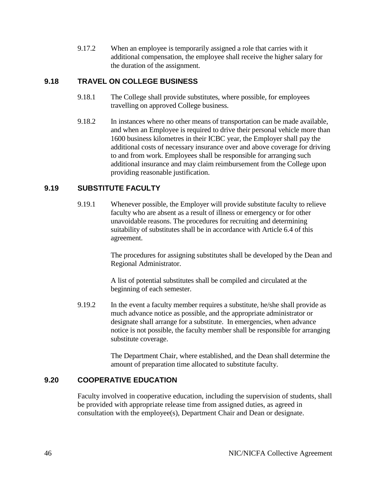9.17.2 When an employee is temporarily assigned a role that carries with it additional compensation, the employee shall receive the higher salary for the duration of the assignment.

### **9.18 TRAVEL ON COLLEGE BUSINESS**

- 9.18.1 The College shall provide substitutes, where possible, for employees travelling on approved College business.
- 9.18.2 In instances where no other means of transportation can be made available, and when an Employee is required to drive their personal vehicle more than 1600 business kilometres in their ICBC year, the Employer shall pay the additional costs of necessary insurance over and above coverage for driving to and from work. Employees shall be responsible for arranging such additional insurance and may claim reimbursement from the College upon providing reasonable justification.

### **9.19 SUBSTITUTE FACULTY**

9.19.1 Whenever possible, the Employer will provide substitute faculty to relieve faculty who are absent as a result of illness or emergency or for other unavoidable reasons. The procedures for recruiting and determining suitability of substitutes shall be in accordance with Article 6.4 of this agreement.

> The procedures for assigning substitutes shall be developed by the Dean and Regional Administrator.

A list of potential substitutes shall be compiled and circulated at the beginning of each semester.

9.19.2 In the event a faculty member requires a substitute, he/she shall provide as much advance notice as possible, and the appropriate administrator or designate shall arrange for a substitute. In emergencies, when advance notice is not possible, the faculty member shall be responsible for arranging substitute coverage.

> The Department Chair, where established, and the Dean shall determine the amount of preparation time allocated to substitute faculty.

# **9.20 COOPERATIVE EDUCATION**

Faculty involved in cooperative education, including the supervision of students, shall be provided with appropriate release time from assigned duties, as agreed in consultation with the employee(s), Department Chair and Dean or designate.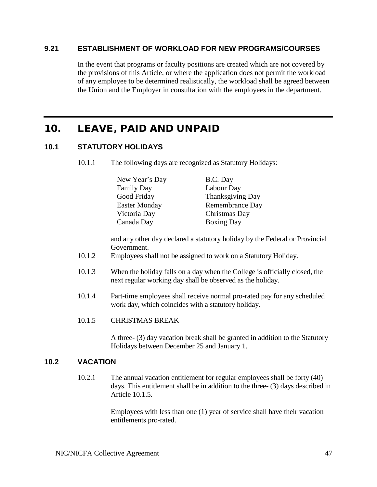### **9.21 ESTABLISHMENT OF WORKLOAD FOR NEW PROGRAMS/COURSES**

In the event that programs or faculty positions are created which are not covered by the provisions of this Article, or where the application does not permit the workload of any employee to be determined realistically, the workload shall be agreed between the Union and the Employer in consultation with the employees in the department.

# 10. LEAVE, PAID AND UNPAID

### **10.1 STATUTORY HOLIDAYS**

10.1.1 The following days are recognized as Statutory Holidays:

| New Year's Day       | B.C. Day          |
|----------------------|-------------------|
| <b>Family Day</b>    | Labour Day        |
| Good Friday          | Thanksgiving Day  |
| <b>Easter Monday</b> | Remembrance Day   |
| Victoria Day         | Christmas Day     |
| Canada Day           | <b>Boxing Day</b> |

and any other day declared a statutory holiday by the Federal or Provincial Government.

- 10.1.2 Employees shall not be assigned to work on a Statutory Holiday.
- 10.1.3 When the holiday falls on a day when the College is officially closed, the next regular working day shall be observed as the holiday.
- 10.1.4 Part-time employees shall receive normal pro-rated pay for any scheduled work day, which coincides with a statutory holiday.
- 10.1.5 CHRISTMAS BREAK

A three- (3) day vacation break shall be granted in addition to the Statutory Holidays between December 25 and January 1.

#### **10.2 VACATION**

10.2.1 The annual vacation entitlement for regular employees shall be forty (40) days. This entitlement shall be in addition to the three- (3) days described in Article 10.1.5.

> Employees with less than one (1) year of service shall have their vacation entitlements pro-rated.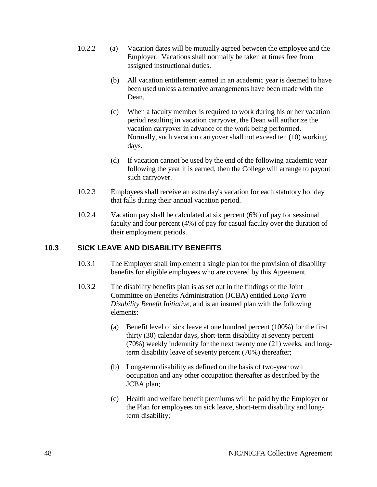- 10.2.2 (a) Vacation dates will be mutually agreed between the employee and the Employer. Vacations shall normally be taken at times free from assigned instructional duties.
	- (b) All vacation entitlement earned in an academic year is deemed to have been used unless alternative arrangements have been made with the Dean.
	- (c) When a faculty member is required to work during his or her vacation period resulting in vacation carryover, the Dean will authorize the vacation carryover in advance of the work being performed. Normally, such vacation carryover shall not exceed ten (10) working days.
	- (d) If vacation cannot be used by the end of the following academic year following the year it is earned, then the College will arrange to payout such carryover.
- 10.2.3 Employees shall receive an extra day's vacation for each statutory holiday that falls during their annual vacation period.
- 10.2.4 Vacation pay shall be calculated at six percent (6%) of pay for sessional faculty and four percent (4%) of pay for casual faculty over the duration of their employment periods.

# **10.3 SICK LEAVE AND DISABILITY BENEFITS**

- 10.3.1 The Employer shall implement a single plan for the provision of disability benefits for eligible employees who are covered by this Agreement.
- 10.3.2 The disability benefits plan is as set out in the findings of the Joint Committee on Benefits Administration (JCBA) entitled *Long-Term Disability Benefit Initiative*, and is an insured plan with the following elements:
	- (a) Benefit level of sick leave at one hundred percent (100%) for the first thirty (30) calendar days, short-term disability at seventy percent (70%) weekly indemnity for the next twenty one (21) weeks, and longterm disability leave of seventy percent (70%) thereafter;
	- (b) Long-term disability as defined on the basis of two-year own occupation and any other occupation thereafter as described by the JCBA plan;
	- (c) Health and welfare benefit premiums will be paid by the Employer or the Plan for employees on sick leave, short-term disability and longterm disability;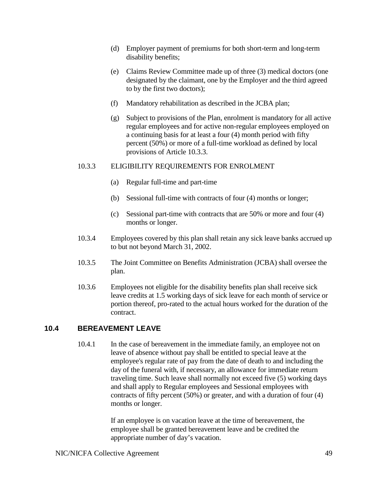- (d) Employer payment of premiums for both short-term and long-term disability benefits;
- (e) Claims Review Committee made up of three (3) medical doctors (one designated by the claimant, one by the Employer and the third agreed to by the first two doctors);
- (f) Mandatory rehabilitation as described in the JCBA plan;
- (g) Subject to provisions of the Plan, enrolment is mandatory for all active regular employees and for active non-regular employees employed on a continuing basis for at least a four (4) month period with fifty percent (50%) or more of a full-time workload as defined by local provisions of Article 10.3.3.

#### 10.3.3 ELIGIBILITY REQUIREMENTS FOR ENROLMENT

- (a) Regular full-time and part-time
- (b) Sessional full-time with contracts of four (4) months or longer;
- (c) Sessional part-time with contracts that are 50% or more and four (4) months or longer.
- 10.3.4 Employees covered by this plan shall retain any sick leave banks accrued up to but not beyond March 31, 2002.
- 10.3.5 The Joint Committee on Benefits Administration (JCBA) shall oversee the plan.
- 10.3.6 Employees not eligible for the disability benefits plan shall receive sick leave credits at 1.5 working days of sick leave for each month of service or portion thereof, pro-rated to the actual hours worked for the duration of the contract.

### **10.4 BEREAVEMENT LEAVE**

10.4.1 In the case of bereavement in the immediate family, an employee not on leave of absence without pay shall be entitled to special leave at the employee's regular rate of pay from the date of death to and including the day of the funeral with, if necessary, an allowance for immediate return traveling time. Such leave shall normally not exceed five (5) working days and shall apply to Regular employees and Sessional employees with contracts of fifty percent (50%) or greater, and with a duration of four (4) months or longer.

> If an employee is on vacation leave at the time of bereavement, the employee shall be granted bereavement leave and be credited the appropriate number of day's vacation.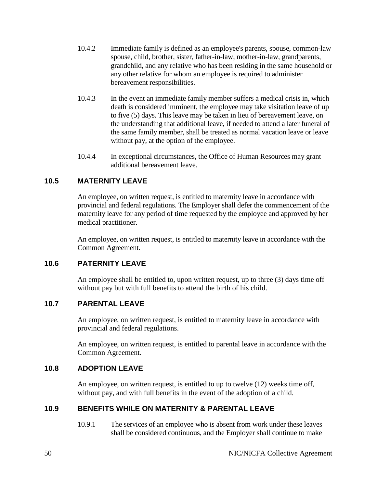- 10.4.2 Immediate family is defined as an employee's parents, spouse, common-law spouse, child, brother, sister, father-in-law, mother-in-law, grandparents, grandchild, and any relative who has been residing in the same household or any other relative for whom an employee is required to administer bereavement responsibilities.
- 10.4.3 In the event an immediate family member suffers a medical crisis in, which death is considered imminent, the employee may take visitation leave of up to five (5) days. This leave may be taken in lieu of bereavement leave, on the understanding that additional leave, if needed to attend a later funeral of the same family member, shall be treated as normal vacation leave or leave without pay, at the option of the employee.
- 10.4.4 In exceptional circumstances, the Office of Human Resources may grant additional bereavement leave.

# **10.5 MATERNITY LEAVE**

An employee, on written request, is entitled to maternity leave in accordance with provincial and federal regulations. The Employer shall defer the commencement of the maternity leave for any period of time requested by the employee and approved by her medical practitioner.

An employee, on written request, is entitled to maternity leave in accordance with the Common Agreement.

### **10.6 PATERNITY LEAVE**

An employee shall be entitled to, upon written request, up to three (3) days time off without pay but with full benefits to attend the birth of his child.

### **10.7 PARENTAL LEAVE**

An employee, on written request, is entitled to maternity leave in accordance with provincial and federal regulations.

An employee, on written request, is entitled to parental leave in accordance with the Common Agreement.

# **10.8 ADOPTION LEAVE**

An employee, on written request, is entitled to up to twelve (12) weeks time off, without pay, and with full benefits in the event of the adoption of a child.

# **10.9 BENEFITS WHILE ON MATERNITY & PARENTAL LEAVE**

10.9.1 The services of an employee who is absent from work under these leaves shall be considered continuous, and the Employer shall continue to make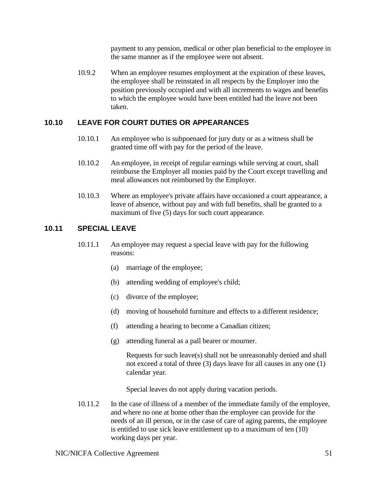payment to any pension, medical or other plan beneficial to the employee in the same manner as if the employee were not absent.

10.9.2 When an employee resumes employment at the expiration of these leaves, the employee shall be reinstated in all respects by the Employer into the position previously occupied and with all increments to wages and benefits to which the employee would have been entitled had the leave not been taken.

# **10.10 LEAVE FOR COURT DUTIES OR APPEARANCES**

- 10.10.1 An employee who is subpoenaed for jury duty or as a witness shall be granted time off with pay for the period of the leave.
- 10.10.2 An employee, in receipt of regular earnings while serving at court, shall reimburse the Employer all monies paid by the Court except travelling and meal allowances not reimbursed by the Employer.
- 10.10.3 Where an employee's private affairs have occasioned a court appearance, a leave of absence, without pay and with full benefits, shall be granted to a maximum of five (5) days for such court appearance.

# **10.11 SPECIAL LEAVE**

- 10.11.1 An employee may request a special leave with pay for the following reasons:
	- (a) marriage of the employee;
	- (b) attending wedding of employee's child;
	- (c) divorce of the employee;
	- (d) moving of household furniture and effects to a different residence;
	- (f) attending a hearing to become a Canadian citizen;
	- (g) attending funeral as a pall bearer or mourner.

Requests for such leave(s) shall not be unreasonably denied and shall not exceed a total of three (3) days leave for all causes in any one (1) calendar year.

Special leaves do not apply during vacation periods.

10.11.2 In the case of illness of a member of the immediate family of the employee, and where no one at home other than the employee can provide for the needs of an ill person, or in the case of care of aging parents, the employee is entitled to use sick leave entitlement up to a maximum of ten (10) working days per year.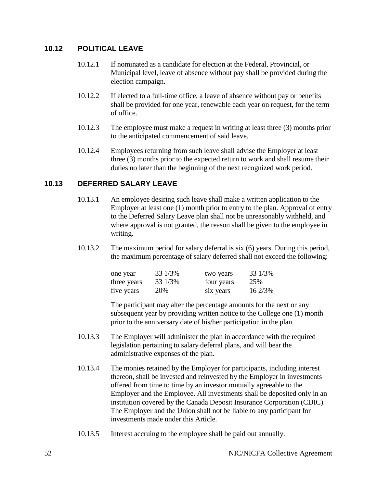# **10.12 POLITICAL LEAVE**

- 10.12.1 If nominated as a candidate for election at the Federal, Provincial, or Municipal level, leave of absence without pay shall be provided during the election campaign.
- 10.12.2 If elected to a full-time office, a leave of absence without pay or benefits shall be provided for one year, renewable each year on request, for the term of office.
- 10.12.3 The employee must make a request in writing at least three (3) months prior to the anticipated commencement of said leave.
- 10.12.4 Employees returning from such leave shall advise the Employer at least three (3) months prior to the expected return to work and shall resume their duties no later than the beginning of the next recognized work period.

### **10.13 DEFERRED SALARY LEAVE**

- 10.13.1 An employee desiring such leave shall make a written application to the Employer at least one (1) month prior to entry to the plan. Approval of entry to the Deferred Salary Leave plan shall not be unreasonably withheld, and where approval is not granted, the reason shall be given to the employee in writing.
- 10.13.2 The maximum period for salary deferral is six (6) years. During this period, the maximum percentage of salary deferred shall not exceed the following:

| one year    | 33 1/3% | two years  | 33 1/3% |
|-------------|---------|------------|---------|
| three years | 33 1/3% | four years | 25%     |
| five years  | 20%     | six years  | 16 2/3% |

The participant may alter the percentage amounts for the next or any subsequent year by providing written notice to the College one (1) month prior to the anniversary date of his/her participation in the plan.

- 10.13.3 The Employer will administer the plan in accordance with the required legislation pertaining to salary deferral plans, and will bear the administrative expenses of the plan.
- 10.13.4 The monies retained by the Employer for participants, including interest thereon, shall be invested and reinvested by the Employer in investments offered from time to time by an investor mutually agreeable to the Employer and the Employee. All investments shall be deposited only in an institution covered by the Canada Deposit Insurance Corporation (CDIC). The Employer and the Union shall not be liable to any participant for investments made under this Article.
- 10.13.5 Interest accruing to the employee shall be paid out annually.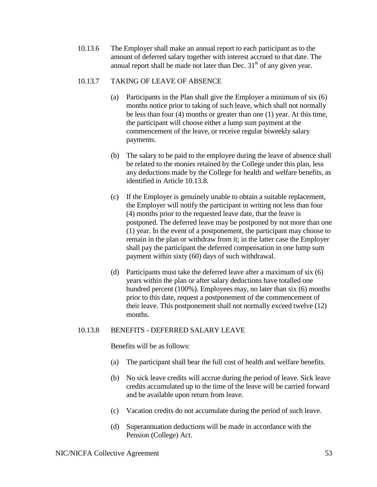10.13.6 The Employer shall make an annual report to each participant as to the amount of deferred salary together with interest accrued to that date. The annual report shall be made not later than Dec.  $31<sup>st</sup>$  of any given year.

### 10.13.7 TAKING OF LEAVE OF ABSENCE

- (a) Participants in the Plan shall give the Employer a minimum of six (6) months notice prior to taking of such leave, which shall not normally be less than four (4) months or greater than one (1) year. At this time, the participant will choose either a lump sum payment at the commencement of the leave, or receive regular biweekly salary payments.
- (b) The salary to be paid to the employee during the leave of absence shall be related to the monies retained by the College under this plan, less any deductions made by the College for health and welfare benefits, as identified in Article 10.13.8.
- (c) If the Employer is genuinely unable to obtain a suitable replacement, the Employer will notify the participant in writing not less than four (4) months prior to the requested leave date, that the leave is postponed. The deferred leave may be postponed by not more than one (1) year. In the event of a postponement, the participant may choose to remain in the plan or withdraw from it; in the latter case the Employer shall pay the participant the deferred compensation in one lump sum payment within sixty (60) days of such withdrawal.
- (d) Participants must take the deferred leave after a maximum of six (6) years within the plan or after salary deductions have totalled one hundred percent (100%). Employees may, no later than six (6) months prior to this date, request a postponement of the commencement of their leave. This postponement shall not normally exceed twelve (12) months.

### 10.13.8 BENEFITS - DEFERRED SALARY LEAVE

Benefits will be as follows:

- (a) The participant shall bear the full cost of health and welfare benefits.
- (b) No sick leave credits will accrue during the period of leave. Sick leave credits accumulated up to the time of the leave will be carried forward and be available upon return from leave.
- (c) Vacation credits do not accumulate during the period of such leave.
- (d) Superannuation deductions will be made in accordance with the Pension (College) Act.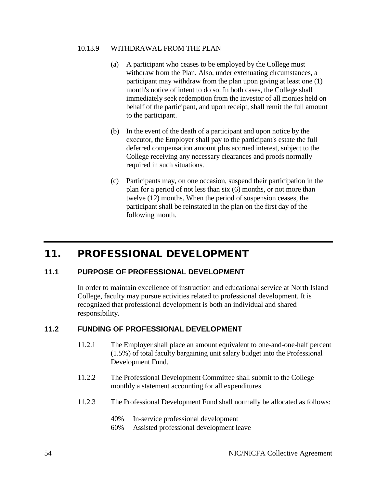#### 10.13.9 WITHDRAWAL FROM THE PLAN

- (a) A participant who ceases to be employed by the College must withdraw from the Plan. Also, under extenuating circumstances, a participant may withdraw from the plan upon giving at least one (1) month's notice of intent to do so. In both cases, the College shall immediately seek redemption from the investor of all monies held on behalf of the participant, and upon receipt, shall remit the full amount to the participant.
- (b) In the event of the death of a participant and upon notice by the executor, the Employer shall pay to the participant's estate the full deferred compensation amount plus accrued interest, subject to the College receiving any necessary clearances and proofs normally required in such situations.
- (c) Participants may, on one occasion, suspend their participation in the plan for a period of not less than six (6) months, or not more than twelve (12) months. When the period of suspension ceases, the participant shall be reinstated in the plan on the first day of the following month.

# 11. PROFESSIONAL DEVELOPMENT

### **11.1 PURPOSE OF PROFESSIONAL DEVELOPMENT**

In order to maintain excellence of instruction and educational service at North Island College, faculty may pursue activities related to professional development. It is recognized that professional development is both an individual and shared responsibility.

### **11.2 FUNDING OF PROFESSIONAL DEVELOPMENT**

- 11.2.1 The Employer shall place an amount equivalent to one-and-one-half percent (1.5%) of total faculty bargaining unit salary budget into the Professional Development Fund.
- 11.2.2 The Professional Development Committee shall submit to the College monthly a statement accounting for all expenditures.
- 11.2.3 The Professional Development Fund shall normally be allocated as follows:
	- 40% In-service professional development
	- 60% Assisted professional development leave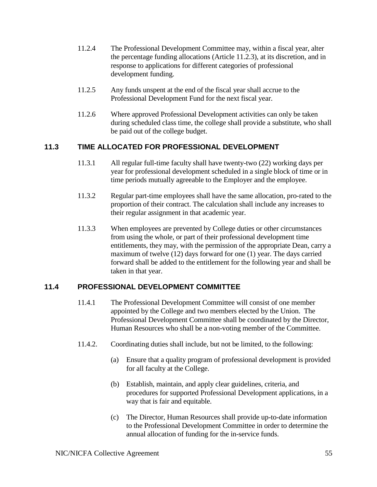- 11.2.4 The Professional Development Committee may, within a fiscal year, alter the percentage funding allocations (Article 11.2.3), at its discretion, and in response to applications for different categories of professional development funding.
- 11.2.5 Any funds unspent at the end of the fiscal year shall accrue to the Professional Development Fund for the next fiscal year.
- 11.2.6 Where approved Professional Development activities can only be taken during scheduled class time, the college shall provide a substitute, who shall be paid out of the college budget.

# **11.3 TIME ALLOCATED FOR PROFESSIONAL DEVELOPMENT**

- 11.3.1 All regular full-time faculty shall have twenty-two (22) working days per year for professional development scheduled in a single block of time or in time periods mutually agreeable to the Employer and the employee.
- 11.3.2 Regular part-time employees shall have the same allocation, pro-rated to the proportion of their contract. The calculation shall include any increases to their regular assignment in that academic year.
- 11.3.3 When employees are prevented by College duties or other circumstances from using the whole, or part of their professional development time entitlements, they may, with the permission of the appropriate Dean, carry a maximum of twelve (12) days forward for one (1) year. The days carried forward shall be added to the entitlement for the following year and shall be taken in that year.

# **11.4 PROFESSIONAL DEVELOPMENT COMMITTEE**

- 11.4.1 The Professional Development Committee will consist of one member appointed by the College and two members elected by the Union. The Professional Development Committee shall be coordinated by the Director, Human Resources who shall be a non-voting member of the Committee.
- 11.4.2. Coordinating duties shall include, but not be limited, to the following:
	- (a) Ensure that a quality program of professional development is provided for all faculty at the College.
	- (b) Establish, maintain, and apply clear guidelines, criteria, and procedures for supported Professional Development applications, in a way that is fair and equitable.
	- (c) The Director, Human Resources shall provide up-to-date information to the Professional Development Committee in order to determine the annual allocation of funding for the in-service funds.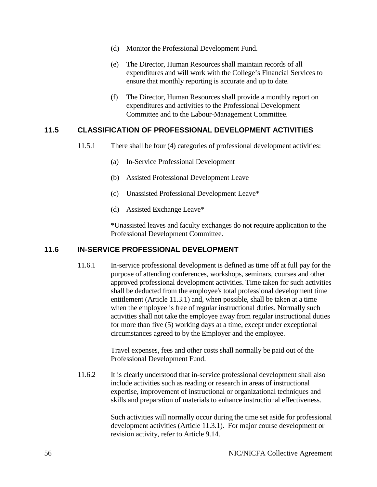- (d) Monitor the Professional Development Fund.
- (e) The Director, Human Resources shall maintain records of all expenditures and will work with the College's Financial Services to ensure that monthly reporting is accurate and up to date.
- (f) The Director, Human Resources shall provide a monthly report on expenditures and activities to the Professional Development Committee and to the Labour-Management Committee.

### **11.5 CLASSIFICATION OF PROFESSIONAL DEVELOPMENT ACTIVITIES**

- 11.5.1 There shall be four (4) categories of professional development activities:
	- (a) In-Service Professional Development
	- (b) Assisted Professional Development Leave
	- (c) Unassisted Professional Development Leave\*
	- (d) Assisted Exchange Leave\*

\*Unassisted leaves and faculty exchanges do not require application to the Professional Development Committee.

### **11.6 IN-SERVICE PROFESSIONAL DEVELOPMENT**

11.6.1 In-service professional development is defined as time off at full pay for the purpose of attending conferences, workshops, seminars, courses and other approved professional development activities. Time taken for such activities shall be deducted from the employee's total professional development time entitlement (Article 11.3.1) and, when possible, shall be taken at a time when the employee is free of regular instructional duties. Normally such activities shall not take the employee away from regular instructional duties for more than five (5) working days at a time, except under exceptional circumstances agreed to by the Employer and the employee.

> Travel expenses, fees and other costs shall normally be paid out of the Professional Development Fund.

11.6.2 It is clearly understood that in-service professional development shall also include activities such as reading or research in areas of instructional expertise, improvement of instructional or organizational techniques and skills and preparation of materials to enhance instructional effectiveness.

> Such activities will normally occur during the time set aside for professional development activities (Article 11.3.1). For major course development or revision activity, refer to Article 9.14.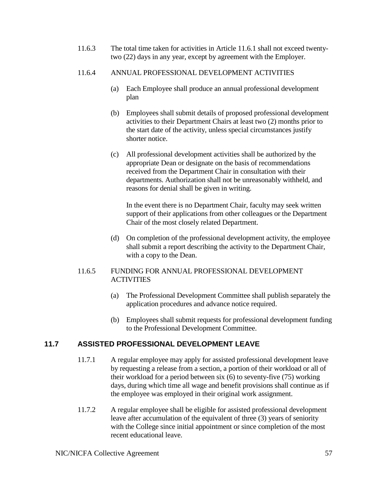11.6.3 The total time taken for activities in Article 11.6.1 shall not exceed twentytwo (22) days in any year, except by agreement with the Employer.

### 11.6.4 ANNUAL PROFESSIONAL DEVELOPMENT ACTIVITIES

- (a) Each Employee shall produce an annual professional development plan
- (b) Employees shall submit details of proposed professional development activities to their Department Chairs at least two (2) months prior to the start date of the activity, unless special circumstances justify shorter notice.
- (c) All professional development activities shall be authorized by the appropriate Dean or designate on the basis of recommendations received from the Department Chair in consultation with their departments. Authorization shall not be unreasonably withheld, and reasons for denial shall be given in writing.

In the event there is no Department Chair, faculty may seek written support of their applications from other colleagues or the Department Chair of the most closely related Department.

(d) On completion of the professional development activity, the employee shall submit a report describing the activity to the Department Chair, with a copy to the Dean.

### 11.6.5 FUNDING FOR ANNUAL PROFESSIONAL DEVELOPMENT **ACTIVITIES**

- (a) The Professional Development Committee shall publish separately the application procedures and advance notice required.
- (b) Employees shall submit requests for professional development funding to the Professional Development Committee.

# **11.7 ASSISTED PROFESSIONAL DEVELOPMENT LEAVE**

- 11.7.1 A regular employee may apply for assisted professional development leave by requesting a release from a section, a portion of their workload or all of their workload for a period between six (6) to seventy-five (75) working days, during which time all wage and benefit provisions shall continue as if the employee was employed in their original work assignment.
- 11.7.2 A regular employee shall be eligible for assisted professional development leave after accumulation of the equivalent of three (3) years of seniority with the College since initial appointment or since completion of the most recent educational leave.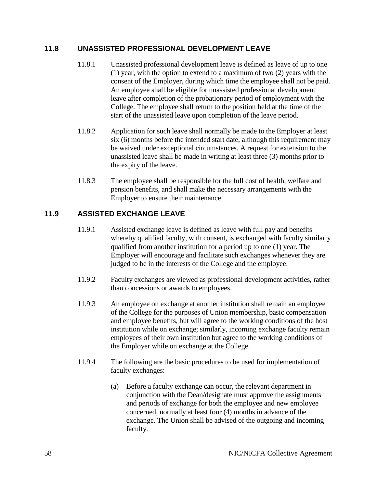### **11.8 UNASSISTED PROFESSIONAL DEVELOPMENT LEAVE**

- 11.8.1 Unassisted professional development leave is defined as leave of up to one (1) year, with the option to extend to a maximum of two (2) years with the consent of the Employer, during which time the employee shall not be paid. An employee shall be eligible for unassisted professional development leave after completion of the probationary period of employment with the College. The employee shall return to the position held at the time of the start of the unassisted leave upon completion of the leave period.
- 11.8.2 Application for such leave shall normally be made to the Employer at least six (6) months before the intended start date, although this requirement may be waived under exceptional circumstances. A request for extension to the unassisted leave shall be made in writing at least three (3) months prior to the expiry of the leave.
- 11.8.3 The employee shall be responsible for the full cost of health, welfare and pension benefits, and shall make the necessary arrangements with the Employer to ensure their maintenance.

# **11.9 ASSISTED EXCHANGE LEAVE**

- 11.9.1 Assisted exchange leave is defined as leave with full pay and benefits whereby qualified faculty, with consent, is exchanged with faculty similarly qualified from another institution for a period up to one (1) year. The Employer will encourage and facilitate such exchanges whenever they are judged to be in the interests of the College and the employee.
- 11.9.2 Faculty exchanges are viewed as professional development activities, rather than concessions or awards to employees.
- 11.9.3 An employee on exchange at another institution shall remain an employee of the College for the purposes of Union membership, basic compensation and employee benefits, but will agree to the working conditions of the host institution while on exchange; similarly, incoming exchange faculty remain employees of their own institution but agree to the working conditions of the Employer while on exchange at the College.
- 11.9.4 The following are the basic procedures to be used for implementation of faculty exchanges:
	- (a) Before a faculty exchange can occur, the relevant department in conjunction with the Dean/designate must approve the assignments and periods of exchange for both the employee and new employee concerned, normally at least four (4) months in advance of the exchange. The Union shall be advised of the outgoing and incoming faculty.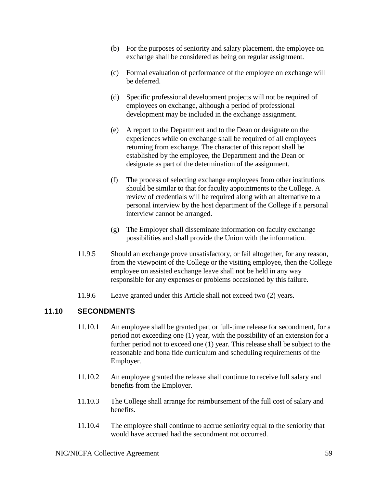- (b) For the purposes of seniority and salary placement, the employee on exchange shall be considered as being on regular assignment.
- (c) Formal evaluation of performance of the employee on exchange will be deferred.
- (d) Specific professional development projects will not be required of employees on exchange, although a period of professional development may be included in the exchange assignment.
- (e) A report to the Department and to the Dean or designate on the experiences while on exchange shall be required of all employees returning from exchange. The character of this report shall be established by the employee, the Department and the Dean or designate as part of the determination of the assignment.
- (f) The process of selecting exchange employees from other institutions should be similar to that for faculty appointments to the College. A review of credentials will be required along with an alternative to a personal interview by the host department of the College if a personal interview cannot be arranged.
- (g) The Employer shall disseminate information on faculty exchange possibilities and shall provide the Union with the information.
- 11.9.5 Should an exchange prove unsatisfactory, or fail altogether, for any reason, from the viewpoint of the College or the visiting employee, then the College employee on assisted exchange leave shall not be held in any way responsible for any expenses or problems occasioned by this failure.
- 11.9.6 Leave granted under this Article shall not exceed two (2) years.

# **11.10 SECONDMENTS**

- 11.10.1 An employee shall be granted part or full-time release for secondment, for a period not exceeding one (1) year, with the possibility of an extension for a further period not to exceed one (1) year. This release shall be subject to the reasonable and bona fide curriculum and scheduling requirements of the Employer.
- 11.10.2 An employee granted the release shall continue to receive full salary and benefits from the Employer.
- 11.10.3 The College shall arrange for reimbursement of the full cost of salary and benefits.
- 11.10.4 The employee shall continue to accrue seniority equal to the seniority that would have accrued had the secondment not occurred.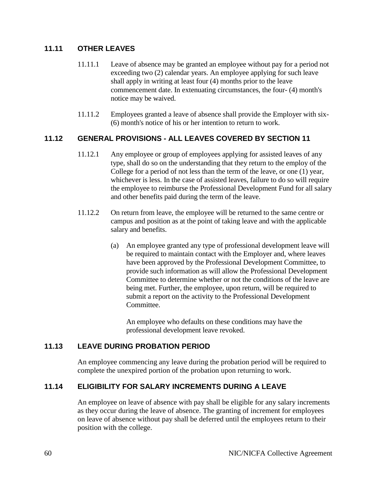# **11.11 OTHER LEAVES**

- 11.11.1 Leave of absence may be granted an employee without pay for a period not exceeding two (2) calendar years. An employee applying for such leave shall apply in writing at least four (4) months prior to the leave commencement date. In extenuating circumstances, the four- (4) month's notice may be waived.
- 11.11.2 Employees granted a leave of absence shall provide the Employer with six- (6) month's notice of his or her intention to return to work.

### **11.12 GENERAL PROVISIONS - ALL LEAVES COVERED BY SECTION 11**

- 11.12.1 Any employee or group of employees applying for assisted leaves of any type, shall do so on the understanding that they return to the employ of the College for a period of not less than the term of the leave, or one (1) year, whichever is less. In the case of assisted leaves, failure to do so will require the employee to reimburse the Professional Development Fund for all salary and other benefits paid during the term of the leave.
- 11.12.2 On return from leave, the employee will be returned to the same centre or campus and position as at the point of taking leave and with the applicable salary and benefits.
	- (a) An employee granted any type of professional development leave will be required to maintain contact with the Employer and, where leaves have been approved by the Professional Development Committee, to provide such information as will allow the Professional Development Committee to determine whether or not the conditions of the leave are being met. Further, the employee, upon return, will be required to submit a report on the activity to the Professional Development Committee.

An employee who defaults on these conditions may have the professional development leave revoked.

### **11.13 LEAVE DURING PROBATION PERIOD**

An employee commencing any leave during the probation period will be required to complete the unexpired portion of the probation upon returning to work.

# **11.14 ELIGIBILITY FOR SALARY INCREMENTS DURING A LEAVE**

An employee on leave of absence with pay shall be eligible for any salary increments as they occur during the leave of absence. The granting of increment for employees on leave of absence without pay shall be deferred until the employees return to their position with the college.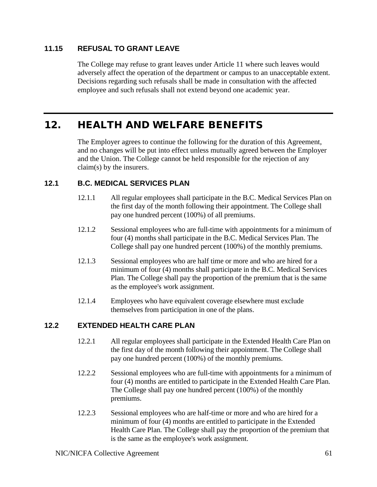# **11.15 REFUSAL TO GRANT LEAVE**

The College may refuse to grant leaves under Article 11 where such leaves would adversely affect the operation of the department or campus to an unacceptable extent. Decisions regarding such refusals shall be made in consultation with the affected employee and such refusals shall not extend beyond one academic year.

# 12. HEALTH AND WELFARE BENEFITS

The Employer agrees to continue the following for the duration of this Agreement, and no changes will be put into effect unless mutually agreed between the Employer and the Union. The College cannot be held responsible for the rejection of any claim(s) by the insurers.

# **12.1 B.C. MEDICAL SERVICES PLAN**

- 12.1.1 All regular employees shall participate in the B.C. Medical Services Plan on the first day of the month following their appointment. The College shall pay one hundred percent (100%) of all premiums.
- 12.1.2 Sessional employees who are full-time with appointments for a minimum of four (4) months shall participate in the B.C. Medical Services Plan. The College shall pay one hundred percent (100%) of the monthly premiums.
- 12.1.3 Sessional employees who are half time or more and who are hired for a minimum of four (4) months shall participate in the B.C. Medical Services Plan. The College shall pay the proportion of the premium that is the same as the employee's work assignment.
- 12.1.4 Employees who have equivalent coverage elsewhere must exclude themselves from participation in one of the plans.

# **12.2 EXTENDED HEALTH CARE PLAN**

- 12.2.1 All regular employees shall participate in the Extended Health Care Plan on the first day of the month following their appointment. The College shall pay one hundred percent (100%) of the monthly premiums.
- 12.2.2 Sessional employees who are full-time with appointments for a minimum of four (4) months are entitled to participate in the Extended Health Care Plan. The College shall pay one hundred percent (100%) of the monthly premiums.
- 12.2.3 Sessional employees who are half-time or more and who are hired for a minimum of four (4) months are entitled to participate in the Extended Health Care Plan. The College shall pay the proportion of the premium that is the same as the employee's work assignment.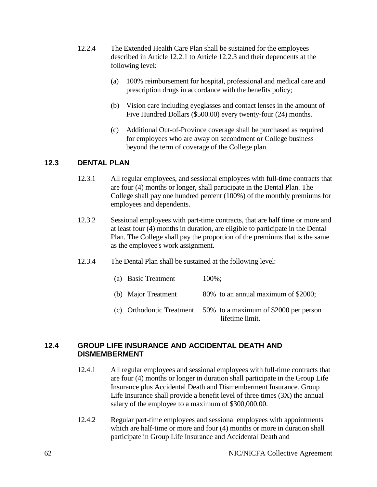- 12.2.4 The Extended Health Care Plan shall be sustained for the employees described in Article 12.2.1 to Article 12.2.3 and their dependents at the following level:
	- (a) 100% reimbursement for hospital, professional and medical care and prescription drugs in accordance with the benefits policy;
	- (b) Vision care including eyeglasses and contact lenses in the amount of Five Hundred Dollars (\$500.00) every twenty-four (24) months.
	- (c) Additional Out-of-Province coverage shall be purchased as required for employees who are away on secondment or College business beyond the term of coverage of the College plan.

# **12.3 DENTAL PLAN**

- 12.3.1 All regular employees, and sessional employees with full-time contracts that are four (4) months or longer, shall participate in the Dental Plan. The College shall pay one hundred percent (100%) of the monthly premiums for employees and dependents.
- 12.3.2 Sessional employees with part-time contracts, that are half time or more and at least four (4) months in duration, are eligible to participate in the Dental Plan. The College shall pay the proportion of the premiums that is the same as the employee's work assignment.
- 12.3.4 The Dental Plan shall be sustained at the following level:

| (a) Basic Treatment | $100\%$ :                                                                             |
|---------------------|---------------------------------------------------------------------------------------|
| (b) Major Treatment | 80% to an annual maximum of \$2000;                                                   |
|                     | (c) Orthodontic Treatment $50\%$ to a maximum of \$2000 per person<br>lifetime limit. |

### **12.4 GROUP LIFE INSURANCE AND ACCIDENTAL DEATH AND DISMEMBERMENT**

- 12.4.1 All regular employees and sessional employees with full-time contracts that are four (4) months or longer in duration shall participate in the Group Life Insurance plus Accidental Death and Dismemberment Insurance. Group Life Insurance shall provide a benefit level of three times (3X) the annual salary of the employee to a maximum of \$300,000.00.
- 12.4.2 Regular part-time employees and sessional employees with appointments which are half-time or more and four (4) months or more in duration shall participate in Group Life Insurance and Accidental Death and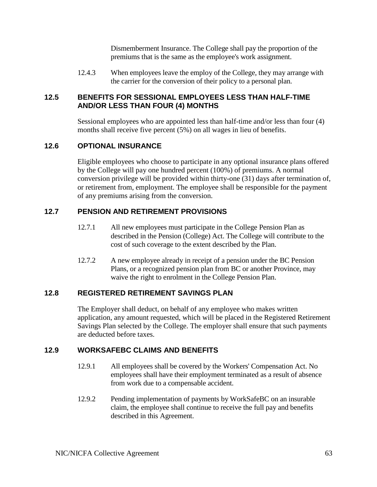Dismemberment Insurance. The College shall pay the proportion of the premiums that is the same as the employee's work assignment.

12.4.3 When employees leave the employ of the College, they may arrange with the carrier for the conversion of their policy to a personal plan.

### **12.5 BENEFITS FOR SESSIONAL EMPLOYEES LESS THAN HALF-TIME AND/OR LESS THAN FOUR (4) MONTHS**

Sessional employees who are appointed less than half-time and/or less than four (4) months shall receive five percent (5%) on all wages in lieu of benefits.

### **12.6 OPTIONAL INSURANCE**

Eligible employees who choose to participate in any optional insurance plans offered by the College will pay one hundred percent (100%) of premiums. A normal conversion privilege will be provided within thirty-one (31) days after termination of, or retirement from, employment. The employee shall be responsible for the payment of any premiums arising from the conversion.

# **12.7 PENSION AND RETIREMENT PROVISIONS**

- 12.7.1 All new employees must participate in the College Pension Plan as described in the Pension (College) Act. The College will contribute to the cost of such coverage to the extent described by the Plan.
- 12.7.2 A new employee already in receipt of a pension under the BC Pension Plans, or a recognized pension plan from BC or another Province, may waive the right to enrolment in the College Pension Plan.

### **12.8 REGISTERED RETIREMENT SAVINGS PLAN**

The Employer shall deduct, on behalf of any employee who makes written application, any amount requested, which will be placed in the Registered Retirement Savings Plan selected by the College. The employer shall ensure that such payments are deducted before taxes.

### **12.9 WORKSAFEBC CLAIMS AND BENEFITS**

- 12.9.1 All employees shall be covered by the Workers' Compensation Act. No employees shall have their employment terminated as a result of absence from work due to a compensable accident.
- 12.9.2 Pending implementation of payments by WorkSafeBC on an insurable claim, the employee shall continue to receive the full pay and benefits described in this Agreement.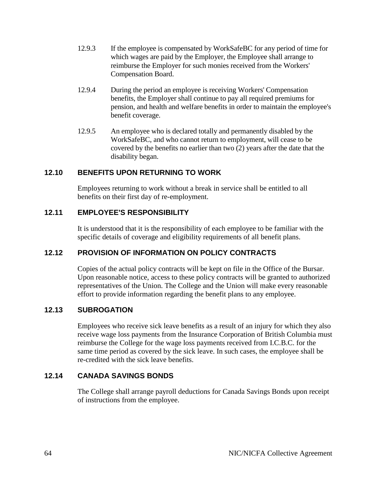- 12.9.3 If the employee is compensated by WorkSafeBC for any period of time for which wages are paid by the Employer, the Employee shall arrange to reimburse the Employer for such monies received from the Workers' Compensation Board.
- 12.9.4 During the period an employee is receiving Workers' Compensation benefits, the Employer shall continue to pay all required premiums for pension, and health and welfare benefits in order to maintain the employee's benefit coverage.
- 12.9.5 An employee who is declared totally and permanently disabled by the WorkSafeBC, and who cannot return to employment, will cease to be covered by the benefits no earlier than two (2) years after the date that the disability began.

### **12.10 BENEFITS UPON RETURNING TO WORK**

Employees returning to work without a break in service shall be entitled to all benefits on their first day of re-employment.

### **12.11 EMPLOYEE'S RESPONSIBILITY**

It is understood that it is the responsibility of each employee to be familiar with the specific details of coverage and eligibility requirements of all benefit plans.

### **12.12 PROVISION OF INFORMATION ON POLICY CONTRACTS**

Copies of the actual policy contracts will be kept on file in the Office of the Bursar. Upon reasonable notice, access to these policy contracts will be granted to authorized representatives of the Union. The College and the Union will make every reasonable effort to provide information regarding the benefit plans to any employee.

### **12.13 SUBROGATION**

Employees who receive sick leave benefits as a result of an injury for which they also receive wage loss payments from the Insurance Corporation of British Columbia must reimburse the College for the wage loss payments received from I.C.B.C. for the same time period as covered by the sick leave. In such cases, the employee shall be re-credited with the sick leave benefits.

# **12.14 CANADA SAVINGS BONDS**

The College shall arrange payroll deductions for Canada Savings Bonds upon receipt of instructions from the employee.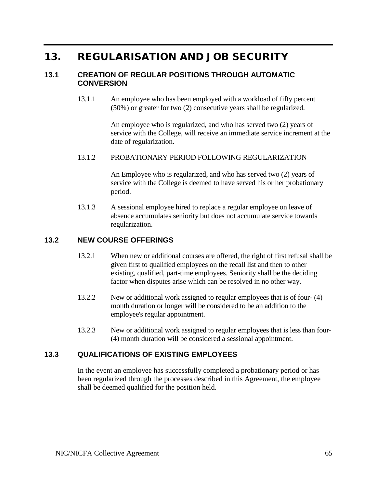# 13. REGULARISATION AND JOB SECURITY

### **13.1 CREATION OF REGULAR POSITIONS THROUGH AUTOMATIC CONVERSION**

13.1.1 An employee who has been employed with a workload of fifty percent (50%) or greater for two (2) consecutive years shall be regularized.

> An employee who is regularized, and who has served two (2) years of service with the College, will receive an immediate service increment at the date of regularization.

#### 13.1.2 PROBATIONARY PERIOD FOLLOWING REGULARIZATION

An Employee who is regularized, and who has served two (2) years of service with the College is deemed to have served his or her probationary period.

13.1.3 A sessional employee hired to replace a regular employee on leave of absence accumulates seniority but does not accumulate service towards regularization.

#### **13.2 NEW COURSE OFFERINGS**

- 13.2.1 When new or additional courses are offered, the right of first refusal shall be given first to qualified employees on the recall list and then to other existing, qualified, part-time employees. Seniority shall be the deciding factor when disputes arise which can be resolved in no other way.
- 13.2.2 New or additional work assigned to regular employees that is of four- (4) month duration or longer will be considered to be an addition to the employee's regular appointment.
- 13.2.3 New or additional work assigned to regular employees that is less than four- (4) month duration will be considered a sessional appointment.

### **13.3 QUALIFICATIONS OF EXISTING EMPLOYEES**

In the event an employee has successfully completed a probationary period or has been regularized through the processes described in this Agreement, the employee shall be deemed qualified for the position held.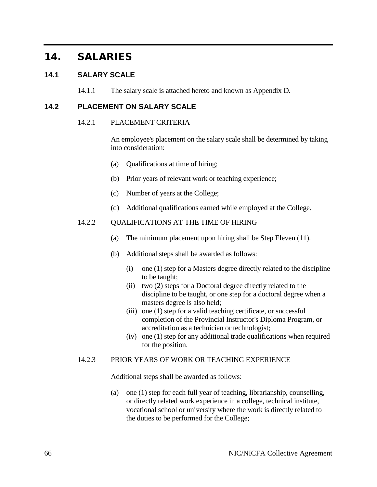# 14. SALARIES

### **14.1 SALARY SCALE**

14.1.1 The salary scale is attached hereto and known as Appendix D.

### **14.2 PLACEMENT ON SALARY SCALE**

#### 14.2.1 PLACEMENT CRITERIA

An employee's placement on the salary scale shall be determined by taking into consideration:

- (a) Qualifications at time of hiring;
- (b) Prior years of relevant work or teaching experience;
- (c) Number of years at the College;
- (d) Additional qualifications earned while employed at the College.

#### 14.2.2 QUALIFICATIONS AT THE TIME OF HIRING

- (a) The minimum placement upon hiring shall be Step Eleven (11).
- (b) Additional steps shall be awarded as follows:
	- (i) one (1) step for a Masters degree directly related to the discipline to be taught;
	- (ii) two (2) steps for a Doctoral degree directly related to the discipline to be taught, or one step for a doctoral degree when a masters degree is also held;
	- (iii) one (1) step for a valid teaching certificate, or successful completion of the Provincial Instructor's Diploma Program, or accreditation as a technician or technologist;
	- (iv) one (1) step for any additional trade qualifications when required for the position.

#### 14.2.3 PRIOR YEARS OF WORK OR TEACHING EXPERIENCE

Additional steps shall be awarded as follows:

(a) one (1) step for each full year of teaching, librarianship, counselling, or directly related work experience in a college, technical institute, vocational school or university where the work is directly related to the duties to be performed for the College;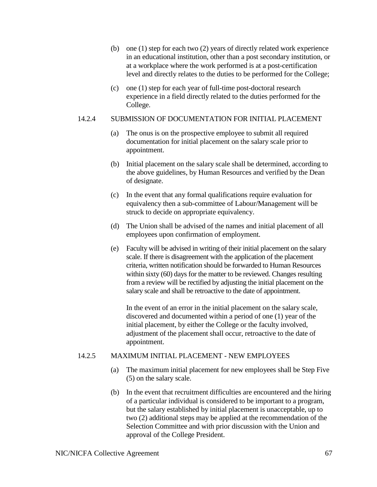- (b) one (1) step for each two (2) years of directly related work experience in an educational institution, other than a post secondary institution, or at a workplace where the work performed is at a post-certification level and directly relates to the duties to be performed for the College;
- (c) one (1) step for each year of full-time post-doctoral research experience in a field directly related to the duties performed for the College.

### 14.2.4 SUBMISSION OF DOCUMENTATION FOR INITIAL PLACEMENT

- (a) The onus is on the prospective employee to submit all required documentation for initial placement on the salary scale prior to appointment.
- (b) Initial placement on the salary scale shall be determined, according to the above guidelines, by Human Resources and verified by the Dean of designate.
- (c) In the event that any formal qualifications require evaluation for equivalency then a sub-committee of Labour/Management will be struck to decide on appropriate equivalency.
- (d) The Union shall be advised of the names and initial placement of all employees upon confirmation of employment.
- (e) Faculty will be advised in writing of their initial placement on the salary scale. If there is disagreement with the application of the placement criteria, written notification should be forwarded to Human Resources within sixty (60) days for the matter to be reviewed. Changes resulting from a review will be rectified by adjusting the initial placement on the salary scale and shall be retroactive to the date of appointment.

In the event of an error in the initial placement on the salary scale, discovered and documented within a period of one (1) year of the initial placement, by either the College or the faculty involved, adjustment of the placement shall occur, retroactive to the date of appointment.

### 14.2.5 MAXIMUM INITIAL PLACEMENT - NEW EMPLOYEES

- (a) The maximum initial placement for new employees shall be Step Five (5) on the salary scale.
- (b) In the event that recruitment difficulties are encountered and the hiring of a particular individual is considered to be important to a program, but the salary established by initial placement is unacceptable, up to two (2) additional steps may be applied at the recommendation of the Selection Committee and with prior discussion with the Union and approval of the College President.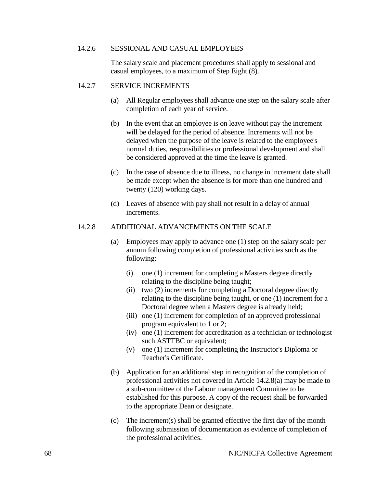#### 14.2.6 SESSIONAL AND CASUAL EMPLOYEES

The salary scale and placement procedures shall apply to sessional and casual employees, to a maximum of Step Eight (8).

#### 14.2.7 SERVICE INCREMENTS

- (a) All Regular employees shall advance one step on the salary scale after completion of each year of service.
- (b) In the event that an employee is on leave without pay the increment will be delayed for the period of absence. Increments will not be delayed when the purpose of the leave is related to the employee's normal duties, responsibilities or professional development and shall be considered approved at the time the leave is granted.
- (c) In the case of absence due to illness, no change in increment date shall be made except when the absence is for more than one hundred and twenty (120) working days.
- (d) Leaves of absence with pay shall not result in a delay of annual increments.

#### 14.2.8 ADDITIONAL ADVANCEMENTS ON THE SCALE

- (a) Employees may apply to advance one (1) step on the salary scale per annum following completion of professional activities such as the following:
	- (i) one (1) increment for completing a Masters degree directly relating to the discipline being taught;
	- (ii) two (2) increments for completing a Doctoral degree directly relating to the discipline being taught, or one (1) increment for a Doctoral degree when a Masters degree is already held;
	- (iii) one (1) increment for completion of an approved professional program equivalent to 1 or 2;
	- (iv) one (1) increment for accreditation as a technician or technologist such ASTTBC or equivalent;
	- (v) one (1) increment for completing the Instructor's Diploma or Teacher's Certificate.
- (b) Application for an additional step in recognition of the completion of professional activities not covered in Article 14.2.8(a) may be made to a sub-committee of the Labour management Committee to be established for this purpose. A copy of the request shall be forwarded to the appropriate Dean or designate.
- (c) The increment(s) shall be granted effective the first day of the month following submission of documentation as evidence of completion of the professional activities.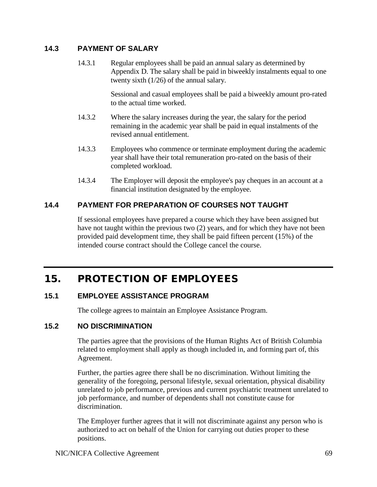### **14.3 PAYMENT OF SALARY**

14.3.1 Regular employees shall be paid an annual salary as determined by Appendix D. The salary shall be paid in biweekly instalments equal to one twenty sixth (1/26) of the annual salary.

> Sessional and casual employees shall be paid a biweekly amount pro-rated to the actual time worked.

- 14.3.2 Where the salary increases during the year, the salary for the period remaining in the academic year shall be paid in equal instalments of the revised annual entitlement.
- 14.3.3 Employees who commence or terminate employment during the academic year shall have their total remuneration pro-rated on the basis of their completed workload.
- 14.3.4 The Employer will deposit the employee's pay cheques in an account at a financial institution designated by the employee.

# **14.4 PAYMENT FOR PREPARATION OF COURSES NOT TAUGHT**

If sessional employees have prepared a course which they have been assigned but have not taught within the previous two (2) years, and for which they have not been provided paid development time, they shall be paid fifteen percent (15%) of the intended course contract should the College cancel the course.

# 15. PROTECTION OF EMPLOYEES

# **15.1 EMPLOYEE ASSISTANCE PROGRAM**

The college agrees to maintain an Employee Assistance Program.

### **15.2 NO DISCRIMINATION**

The parties agree that the provisions of the Human Rights Act of British Columbia related to employment shall apply as though included in, and forming part of, this Agreement.

Further, the parties agree there shall be no discrimination. Without limiting the generality of the foregoing, personal lifestyle, sexual orientation, physical disability unrelated to job performance, previous and current psychiatric treatment unrelated to job performance, and number of dependents shall not constitute cause for discrimination.

The Employer further agrees that it will not discriminate against any person who is authorized to act on behalf of the Union for carrying out duties proper to these positions.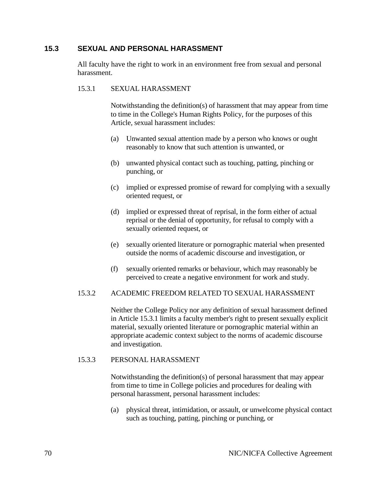### **15.3 SEXUAL AND PERSONAL HARASSMENT**

All faculty have the right to work in an environment free from sexual and personal harassment.

#### 15.3.1 SEXUAL HARASSMENT

Notwithstanding the definition(s) of harassment that may appear from time to time in the College's Human Rights Policy, for the purposes of this Article, sexual harassment includes:

- (a) Unwanted sexual attention made by a person who knows or ought reasonably to know that such attention is unwanted, or
- (b) unwanted physical contact such as touching, patting, pinching or punching, or
- (c) implied or expressed promise of reward for complying with a sexually oriented request, or
- (d) implied or expressed threat of reprisal, in the form either of actual reprisal or the denial of opportunity, for refusal to comply with a sexually oriented request, or
- (e) sexually oriented literature or pornographic material when presented outside the norms of academic discourse and investigation, or
- (f) sexually oriented remarks or behaviour, which may reasonably be perceived to create a negative environment for work and study.

### 15.3.2 ACADEMIC FREEDOM RELATED TO SEXUAL HARASSMENT

Neither the College Policy nor any definition of sexual harassment defined in Article 15.3.1 limits a faculty member's right to present sexually explicit material, sexually oriented literature or pornographic material within an appropriate academic context subject to the norms of academic discourse and investigation.

#### 15.3.3 PERSONAL HARASSMENT

Notwithstanding the definition(s) of personal harassment that may appear from time to time in College policies and procedures for dealing with personal harassment, personal harassment includes:

(a) physical threat, intimidation, or assault, or unwelcome physical contact such as touching, patting, pinching or punching, or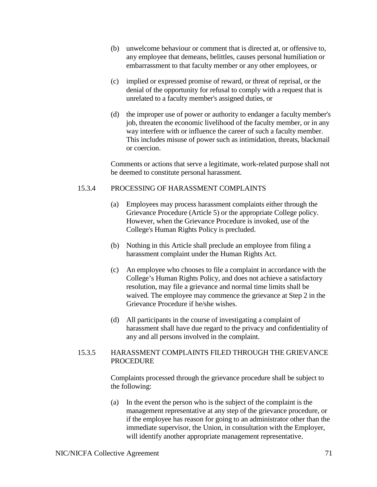- (b) unwelcome behaviour or comment that is directed at, or offensive to, any employee that demeans, belittles, causes personal humiliation or embarrassment to that faculty member or any other employees, or
- (c) implied or expressed promise of reward, or threat of reprisal, or the denial of the opportunity for refusal to comply with a request that is unrelated to a faculty member's assigned duties, or
- (d) the improper use of power or authority to endanger a faculty member's job, threaten the economic livelihood of the faculty member, or in any way interfere with or influence the career of such a faculty member. This includes misuse of power such as intimidation, threats, blackmail or coercion.

Comments or actions that serve a legitimate, work-related purpose shall not be deemed to constitute personal harassment.

# 15.3.4 PROCESSING OF HARASSMENT COMPLAINTS

- (a) Employees may process harassment complaints either through the Grievance Procedure (Article 5) or the appropriate College policy. However, when the Grievance Procedure is invoked, use of the College's Human Rights Policy is precluded.
- (b) Nothing in this Article shall preclude an employee from filing a harassment complaint under the Human Rights Act.
- (c) An employee who chooses to file a complaint in accordance with the College's Human Rights Policy, and does not achieve a satisfactory resolution, may file a grievance and normal time limits shall be waived. The employee may commence the grievance at Step 2 in the Grievance Procedure if he/she wishes.
- (d) All participants in the course of investigating a complaint of harassment shall have due regard to the privacy and confidentiality of any and all persons involved in the complaint.

#### 15.3.5 HARASSMENT COMPLAINTS FILED THROUGH THE GRIEVANCE **PROCEDURE**

Complaints processed through the grievance procedure shall be subject to the following:

(a) In the event the person who is the subject of the complaint is the management representative at any step of the grievance procedure, or if the employee has reason for going to an administrator other than the immediate supervisor, the Union, in consultation with the Employer, will identify another appropriate management representative.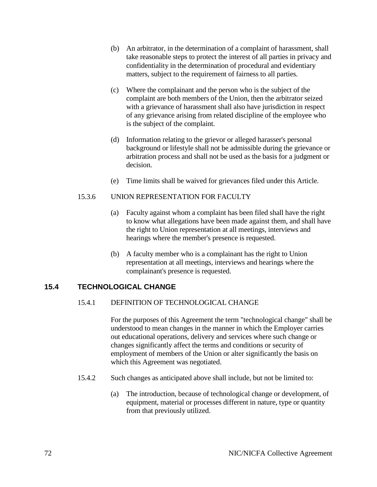- (b) An arbitrator, in the determination of a complaint of harassment, shall take reasonable steps to protect the interest of all parties in privacy and confidentiality in the determination of procedural and evidentiary matters, subject to the requirement of fairness to all parties.
- (c) Where the complainant and the person who is the subject of the complaint are both members of the Union, then the arbitrator seized with a grievance of harassment shall also have jurisdiction in respect of any grievance arising from related discipline of the employee who is the subject of the complaint.
- (d) Information relating to the grievor or alleged harasser's personal background or lifestyle shall not be admissible during the grievance or arbitration process and shall not be used as the basis for a judgment or decision.
- (e) Time limits shall be waived for grievances filed under this Article.

#### 15.3.6 UNION REPRESENTATION FOR FACULTY

- (a) Faculty against whom a complaint has been filed shall have the right to know what allegations have been made against them, and shall have the right to Union representation at all meetings, interviews and hearings where the member's presence is requested.
- (b) A faculty member who is a complainant has the right to Union representation at all meetings, interviews and hearings where the complainant's presence is requested.

# **15.4 TECHNOLOGICAL CHANGE**

# 15.4.1 DEFINITION OF TECHNOLOGICAL CHANGE

For the purposes of this Agreement the term "technological change" shall be understood to mean changes in the manner in which the Employer carries out educational operations, delivery and services where such change or changes significantly affect the terms and conditions or security of employment of members of the Union or alter significantly the basis on which this Agreement was negotiated.

- 15.4.2 Such changes as anticipated above shall include, but not be limited to:
	- (a) The introduction, because of technological change or development, of equipment, material or processes different in nature, type or quantity from that previously utilized.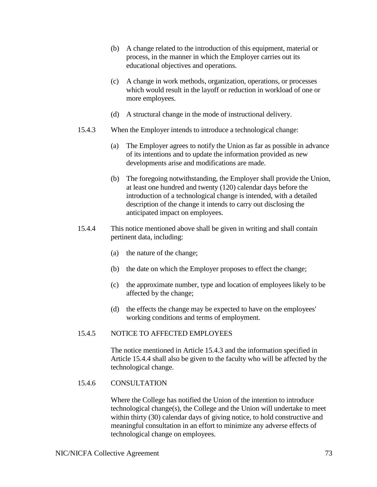- (b) A change related to the introduction of this equipment, material or process, in the manner in which the Employer carries out its educational objectives and operations.
- (c) A change in work methods, organization, operations, or processes which would result in the layoff or reduction in workload of one or more employees.
- (d) A structural change in the mode of instructional delivery.
- 15.4.3 When the Employer intends to introduce a technological change:
	- (a) The Employer agrees to notify the Union as far as possible in advance of its intentions and to update the information provided as new developments arise and modifications are made.
	- (b) The foregoing notwithstanding, the Employer shall provide the Union, at least one hundred and twenty (120) calendar days before the introduction of a technological change is intended, with a detailed description of the change it intends to carry out disclosing the anticipated impact on employees.
- 15.4.4 This notice mentioned above shall be given in writing and shall contain pertinent data, including:
	- (a) the nature of the change;
	- (b) the date on which the Employer proposes to effect the change;
	- (c) the approximate number, type and location of employees likely to be affected by the change;
	- (d) the effects the change may be expected to have on the employees' working conditions and terms of employment.

# 15.4.5 NOTICE TO AFFECTED EMPLOYEES

The notice mentioned in Article 15.4.3 and the information specified in Article 15.4.4 shall also be given to the faculty who will be affected by the technological change.

# 15.4.6 CONSULTATION

Where the College has notified the Union of the intention to introduce technological change(s), the College and the Union will undertake to meet within thirty (30) calendar days of giving notice, to hold constructive and meaningful consultation in an effort to minimize any adverse effects of technological change on employees.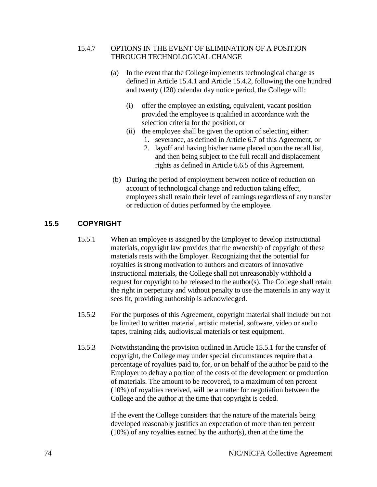# 15.4.7 OPTIONS IN THE EVENT OF ELIMINATION OF A POSITION THROUGH TECHNOLOGICAL CHANGE

- (a) In the event that the College implements technological change as defined in Article 15.4.1 and Article 15.4.2, following the one hundred and twenty (120) calendar day notice period, the College will:
	- (i) offer the employee an existing, equivalent, vacant position provided the employee is qualified in accordance with the selection criteria for the position, or
	- (ii) the employee shall be given the option of selecting either: 1. severance, as defined in Article 6.7 of this Agreement, or
		- 2. layoff and having his/her name placed upon the recall list, and then being subject to the full recall and displacement rights as defined in Article 6.6.5 of this Agreement.
- (b) During the period of employment between notice of reduction on account of technological change and reduction taking effect, employees shall retain their level of earnings regardless of any transfer or reduction of duties performed by the employee.

# **15.5 COPYRIGHT**

- 15.5.1 When an employee is assigned by the Employer to develop instructional materials, copyright law provides that the ownership of copyright of these materials rests with the Employer. Recognizing that the potential for royalties is strong motivation to authors and creators of innovative instructional materials, the College shall not unreasonably withhold a request for copyright to be released to the author(s). The College shall retain the right in perpetuity and without penalty to use the materials in any way it sees fit, providing authorship is acknowledged.
- 15.5.2 For the purposes of this Agreement, copyright material shall include but not be limited to written material, artistic material, software, video or audio tapes, training aids, audiovisual materials or test equipment.
- 15.5.3 Notwithstanding the provision outlined in Article 15.5.1 for the transfer of copyright, the College may under special circumstances require that a percentage of royalties paid to, for, or on behalf of the author be paid to the Employer to defray a portion of the costs of the development or production of materials. The amount to be recovered, to a maximum of ten percent (10%) of royalties received, will be a matter for negotiation between the College and the author at the time that copyright is ceded.

If the event the College considers that the nature of the materials being developed reasonably justifies an expectation of more than ten percent (10%) of any royalties earned by the author(s), then at the time the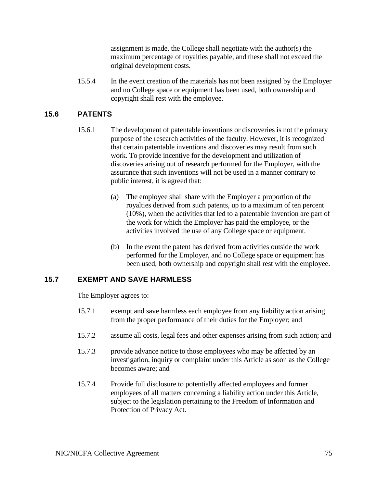assignment is made, the College shall negotiate with the author(s) the maximum percentage of royalties payable, and these shall not exceed the original development costs.

15.5.4 In the event creation of the materials has not been assigned by the Employer and no College space or equipment has been used, both ownership and copyright shall rest with the employee.

# **15.6 PATENTS**

- 15.6.1 The development of patentable inventions or discoveries is not the primary purpose of the research activities of the faculty. However, it is recognized that certain patentable inventions and discoveries may result from such work. To provide incentive for the development and utilization of discoveries arising out of research performed for the Employer, with the assurance that such inventions will not be used in a manner contrary to public interest, it is agreed that:
	- (a) The employee shall share with the Employer a proportion of the royalties derived from such patents, up to a maximum of ten percent (10%), when the activities that led to a patentable invention are part of the work for which the Employer has paid the employee, or the activities involved the use of any College space or equipment.
	- (b) In the event the patent has derived from activities outside the work performed for the Employer, and no College space or equipment has been used, both ownership and copyright shall rest with the employee.

# **15.7 EXEMPT AND SAVE HARMLESS**

The Employer agrees to:

- 15.7.1 exempt and save harmless each employee from any liability action arising from the proper performance of their duties for the Employer; and
- 15.7.2 assume all costs, legal fees and other expenses arising from such action; and
- 15.7.3 provide advance notice to those employees who may be affected by an investigation, inquiry or complaint under this Article as soon as the College becomes aware; and
- 15.7.4 Provide full disclosure to potentially affected employees and former employees of all matters concerning a liability action under this Article, subject to the legislation pertaining to the Freedom of Information and Protection of Privacy Act.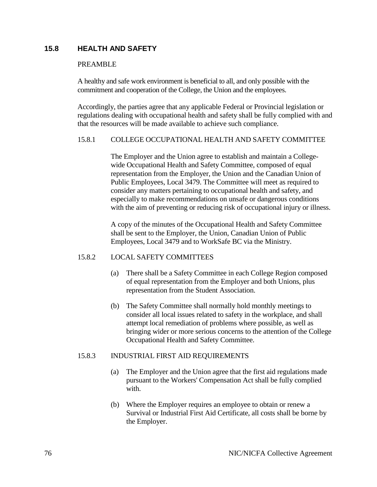# **15.8 HEALTH AND SAFETY**

#### PREAMBLE

A healthy and safe work environment is beneficial to all, and only possible with the commitment and cooperation of the College, the Union and the employees.

Accordingly, the parties agree that any applicable Federal or Provincial legislation or regulations dealing with occupational health and safety shall be fully complied with and that the resources will be made available to achieve such compliance.

#### 15.8.1 COLLEGE OCCUPATIONAL HEALTH AND SAFETY COMMITTEE

The Employer and the Union agree to establish and maintain a Collegewide Occupational Health and Safety Committee, composed of equal representation from the Employer, the Union and the Canadian Union of Public Employees, Local 3479. The Committee will meet as required to consider any matters pertaining to occupational health and safety, and especially to make recommendations on unsafe or dangerous conditions with the aim of preventing or reducing risk of occupational injury or illness.

A copy of the minutes of the Occupational Health and Safety Committee shall be sent to the Employer, the Union, Canadian Union of Public Employees, Local 3479 and to WorkSafe BC via the Ministry.

# 15.8.2 LOCAL SAFETY COMMITTEES

- (a) There shall be a Safety Committee in each College Region composed of equal representation from the Employer and both Unions, plus representation from the Student Association.
- (b) The Safety Committee shall normally hold monthly meetings to consider all local issues related to safety in the workplace, and shall attempt local remediation of problems where possible, as well as bringing wider or more serious concerns to the attention of the College Occupational Health and Safety Committee.

# 15.8.3 INDUSTRIAL FIRST AID REQUIREMENTS

- (a) The Employer and the Union agree that the first aid regulations made pursuant to the Workers' Compensation Act shall be fully complied with.
- (b) Where the Employer requires an employee to obtain or renew a Survival or Industrial First Aid Certificate, all costs shall be borne by the Employer.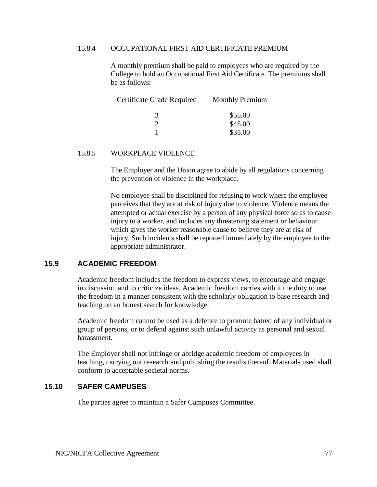#### 15.8.4 OCCUPATIONAL FIRST AID CERTIFICATE PREMIUM

A monthly premium shall be paid to employees who are required by the College to hold an Occupational First Aid Certificate. The premiums shall be as follows:

| Certificate Grade Required | <b>Monthly Premium</b> |
|----------------------------|------------------------|
| 3                          | \$55.00                |
|                            | \$45.00                |
|                            | \$35.00                |

#### 15.8.5 WORKPLACE VIOLENCE

The Employer and the Union agree to abide by all regulations concerning the prevention of violence in the workplace.

No employee shall be disciplined for refusing to work where the employee perceives that they are at risk of injury due to violence. Violence means the attempted or actual exercise by a person of any physical force so as to cause injury to a worker, and includes any threatening statement or behaviour which gives the worker reasonable cause to believe they are at risk of injury. Such incidents shall be reported immediately by the employee to the appropriate administrator.

#### **15.9 ACADEMIC FREEDOM**

Academic freedom includes the freedom to express views, to encourage and engage in discussion and to criticize ideas. Academic freedom carries with it the duty to use the freedom in a manner consistent with the scholarly obligation to base research and teaching on an honest search for knowledge.

Academic freedom cannot be used as a defence to promote hatred of any individual or group of persons, or to defend against such unlawful activity as personal and sexual harassment.

The Employer shall not infringe or abridge academic freedom of employees in teaching, carrying out research and publishing the results thereof. Materials used shall conform to acceptable societal norms.

# **15.10 SAFER CAMPUSES**

The parties agree to maintain a Safer Campuses Committee.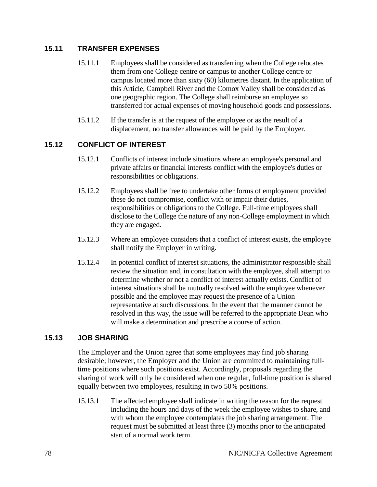# **15.11 TRANSFER EXPENSES**

- 15.11.1 Employees shall be considered as transferring when the College relocates them from one College centre or campus to another College centre or campus located more than sixty (60) kilometres distant. In the application of this Article, Campbell River and the Comox Valley shall be considered as one geographic region. The College shall reimburse an employee so transferred for actual expenses of moving household goods and possessions.
- 15.11.2 If the transfer is at the request of the employee or as the result of a displacement, no transfer allowances will be paid by the Employer.

# **15.12 CONFLICT OF INTEREST**

- 15.12.1 Conflicts of interest include situations where an employee's personal and private affairs or financial interests conflict with the employee's duties or responsibilities or obligations.
- 15.12.2 Employees shall be free to undertake other forms of employment provided these do not compromise, conflict with or impair their duties, responsibilities or obligations to the College. Full-time employees shall disclose to the College the nature of any non-College employment in which they are engaged.
- 15.12.3 Where an employee considers that a conflict of interest exists, the employee shall notify the Employer in writing.
- 15.12.4 In potential conflict of interest situations, the administrator responsible shall review the situation and, in consultation with the employee, shall attempt to determine whether or not a conflict of interest actually exists. Conflict of interest situations shall be mutually resolved with the employee whenever possible and the employee may request the presence of a Union representative at such discussions. In the event that the manner cannot be resolved in this way, the issue will be referred to the appropriate Dean who will make a determination and prescribe a course of action.

# **15.13 JOB SHARING**

The Employer and the Union agree that some employees may find job sharing desirable; however, the Employer and the Union are committed to maintaining fulltime positions where such positions exist. Accordingly, proposals regarding the sharing of work will only be considered when one regular, full-time position is shared equally between two employees, resulting in two 50% positions.

15.13.1 The affected employee shall indicate in writing the reason for the request including the hours and days of the week the employee wishes to share, and with whom the employee contemplates the job sharing arrangement. The request must be submitted at least three (3) months prior to the anticipated start of a normal work term.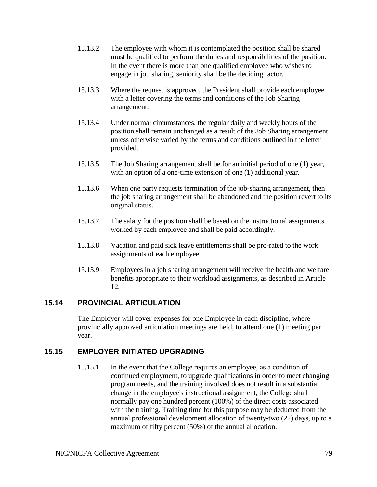- 15.13.2 The employee with whom it is contemplated the position shall be shared must be qualified to perform the duties and responsibilities of the position. In the event there is more than one qualified employee who wishes to engage in job sharing, seniority shall be the deciding factor.
- 15.13.3 Where the request is approved, the President shall provide each employee with a letter covering the terms and conditions of the Job Sharing arrangement.
- 15.13.4 Under normal circumstances, the regular daily and weekly hours of the position shall remain unchanged as a result of the Job Sharing arrangement unless otherwise varied by the terms and conditions outlined in the letter provided.
- 15.13.5 The Job Sharing arrangement shall be for an initial period of one (1) year, with an option of a one-time extension of one (1) additional year.
- 15.13.6 When one party requests termination of the job-sharing arrangement, then the job sharing arrangement shall be abandoned and the position revert to its original status.
- 15.13.7 The salary for the position shall be based on the instructional assignments worked by each employee and shall be paid accordingly.
- 15.13.8 Vacation and paid sick leave entitlements shall be pro-rated to the work assignments of each employee.
- 15.13.9 Employees in a job sharing arrangement will receive the health and welfare benefits appropriate to their workload assignments, as described in Article 12.

# **15.14 PROVINCIAL ARTICULATION**

The Employer will cover expenses for one Employee in each discipline, where provincially approved articulation meetings are held, to attend one (1) meeting per year.

# **15.15 EMPLOYER INITIATED UPGRADING**

15.15.1 In the event that the College requires an employee, as a condition of continued employment, to upgrade qualifications in order to meet changing program needs, and the training involved does not result in a substantial change in the employee's instructional assignment, the College shall normally pay one hundred percent (100%) of the direct costs associated with the training. Training time for this purpose may be deducted from the annual professional development allocation of twenty-two (22) days, up to a maximum of fifty percent (50%) of the annual allocation.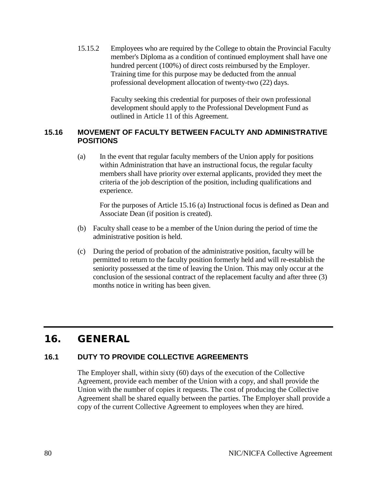15.15.2 Employees who are required by the College to obtain the Provincial Faculty member's Diploma as a condition of continued employment shall have one hundred percent (100%) of direct costs reimbursed by the Employer. Training time for this purpose may be deducted from the annual professional development allocation of twenty-two (22) days.

> Faculty seeking this credential for purposes of their own professional development should apply to the Professional Development Fund as outlined in Article 11 of this Agreement.

# **15.16 MOVEMENT OF FACULTY BETWEEN FACULTY AND ADMINISTRATIVE POSITIONS**

(a) In the event that regular faculty members of the Union apply for positions within Administration that have an instructional focus, the regular faculty members shall have priority over external applicants, provided they meet the criteria of the job description of the position, including qualifications and experience.

For the purposes of Article 15.16 (a) Instructional focus is defined as Dean and Associate Dean (if position is created).

- (b) Faculty shall cease to be a member of the Union during the period of time the administrative position is held.
- (c) During the period of probation of the administrative position, faculty will be permitted to return to the faculty position formerly held and will re-establish the seniority possessed at the time of leaving the Union. This may only occur at the conclusion of the sessional contract of the replacement faculty and after three (3) months notice in writing has been given.

# 16. GENERAL

# **16.1 DUTY TO PROVIDE COLLECTIVE AGREEMENTS**

The Employer shall, within sixty (60) days of the execution of the Collective Agreement, provide each member of the Union with a copy, and shall provide the Union with the number of copies it requests. The cost of producing the Collective Agreement shall be shared equally between the parties. The Employer shall provide a copy of the current Collective Agreement to employees when they are hired.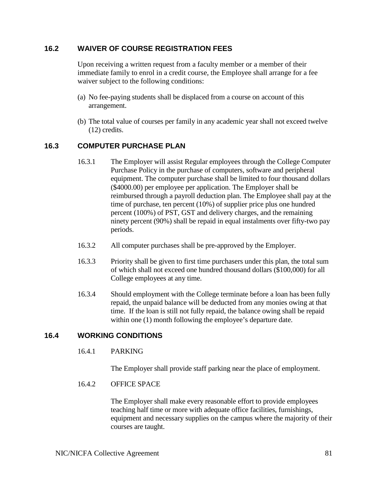# **16.2 WAIVER OF COURSE REGISTRATION FEES**

Upon receiving a written request from a faculty member or a member of their immediate family to enrol in a credit course, the Employee shall arrange for a fee waiver subject to the following conditions:

- (a) No fee-paying students shall be displaced from a course on account of this arrangement.
- (b) The total value of courses per family in any academic year shall not exceed twelve (12) credits.

# **16.3 COMPUTER PURCHASE PLAN**

- 16.3.1 The Employer will assist Regular employees through the College Computer Purchase Policy in the purchase of computers, software and peripheral equipment. The computer purchase shall be limited to four thousand dollars (\$4000.00) per employee per application. The Employer shall be reimbursed through a payroll deduction plan. The Employee shall pay at the time of purchase, ten percent (10%) of supplier price plus one hundred percent (100%) of PST, GST and delivery charges, and the remaining ninety percent (90%) shall be repaid in equal instalments over fifty-two pay periods.
- 16.3.2 All computer purchases shall be pre-approved by the Employer.
- 16.3.3 Priority shall be given to first time purchasers under this plan, the total sum of which shall not exceed one hundred thousand dollars (\$100,000) for all College employees at any time.
- 16.3.4 Should employment with the College terminate before a loan has been fully repaid, the unpaid balance will be deducted from any monies owing at that time. If the loan is still not fully repaid, the balance owing shall be repaid within one (1) month following the employee's departure date.

# **16.4 WORKING CONDITIONS**

16.4.1 PARKING

The Employer shall provide staff parking near the place of employment.

16.4.2 OFFICE SPACE

The Employer shall make every reasonable effort to provide employees teaching half time or more with adequate office facilities, furnishings, equipment and necessary supplies on the campus where the majority of their courses are taught.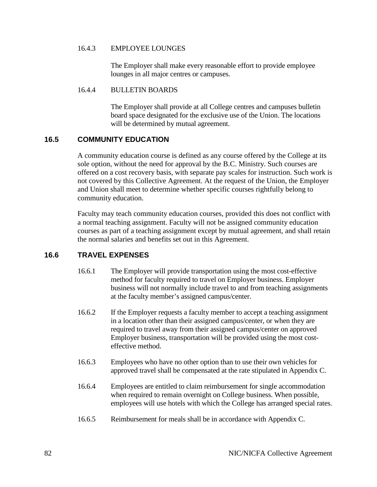#### 16.4.3 EMPLOYEE LOUNGES

The Employer shall make every reasonable effort to provide employee lounges in all major centres or campuses.

#### 16.4.4 BULLETIN BOARDS

The Employer shall provide at all College centres and campuses bulletin board space designated for the exclusive use of the Union. The locations will be determined by mutual agreement.

# **16.5 COMMUNITY EDUCATION**

A community education course is defined as any course offered by the College at its sole option, without the need for approval by the B.C. Ministry. Such courses are offered on a cost recovery basis, with separate pay scales for instruction. Such work is not covered by this Collective Agreement. At the request of the Union, the Employer and Union shall meet to determine whether specific courses rightfully belong to community education.

Faculty may teach community education courses, provided this does not conflict with a normal teaching assignment. Faculty will not be assigned community education courses as part of a teaching assignment except by mutual agreement, and shall retain the normal salaries and benefits set out in this Agreement.

# **16.6 TRAVEL EXPENSES**

- 16.6.1 The Employer will provide transportation using the most cost-effective method for faculty required to travel on Employer business. Employer business will not normally include travel to and from teaching assignments at the faculty member's assigned campus/center.
- 16.6.2 If the Employer requests a faculty member to accept a teaching assignment in a location other than their assigned campus/center, or when they are required to travel away from their assigned campus/center on approved Employer business, transportation will be provided using the most costeffective method.
- 16.6.3 Employees who have no other option than to use their own vehicles for approved travel shall be compensated at the rate stipulated in Appendix C.
- 16.6.4 Employees are entitled to claim reimbursement for single accommodation when required to remain overnight on College business. When possible, employees will use hotels with which the College has arranged special rates.
- 16.6.5 Reimbursement for meals shall be in accordance with Appendix C.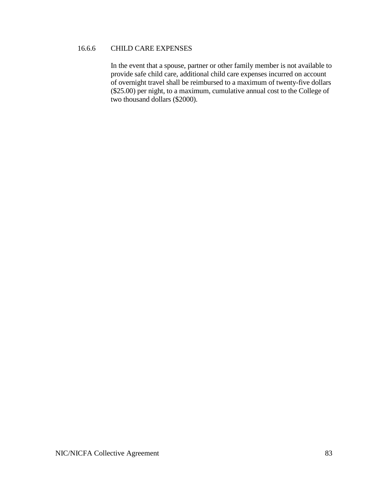### 16.6.6 CHILD CARE EXPENSES

In the event that a spouse, partner or other family member is not available to provide safe child care, additional child care expenses incurred on account of overnight travel shall be reimbursed to a maximum of twenty-five dollars (\$25.00) per night, to a maximum, cumulative annual cost to the College of two thousand dollars (\$2000).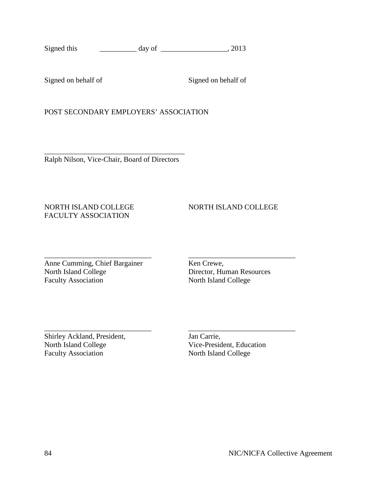Signed on behalf of Signed on behalf of

POST SECONDARY EMPLOYERS' ASSOCIATION

\_\_\_\_\_\_\_\_\_\_\_\_\_\_\_\_\_\_\_\_\_\_\_\_\_\_\_\_\_\_\_\_\_\_\_\_\_\_ Ralph Nilson, Vice-Chair, Board of Directors

# FACULTY ASSOCIATION

# NORTH ISLAND COLLEGE NORTH ISLAND COLLEGE

\_\_\_\_\_\_\_\_\_\_\_\_\_\_\_\_\_\_\_\_\_\_\_\_\_\_\_\_\_ \_\_\_\_\_\_\_\_\_\_\_\_\_\_\_\_\_\_\_\_\_\_\_\_\_\_\_\_\_ Anne Cumming, Chief Bargainer Ken Crewe,<br>North Island College Director, Hu Faculty Association North Island College

Director, Human Resources

\_\_\_\_\_\_\_\_\_\_\_\_\_\_\_\_\_\_\_\_\_\_\_\_\_\_\_\_\_ \_\_\_\_\_\_\_\_\_\_\_\_\_\_\_\_\_\_\_\_\_\_\_\_\_\_\_\_\_ Shirley Ackland, President, Jan Carrie, North Island College Vice-President, Education Faculty Association North Island College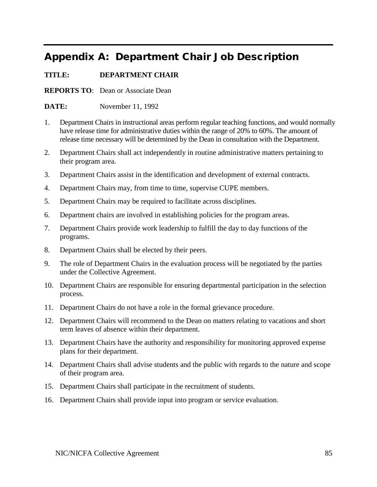# Appendix A: Department Chair Job Description

# **TITLE: DEPARTMENT CHAIR**

**REPORTS TO**: Dean or Associate Dean

**DATE:** November 11, 1992

- 1. Department Chairs in instructional areas perform regular teaching functions, and would normally have release time for administrative duties within the range of 20% to 60%. The amount of release time necessary will be determined by the Dean in consultation with the Department.
- 2. Department Chairs shall act independently in routine administrative matters pertaining to their program area.
- 3. Department Chairs assist in the identification and development of external contracts.
- 4. Department Chairs may, from time to time, supervise CUPE members.
- 5. Department Chairs may be required to facilitate across disciplines.
- 6. Department chairs are involved in establishing policies for the program areas.
- 7. Department Chairs provide work leadership to fulfill the day to day functions of the programs.
- 8. Department Chairs shall be elected by their peers.
- 9. The role of Department Chairs in the evaluation process will be negotiated by the parties under the Collective Agreement.
- 10. Department Chairs are responsible for ensuring departmental participation in the selection process.
- 11. Department Chairs do not have a role in the formal grievance procedure.
- 12. Department Chairs will recommend to the Dean on matters relating to vacations and short term leaves of absence within their department.
- 13. Department Chairs have the authority and responsibility for monitoring approved expense plans for their department.
- 14. Department Chairs shall advise students and the public with regards to the nature and scope of their program area.
- 15. Department Chairs shall participate in the recruitment of students.
- 16. Department Chairs shall provide input into program or service evaluation.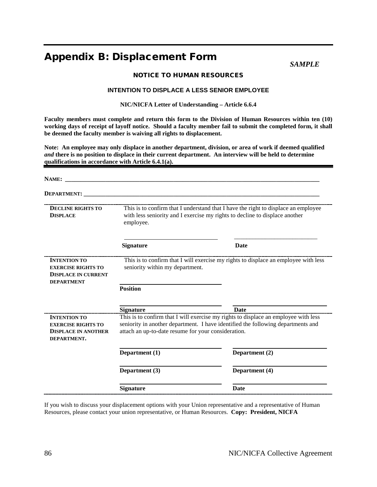# Appendix B: Displacement Form

*SAMPLE*

#### NOTICE TO HUMAN RESOURCES

#### **INTENTION TO DISPLACE A LESS SENIOR EMPLOYEE**

**NIC/NICFA Letter of Understanding – Article 6.6.4**

**Faculty members must complete and return this form to the Division of Human Resources within ten (10) working days of receipt of layoff notice. Should a faculty member fail to submit the completed form, it shall be deemed the faculty member is waiving all rights to displacement.**

**Note: An employee may only displace in another department, division, or area of work if deemed qualified**  *and* **there is no position to displace in their current department. An interview will be held to determine qualifications in accordance with Article 6.4.1(a).**

| <b>NAME:</b>                                                                                        |                                                                                                                                                                                                                                |                                                                                                                                                                   |
|-----------------------------------------------------------------------------------------------------|--------------------------------------------------------------------------------------------------------------------------------------------------------------------------------------------------------------------------------|-------------------------------------------------------------------------------------------------------------------------------------------------------------------|
| <b>DEPARTMENT:</b>                                                                                  |                                                                                                                                                                                                                                |                                                                                                                                                                   |
| <b>DECLINE RIGHTS TO</b><br><b>DISPLACE</b>                                                         | employee.                                                                                                                                                                                                                      | This is to confirm that I understand that I have the right to displace an employee<br>with less seniority and I exercise my rights to decline to displace another |
|                                                                                                     | <b>Signature</b>                                                                                                                                                                                                               | <b>Date</b>                                                                                                                                                       |
| <b>INTENTION TO</b><br><b>EXERCISE RIGHTS TO</b><br><b>DISPLACE IN CURRENT</b><br><b>DEPARTMENT</b> | seniority within my department.                                                                                                                                                                                                | This is to confirm that I will exercise my rights to displace an employee with less                                                                               |
|                                                                                                     | <b>Position</b>                                                                                                                                                                                                                |                                                                                                                                                                   |
|                                                                                                     | <b>Signature</b>                                                                                                                                                                                                               | <b>Date</b>                                                                                                                                                       |
| <b>INTENTION TO</b><br><b>EXERCISE RIGHTS TO</b><br><b>DISPLACE IN ANOTHER</b><br>DEPARTMENT.       | This is to confirm that I will exercise my rights to displace an employee with less<br>seniority in another department. I have identified the following departments and<br>attach an up-to-date resume for your consideration. |                                                                                                                                                                   |
|                                                                                                     | Department (1)                                                                                                                                                                                                                 | Department (2)                                                                                                                                                    |
|                                                                                                     | Department (3)                                                                                                                                                                                                                 | Department (4)                                                                                                                                                    |
|                                                                                                     | <b>Signature</b>                                                                                                                                                                                                               | <b>Date</b>                                                                                                                                                       |

If you wish to discuss your displacement options with your Union representative and a representative of Human Resources, please contact your union representative, or Human Resources. **Copy: President, NICFA**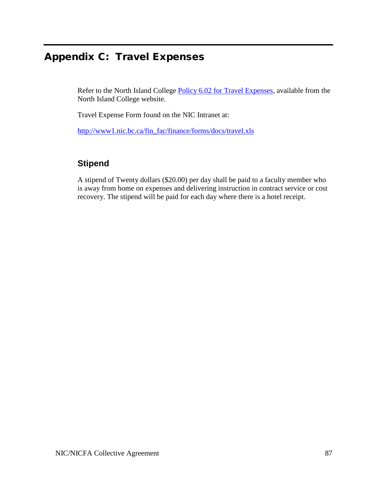# Appendix C: Travel Expenses

Refer to the North Island College [Policy 6.02 for Travel Expenses,](http://www.nic.bc.ca/policies/PDF/Policy_Section6.pdf) available from the North Island College website.

Travel Expense Form found on the NIC Intranet at:

[http://www1.nic.bc.ca/fin\\_fac/finance/forms/docs/travel.xls](http://www1.nic.bc.ca/fin_fac/finance/forms/docs/travel.xls)

# **Stipend**

A stipend of Twenty dollars (\$20.00) per day shall be paid to a faculty member who is away from home on expenses and delivering instruction in contract service or cost recovery. The stipend will be paid for each day where there is a hotel receipt.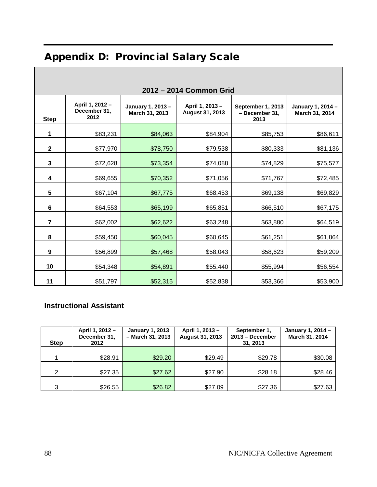# Appendix D: Provincial Salary Scale

| 2012 - 2014 Common Grid |                                         |                                     |                                           |                                             |                                     |
|-------------------------|-----------------------------------------|-------------------------------------|-------------------------------------------|---------------------------------------------|-------------------------------------|
| <b>Step</b>             | April 1, 2012 -<br>December 31,<br>2012 | January 1, 2013 -<br>March 31, 2013 | April 1, 2013 -<br><b>August 31, 2013</b> | September 1, 2013<br>- December 31,<br>2013 | January 1, 2014 -<br>March 31, 2014 |
| 1                       | \$83,231                                | \$84,063                            | \$84,904                                  | \$85,753                                    | \$86,611                            |
| $\mathbf{2}$            | \$77,970                                | \$78,750                            | \$79,538                                  | \$80,333                                    | \$81,136                            |
| 3                       | \$72,628                                | \$73,354                            | \$74,088                                  | \$74,829                                    | \$75,577                            |
| 4                       | \$69,655                                | \$70,352                            | \$71,056                                  | \$71,767                                    | \$72,485                            |
| 5                       | \$67,104                                | \$67,775                            | \$68,453                                  | \$69,138                                    | \$69,829                            |
| 6                       | \$64,553                                | \$65,199                            | \$65,851                                  | \$66,510                                    | \$67,175                            |
| $\overline{7}$          | \$62,002                                | \$62,622                            | \$63,248                                  | \$63,880                                    | \$64,519                            |
| 8                       | \$59,450                                | \$60,045                            | \$60,645                                  | \$61,251                                    | \$61,864                            |
| 9                       | \$56,899                                | \$57,468                            | \$58,043                                  | \$58,623                                    | \$59,209                            |
| 10                      | \$54,348                                | \$54,891                            | \$55,440                                  | \$55,994                                    | \$56,554                            |
| 11                      | \$51,797                                | \$52,315                            | \$52,838                                  | \$53,366                                    | \$53,900                            |

# **Instructional Assistant**

| <b>Step</b>   | April 1, 2012 -<br>December 31,<br>2012 | <b>January 1, 2013</b><br>- March 31, 2013 | April 1, 2013 -<br>August 31, 2013 | September 1,<br>2013 - December<br>31, 2013 | January 1, 2014 -<br>March 31, 2014 |
|---------------|-----------------------------------------|--------------------------------------------|------------------------------------|---------------------------------------------|-------------------------------------|
|               | \$28.91                                 | \$29.20                                    | \$29.49                            | \$29.78                                     | \$30.08                             |
| $\mathcal{P}$ | \$27.35                                 | \$27.62                                    | \$27.90                            | \$28.18                                     | \$28.46                             |
| 3             | \$26.55                                 | \$26.82                                    | \$27.09                            | \$27.36                                     | \$27.63                             |

 $\Gamma$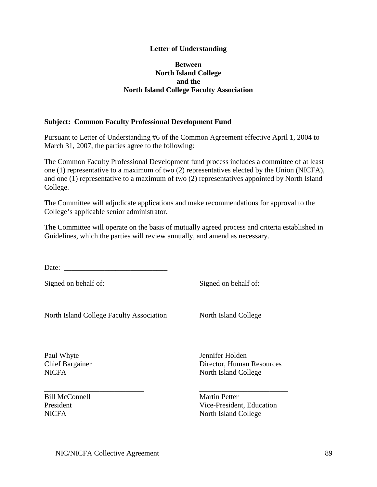### **Letter of Understanding**

#### **Between North Island College and the North Island College Faculty Association**

#### **Subject: Common Faculty Professional Development Fund**

Pursuant to Letter of Understanding #6 of the Common Agreement effective April 1, 2004 to March 31, 2007, the parties agree to the following:

The Common Faculty Professional Development fund process includes a committee of at least one (1) representative to a maximum of two (2) representatives elected by the Union (NICFA), and one (1) representative to a maximum of two (2) representatives appointed by North Island College.

The Committee will adjudicate applications and make recommendations for approval to the College's applicable senior administrator.

Th**e** Committee will operate on the basis of mutually agreed process and criteria established in Guidelines, which the parties will review annually, and amend as necessary.

\_\_\_\_\_\_\_\_\_\_\_\_\_\_\_\_\_\_\_\_\_\_\_\_\_\_\_ \_\_\_\_\_\_\_\_\_\_\_\_\_\_\_\_\_\_\_\_\_\_\_\_

Date: \_\_\_\_\_\_\_\_\_\_\_\_\_\_\_\_\_\_\_\_\_\_\_\_\_\_\_\_

Signed on behalf of: Signed on behalf of:

North Island College Faculty Association North Island College

\_\_\_\_\_\_\_\_\_\_\_\_\_\_\_\_\_\_\_\_\_\_\_\_\_\_\_ \_\_\_\_\_\_\_\_\_\_\_\_\_\_\_\_\_\_\_\_\_\_\_\_ Paul Whyte Jennifer Holden

Bill McConnell Martin Petter

**Chief Bargainer Director, Human Resources** NICFA North Island College

President **President** Vice-President, Education NICFA North Island College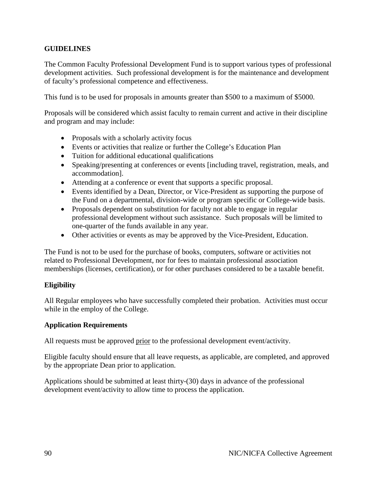# **GUIDELINES**

The Common Faculty Professional Development Fund is to support various types of professional development activities. Such professional development is for the maintenance and development of faculty's professional competence and effectiveness.

This fund is to be used for proposals in amounts greater than \$500 to a maximum of \$5000.

Proposals will be considered which assist faculty to remain current and active in their discipline and program and may include:

- Proposals with a scholarly activity focus
- Events or activities that realize or further the College's Education Plan
- Tuition for additional educational qualifications
- Speaking/presenting at conferences or events [including travel, registration, meals, and accommodation].
- Attending at a conference or event that supports a specific proposal.
- Events identified by a Dean, Director, or Vice-President as supporting the purpose of the Fund on a departmental, division-wide or program specific or College-wide basis.
- Proposals dependent on substitution for faculty not able to engage in regular professional development without such assistance. Such proposals will be limited to one-quarter of the funds available in any year.
- Other activities or events as may be approved by the Vice-President, Education.

The Fund is not to be used for the purchase of books, computers, software or activities not related to Professional Development, nor for fees to maintain professional association memberships (licenses, certification), or for other purchases considered to be a taxable benefit.

# **Eligibility**

All Regular employees who have successfully completed their probation. Activities must occur while in the employ of the College.

#### **Application Requirements**

All requests must be approved prior to the professional development event/activity.

Eligible faculty should ensure that all leave requests, as applicable, are completed, and approved by the appropriate Dean prior to application.

Applications should be submitted at least thirty-(30) days in advance of the professional development event/activity to allow time to process the application.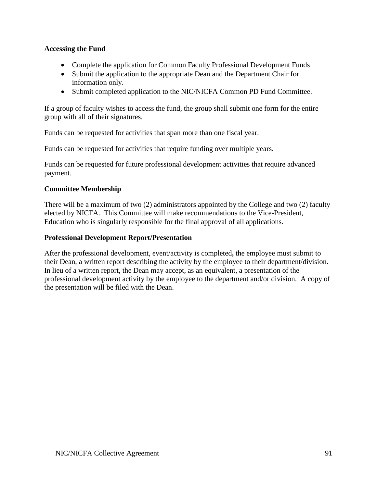# **Accessing the Fund**

- Complete the application for Common Faculty Professional Development Funds
- Submit the application to the appropriate Dean and the Department Chair for information only.
- Submit completed application to the NIC/NICFA Common PD Fund Committee.

If a group of faculty wishes to access the fund, the group shall submit one form for the entire group with all of their signatures.

Funds can be requested for activities that span more than one fiscal year.

Funds can be requested for activities that require funding over multiple years.

Funds can be requested for future professional development activities that require advanced payment.

# **Committee Membership**

There will be a maximum of two (2) administrators appointed by the College and two (2) faculty elected by NICFA. This Committee will make recommendations to the Vice-President, Education who is singularly responsible for the final approval of all applications.

# **Professional Development Report/Presentation**

After the professional development, event/activity is completed**,** the employee must submit to their Dean, a written report describing the activity by the employee to their department/division. In lieu of a written report, the Dean may accept, as an equivalent, a presentation of the professional development activity by the employee to the department and/or division. A copy of the presentation will be filed with the Dean.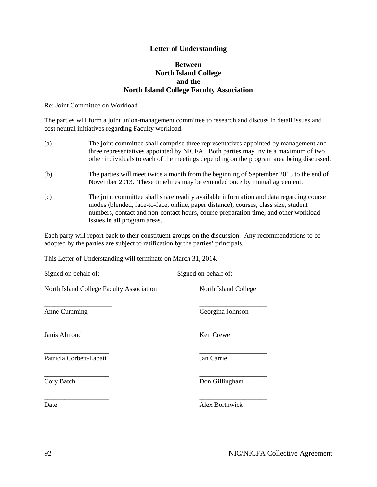### **Letter of Understanding**

#### **Between North Island College and the North Island College Faculty Association**

Re: Joint Committee on Workload

The parties will form a joint union-management committee to research and discuss in detail issues and cost neutral initiatives regarding Faculty workload.

- (a) The joint committee shall comprise three representatives appointed by management and three representatives appointed by NICFA. Both parties may invite a maximum of two other individuals to each of the meetings depending on the program area being discussed.
- (b) The parties will meet twice a month from the beginning of September 2013 to the end of November 2013. These timelines may be extended once by mutual agreement.
- (c) The joint committee shall share readily available information and data regarding course modes (blended, face-to-face, online, paper distance), courses, class size, student numbers, contact and non-contact hours, course preparation time, and other workload issues in all program areas.

Each party will report back to their constituent groups on the discussion. Any recommendations to be adopted by the parties are subject to ratification by the parties' principals.

This Letter of Understanding will terminate on March 31, 2014.

| Signed on behalf of:                            | Signed on behalf of: |
|-------------------------------------------------|----------------------|
| <b>North Island College Faculty Association</b> | North Island College |
| Anne Cumming                                    | Georgina Johnson     |
| Janis Almond                                    | Ken Crewe            |
| Patricia Corbett-Labatt                         | Jan Carrie           |
| Cory Batch                                      | Don Gillingham       |
| Date                                            | Alex Borthwick       |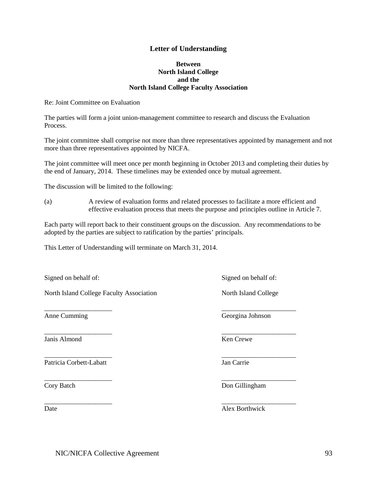#### **Letter of Understanding**

#### **Between North Island College and the North Island College Faculty Association**

Re: Joint Committee on Evaluation

The parties will form a joint union-management committee to research and discuss the Evaluation Process.

The joint committee shall comprise not more than three representatives appointed by management and not more than three representatives appointed by NICFA.

The joint committee will meet once per month beginning in October 2013 and completing their duties by the end of January, 2014. These timelines may be extended once by mutual agreement.

The discussion will be limited to the following:

(a) A review of evaluation forms and related processes to facilitate a more efficient and effective evaluation process that meets the purpose and principles outline in Article 7.

Each party will report back to their constituent groups on the discussion. Any recommendations to be adopted by the parties are subject to ratification by the parties' principals.

\_\_\_\_\_\_\_\_\_\_\_\_\_\_\_\_\_\_\_\_ \_\_\_\_\_\_\_\_\_\_\_\_\_\_\_\_\_\_\_\_\_\_

\_\_\_\_\_\_\_\_\_\_\_\_\_\_\_\_\_\_\_\_ \_\_\_\_\_\_\_\_\_\_\_\_\_\_\_\_\_\_\_\_\_\_

This Letter of Understanding will terminate on March 31, 2014.

Signed on behalf of: Signed on behalf of: Signed on behalf of:

North Island College Faculty Association North Island College

Janis Almond Ken Crewe

Patricia Corbett-Labatt Jan Carrie

Anne Cumming Georgina Johnson

\_\_\_\_\_\_\_\_\_\_\_\_\_\_\_\_\_\_\_\_ \_\_\_\_\_\_\_\_\_\_\_\_\_\_\_\_\_\_\_\_\_\_

\_\_\_\_\_\_\_\_\_\_\_\_\_\_\_\_\_\_\_\_ \_\_\_\_\_\_\_\_\_\_\_\_\_\_\_\_\_\_\_\_\_\_

Cory Batch Don Gillingham

\_\_\_\_\_\_\_\_\_\_\_\_\_\_\_\_\_\_\_\_ \_\_\_\_\_\_\_\_\_\_\_\_\_\_\_\_\_\_\_\_\_\_ Date Alex Borthwick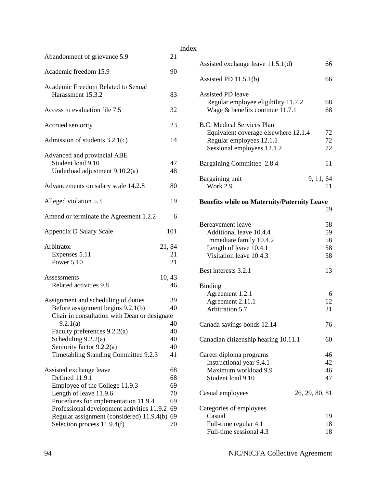| Abandonment of grievance 5.9                                                                                                                                                                                                                                            | 21                                           |
|-------------------------------------------------------------------------------------------------------------------------------------------------------------------------------------------------------------------------------------------------------------------------|----------------------------------------------|
| Academic freedom 15.9                                                                                                                                                                                                                                                   | 90                                           |
|                                                                                                                                                                                                                                                                         |                                              |
| Academic Freedom Related to Sexual<br>Harassment 15.3.2                                                                                                                                                                                                                 | 83                                           |
| Access to evaluation file 7.5                                                                                                                                                                                                                                           | 32                                           |
| Accrued seniority                                                                                                                                                                                                                                                       | 23                                           |
| Admission of students $3.2.1(c)$                                                                                                                                                                                                                                        | 14                                           |
| Advanced and provincial ABE<br>Student load 9.10<br>Underload adjustment 9.10.2(a)                                                                                                                                                                                      | 47<br>48                                     |
| Advancements on salary scale 14.2.8                                                                                                                                                                                                                                     | 80                                           |
| Alleged violation 5.3                                                                                                                                                                                                                                                   | 19                                           |
| Amend or terminate the Agreement 1.2.2                                                                                                                                                                                                                                  | 6                                            |
| Appendix D Salary Scale                                                                                                                                                                                                                                                 | 101                                          |
| Arbitrator<br>Expenses 5.11<br>Power 5.10                                                                                                                                                                                                                               | 21,84<br>21<br>21                            |
| Assessments<br>Related activities 9.8                                                                                                                                                                                                                                   | 10,43<br>46                                  |
| Assignment and scheduling of duties<br>Before assignment begins 9.2.1(b)<br>Chair in consultation with Dean or designate                                                                                                                                                | 39<br>40                                     |
| 9.2.1(a)<br>Faculty preferences 9.2.2(a)<br>Scheduling $9.2.2(a)$<br>Seniority factor 9.2.2(a)<br>Timetabling Standing Committee 9.2.3                                                                                                                                  | 40<br>40<br>40<br>40<br>41                   |
| Assisted exchange leave<br>Defined 11.9.1<br>Employee of the College 11.9.3<br>Length of leave 11.9.6<br>Procedures for implementation 11.9.4<br>Professional development activities 11.9.2<br>Regular assignment (considered) 11.9.4(b)<br>Selection process 11.9.4(f) | 68<br>68<br>69<br>70<br>69<br>69<br>69<br>70 |

| Index |                                                                                                                                     |                |                            |
|-------|-------------------------------------------------------------------------------------------------------------------------------------|----------------|----------------------------|
|       | Assisted exchange leave $11.5.1(d)$                                                                                                 |                | 66                         |
|       | Assisted PD $11.5.1(b)$                                                                                                             |                | 66                         |
|       | <b>Assisted PD leave</b><br>Regular employee eligibility 11.7.2<br>Wage $&$ benefits continue 11.7.1                                |                | 68<br>68                   |
|       | <b>B.C. Medical Services Plan</b><br>Equivalent coverage elsewhere 12.1.4<br>Regular employees 12.1.1<br>Sessional employees 12.1.2 |                | 72<br>72<br>72             |
|       | Bargaining Committee 2.8.4                                                                                                          |                | 11                         |
|       | Bargaining unit<br>Work 2.9                                                                                                         | 9, 11, 64      | 11                         |
|       | <b>Benefits while on Maternity/Paternity Leave</b>                                                                                  |                | 59                         |
|       | Bereavement leave<br>Additional leave 10.4.4<br>Immediate family 10.4.2<br>Length of leave 10.4.1<br>Visitation leave 10.4.3        |                | 58<br>59<br>58<br>58<br>58 |
|       | Best interests 3.2.1                                                                                                                |                | 13                         |
|       | <b>Binding</b><br>Agreement 1.2.1<br>Agreement 2.11.1<br>Arbitration 5.7                                                            |                | 6<br>12<br>21              |
|       | Canada savings bonds 12.14                                                                                                          |                | 76                         |
|       | Canadian citizenship hearing 10.11.1                                                                                                |                | 60                         |
|       | Career diploma programs<br>Instructional year 9.4.1<br>Maximum workload 9.9<br>Student load 9.10                                    |                | 46<br>42<br>46<br>47       |
|       | Casual employees                                                                                                                    | 26, 29, 80, 81 |                            |
|       | Categories of employees<br>Casual<br>Full-time regular 4.1<br>Full-time sessional 4.3                                               |                | 19<br>18<br>18             |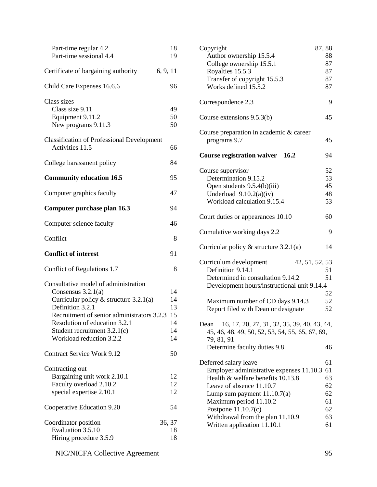| Part-time regular 4.2<br>Part-time sessional 4.4                                                                                                                                                                                                                          | 18<br>19                               |
|---------------------------------------------------------------------------------------------------------------------------------------------------------------------------------------------------------------------------------------------------------------------------|----------------------------------------|
| 6, 9, 11<br>Certificate of bargaining authority                                                                                                                                                                                                                           |                                        |
| Child Care Expenses 16.6.6                                                                                                                                                                                                                                                | 96                                     |
| Class sizes<br>Class size 9.11<br>Equipment 9.11.2<br>New programs 9.11.3                                                                                                                                                                                                 | 49<br>50<br>50                         |
| <b>Classification of Professional Development</b><br>Activities 11.5                                                                                                                                                                                                      | 66                                     |
| College harassment policy                                                                                                                                                                                                                                                 | 84                                     |
| <b>Community education 16.5</b>                                                                                                                                                                                                                                           | 95                                     |
| Computer graphics faculty                                                                                                                                                                                                                                                 | 47                                     |
| Computer purchase plan 16.3                                                                                                                                                                                                                                               | 94                                     |
| Computer science faculty                                                                                                                                                                                                                                                  | 46                                     |
| Conflict                                                                                                                                                                                                                                                                  | 8                                      |
| <b>Conflict of interest</b>                                                                                                                                                                                                                                               | 91                                     |
| Conflict of Regulations 1.7                                                                                                                                                                                                                                               | 8                                      |
| Consultative model of administration<br>Consensus $3.2.1(a)$<br>Curricular policy $&$ structure 3.2.1(a)<br>Definition 3.2.1<br>Recruitment of senior administrators 3.2.3<br>Resolution of education 3.2.1<br>Student recruitment $3.2.1(c)$<br>Workload reduction 3.2.2 | 14<br>14<br>13<br>15<br>14<br>14<br>14 |
| <b>Contract Service Work 9.12</b>                                                                                                                                                                                                                                         | 50                                     |
| Contracting out<br>Bargaining unit work 2.10.1<br>Faculty overload 2.10.2<br>special expertise 2.10.1                                                                                                                                                                     | 12<br>12<br>12                         |
| Cooperative Education 9.20                                                                                                                                                                                                                                                | 54                                     |
| Coordinator position<br>Evaluation 3.5.10<br>Hiring procedure 3.5.9                                                                                                                                                                                                       | 36, 37<br>18<br>18                     |

| Copyright                                                                                                         | 87,88    |
|-------------------------------------------------------------------------------------------------------------------|----------|
| Author ownership 15.5.4                                                                                           | 88       |
| College ownership 15.5.1                                                                                          | 87       |
| Royalties 15.5.3                                                                                                  | 87       |
| Transfer of copyright 15.5.3                                                                                      | 87       |
| Works defined 15.5.2                                                                                              | 87       |
| Correspondence 2.3                                                                                                | 9        |
| Course extensions $9.5.3(b)$                                                                                      | 45       |
| Course preparation in academic & career                                                                           |          |
| programs 9.7                                                                                                      | 45       |
| <b>Course registration waiver 16.2</b>                                                                            | 94       |
| Course supervisor                                                                                                 | 52       |
| Determination 9.15.2                                                                                              | 53       |
| Open students 9.5.4(b)(iii)                                                                                       | 45       |
| Underload $9.10.2(a)(iv)$                                                                                         | 48       |
| Workload calculation 9.15.4                                                                                       | 53       |
| Court duties or appearances 10.10                                                                                 | 60       |
| Cumulative working days 2.2                                                                                       | 9        |
| Curricular policy $&$ structure 3.2.1(a)                                                                          | 14       |
| Curriculum development<br>42, 51, 52, 53                                                                          |          |
| Definition 9.14.1                                                                                                 | 51       |
| Determined in consultation 9.14.2                                                                                 | 51       |
| Development hours/instructional unit 9.14.4                                                                       |          |
|                                                                                                                   | 52       |
| Maximum number of CD days 9.14.3                                                                                  | 52       |
| Report filed with Dean or designate                                                                               | 52       |
| Dean 16, 17, 20, 27, 31, 32, 35, 39, 40, 43, 44,<br>45, 46, 48, 49, 50, 52, 53, 54, 55, 65, 67, 69,<br>79, 81, 91 |          |
| Determine faculty duties 9.8                                                                                      | 46       |
| Deferred salary leave                                                                                             | 61       |
| Employer administrative expenses 11.10.3                                                                          | 61       |
| Health & welfare benefits 10.13.8                                                                                 | 63       |
| Leave of absence 11.10.7                                                                                          |          |
|                                                                                                                   | 62       |
|                                                                                                                   | 62       |
| Lump sum payment $11.10.7(a)$                                                                                     | 61       |
| Maximum period 11.10.2                                                                                            |          |
| Postpone $11.10.7(c)$                                                                                             | 62       |
| Withdrawal from the plan 11.10.9<br>Written application 11.10.1                                                   | 63<br>61 |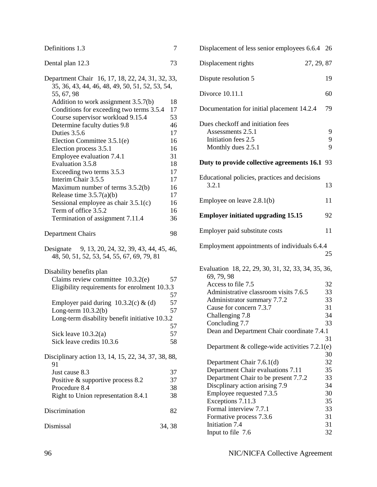| Definitions 1.3                                                                                                                                                                                                                                                                                                                                                                                                                                                                                             | 7                                                                                            |
|-------------------------------------------------------------------------------------------------------------------------------------------------------------------------------------------------------------------------------------------------------------------------------------------------------------------------------------------------------------------------------------------------------------------------------------------------------------------------------------------------------------|----------------------------------------------------------------------------------------------|
| Dental plan 12.3                                                                                                                                                                                                                                                                                                                                                                                                                                                                                            | 73                                                                                           |
| Department Chair 16, 17, 18, 22, 24, 31, 32, 33,<br>35, 36, 43, 44, 46, 48, 49, 50, 51, 52, 53, 54,<br>55, 67, 98                                                                                                                                                                                                                                                                                                                                                                                           |                                                                                              |
| Addition to work assignment 3.5.7(b)<br>Conditions for exceeding two terms 3.5.4<br>Course supervisor workload 9.15.4<br>Determine faculty duties 9.8<br>Duties 3.5.6<br>Election Committee 3.5.1(e)<br>Election process 3.5.1<br>Employee evaluation 7.4.1<br>Evaluation 3.5.8<br>Exceeding two terms 3.5.3<br>Interim Chair 3.5.5<br>Maximum number of terms 3.5.2(b)<br>Release time $3.5.7(a)(b)$<br>Sessional employee as chair $3.5.1(c)$<br>Term of office 3.5.2<br>Termination of assignment 7.11.4 | 18<br>17<br>53<br>46<br>17<br>16<br>16<br>31<br>18<br>17<br>17<br>16<br>17<br>16<br>16<br>36 |
| <b>Department Chairs</b>                                                                                                                                                                                                                                                                                                                                                                                                                                                                                    | 98                                                                                           |
| Designate 9, 13, 20, 24, 32, 39, 43, 44, 45, 46,<br>48, 50, 51, 52, 53, 54, 55, 67, 69, 79, 81                                                                                                                                                                                                                                                                                                                                                                                                              |                                                                                              |
| Disability benefits plan<br>Claims review committee $10.3.2(e)$<br>Eligibility requirements for enrolment 10.3.3                                                                                                                                                                                                                                                                                                                                                                                            | 57<br>57                                                                                     |
| Employer paid during $10.3.2(c)$ & (d)<br>Long-term $10.3.2(b)$<br>Long-term disability benefit initiative 10.3.2                                                                                                                                                                                                                                                                                                                                                                                           | 57<br>57<br>57                                                                               |
| Sick leave $10.3.2(a)$<br>Sick leave credits 10.3.6                                                                                                                                                                                                                                                                                                                                                                                                                                                         | 57<br>58                                                                                     |
| Disciplinary action 13, 14, 15, 22, 34, 37, 38, 88,<br>91<br>Just cause 8.3<br>Positive & supportive process 8.2<br>Procedure 8.4<br>Right to Union representation 8.4.1                                                                                                                                                                                                                                                                                                                                    | 37<br>37<br>38<br>38                                                                         |
| Discrimination                                                                                                                                                                                                                                                                                                                                                                                                                                                                                              | 82                                                                                           |
| Dismissal                                                                                                                                                                                                                                                                                                                                                                                                                                                                                                   | 34, 38                                                                                       |

| Displacement of less senior employees 6.6.4 26                                                      |             |
|-----------------------------------------------------------------------------------------------------|-------------|
| 27, 29, 87<br>Displacement rights                                                                   |             |
| Dispute resolution 5                                                                                | 19          |
| Divorce 10.11.1                                                                                     | 60          |
| Documentation for initial placement 14.2.4                                                          | 79          |
| Dues checkoff and initiation fees<br>Assessments 2.5.1<br>Initiation fees 2.5<br>Monthly dues 2.5.1 | 9<br>9<br>9 |
| Duty to provide collective agreements 16.1 93                                                       |             |
| Educational policies, practices and decisions<br>3.2.1                                              | 13          |
| Employee on leave $2.8.1(b)$                                                                        | 11          |
| <b>Employer initiated upgrading 15.15</b>                                                           | 92          |
| Employer paid substitute costs                                                                      | 11          |
| Employment appointments of individuals 6.4.4                                                        | 25          |
| Evaluation 18, 22, 29, 30, 31, 32, 33, 34, 35, 36,<br>69, 79, 98                                    |             |
| Access to file 7.5                                                                                  | 32          |
| Administrative classroom visits 7.6.5                                                               | 33          |
| Administrator summary 7.7.2                                                                         | 33          |
| Cause for concern 7.3.7                                                                             | 31          |
| Challenging 7.8                                                                                     | 34          |
| Concluding 7.7                                                                                      | 33          |
| Dean and Department Chair coordinate 7.4.1                                                          | 31          |
| Department $&$ college-wide activities $7.2.1(e)$                                                   | 30          |
| Department Chair 7.6.1(d)                                                                           | 32          |
| Department Chair evaluations 7.11                                                                   | 35          |
| Department Chair to be present 7.7.2                                                                | 33          |
| Discplinary action arising 7.9                                                                      | 34          |
| Employee requested 7.3.5                                                                            | 30          |
| Exceptions 7.11.3                                                                                   | 35          |
| Formal interview 7.7.1                                                                              | 33          |
| Formative process 7.3.6                                                                             | 31          |
| Initiation 7.4<br>Input to file 7.6                                                                 | 31<br>32    |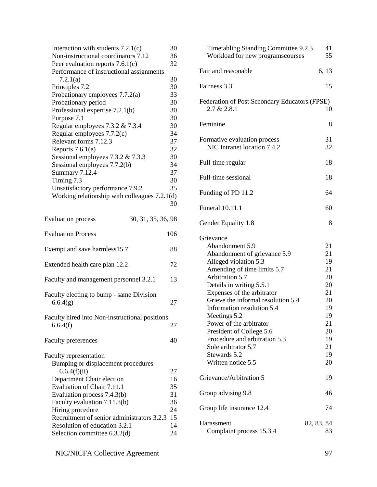| Interaction with students $7.2.1(c)$<br>Non-instructional coordinators 7.12 | 30<br>36 |
|-----------------------------------------------------------------------------|----------|
|                                                                             |          |
| Peer evaluation reports $7.6.1(c)$                                          | 32       |
| Performance of instructional assignments                                    | 30       |
| 7.2.1(a)                                                                    | 30       |
| Principles 7.2                                                              | 33       |
| Probationary employees 7.7.2(a)                                             |          |
| Probationary period                                                         | 30       |
| Professional expertise 7.2.1(b)                                             | 30       |
| Purpose 7.1                                                                 | 30       |
| Regular employees $7.3.2 \& 7.3.4$                                          | 30       |
| Regular employees $7.7.2(c)$                                                | 34       |
| Relevant forms 7.12.3                                                       | 37       |
| Reports $7.6.1(e)$                                                          | 32       |
| Sessional employees $7.3.2 \& 7.3.3$                                        | 30       |
| Sessional employees 7.7.2(b)                                                | 34       |
| <b>Summary 7.12.4</b>                                                       | 37       |
| Timing 7.3                                                                  | 30       |
| Unsatisfactory performance 7.9.2                                            | 35       |
| Working relationship with colleagues $7.2.1(d)$                             |          |
|                                                                             | 30       |
| <b>Evaluation process</b><br>30, 31, 35, 36, 98                             |          |
| <b>Evaluation Process</b>                                                   | 106      |
| Exempt and save harmless15.7                                                | 88       |
| Extended health care plan 12.2                                              | 72       |
| Faculty and management personnel 3.2.1                                      | 13       |
| Faculty electing to bump - same Division<br>6.6.4(g)                        | 27       |
| Faculty hired into Non-instructional positions<br>6.6.4(f)                  | 27       |
| <b>Faculty preferences</b>                                                  | 40       |
| <b>Faculty representation</b><br>Bumping or displacement procedures         |          |
| 6.6.4(f)(ii)                                                                | 27       |
| Department Chair election                                                   | 16       |
| Evaluation of Chair 7.11.1                                                  | 35       |
| Evaluation process 7.4.3(b)                                                 | 31       |
| Faculty evaluation 7.11.3(b)                                                | 36       |
| Hiring procedure                                                            | 24       |
| Recruitment of senior administrators 3.2.3                                  | 15       |
| Resolution of education 3.2.1                                               | 14       |
| Selection committee 6.3.2(d)                                                | 24       |
|                                                                             |          |

| Timetabling Standing Committee 9.2.3<br>Workload for new programscourses                                                                                                                                                                                                                                                                                                                                                                   | 41<br>55                                                                                     |
|--------------------------------------------------------------------------------------------------------------------------------------------------------------------------------------------------------------------------------------------------------------------------------------------------------------------------------------------------------------------------------------------------------------------------------------------|----------------------------------------------------------------------------------------------|
| Fair and reasonable                                                                                                                                                                                                                                                                                                                                                                                                                        | 6, 13                                                                                        |
| Fairness 3.3                                                                                                                                                                                                                                                                                                                                                                                                                               | 15                                                                                           |
| <b>Federation of Post Secondary Educators (FPSE)</b><br>2.7 & 2.8.1                                                                                                                                                                                                                                                                                                                                                                        | 10                                                                                           |
| Feminine                                                                                                                                                                                                                                                                                                                                                                                                                                   | 8                                                                                            |
| Formative evaluation process<br>NIC Intranet location 7.4.2                                                                                                                                                                                                                                                                                                                                                                                | 31<br>32                                                                                     |
| Full-time regular                                                                                                                                                                                                                                                                                                                                                                                                                          | 18                                                                                           |
| Full-time sessional                                                                                                                                                                                                                                                                                                                                                                                                                        | 18                                                                                           |
| Funding of PD 11.2                                                                                                                                                                                                                                                                                                                                                                                                                         | 64                                                                                           |
| <b>Funeral 10.11.1</b>                                                                                                                                                                                                                                                                                                                                                                                                                     | 60                                                                                           |
| Gender Equality 1.8                                                                                                                                                                                                                                                                                                                                                                                                                        | 8                                                                                            |
| Grievance<br>Abandonment 5.9<br>Abandonment of grievance 5.9<br>Alleged violation 5.3<br>Amending of time limits 5.7<br>Arbitration 5.7<br>Details in writing 5.5.1<br>Expenses of the arbitrator<br>Grieve the informal resolution 5.4<br>Information resolution 5.4<br>Meetings 5.2<br>Power of the arbitrator<br>President of College 5.6<br>Procedure and arbitration 5.3<br>Sole aribtrator 5.7<br>Stewards 5.2<br>Written notice 5.5 | 21<br>21<br>19<br>21<br>20<br>20<br>21<br>20<br>19<br>19<br>21<br>20<br>19<br>21<br>19<br>20 |
| Grievance/Arbitration 5                                                                                                                                                                                                                                                                                                                                                                                                                    | 19                                                                                           |
| Group advising 9.8                                                                                                                                                                                                                                                                                                                                                                                                                         | 46                                                                                           |
| Group life insurance 12.4                                                                                                                                                                                                                                                                                                                                                                                                                  | 74                                                                                           |
| Harassment<br>Complaint process 15.3.4                                                                                                                                                                                                                                                                                                                                                                                                     | 82, 83, 84<br>83                                                                             |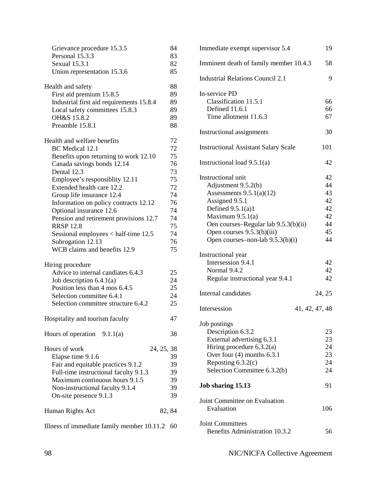| Grievance procedure 15.3.5<br>Personal 15.3.3                      | 84<br>83 |
|--------------------------------------------------------------------|----------|
| Sexual 15.3.1                                                      | 82       |
| Union representation 15.3.6                                        | 85       |
| Health and safety                                                  | 88       |
| First aid premium 15.8.5                                           | 89       |
| Industrial first aid requirements 15.8.4                           | 89       |
| Local safety committees 15.8.3                                     | 89       |
| OH&S 15.8.2                                                        | 89       |
| Preamble 15.8.1                                                    | 88       |
| Health and welfare benefits                                        | 72       |
| BC Medical 12.1                                                    | 72       |
| Benefits upon returning to work 12.10                              | 75       |
| Canada savings bonds 12.14                                         | 76       |
| Dental 12.3                                                        | 73       |
| Employee's responsiblity 12.11                                     | 75       |
| Extended health care 12.2                                          | 72       |
| Group life insurance 12.4<br>Information on policy contracts 12.12 | 74<br>76 |
| Optional insurance 12.6                                            | 74       |
| Pension and retirement provisions 12.7                             | 74       |
| <b>RRSP 12.8</b>                                                   | 75       |
| Sessional employees $<$ half-time 12.5                             | 74       |
| Subrogation 12.13                                                  | 76       |
| WCB claims and benefits 12.9                                       | 75       |
| Hiring procedure                                                   |          |
| Advice to internal candiates 6.4.3                                 | 25       |
| Job description $6.4.1(a)$                                         | 24       |
| Position less than 4 mos 6.4.5                                     | 25       |
| Selection committee 6.4.1                                          | 24       |
| Selection committee structure 6.4.2                                | 25       |
| Hospitality and tourism faculty                                    | 47       |
| Hours of operation $9.1.1(a)$                                      | 38       |
| Hours of work<br>24, 25, 38                                        |          |
| Elapse time 9.1.6                                                  | 39       |
| Fair and equitable practices 9.1.2                                 | 39       |
| Full-time instructional faculty 9.1.3                              | 39       |
| Maximum continuous hours 9.1.5                                     | 39       |
| Non-instructional faculty 9.1.4                                    | 39       |
| On-site presence 9.1.3                                             | 39       |
| Human Rights Act                                                   | 82, 84   |
| Illness of immediate family member 10.11.2                         | 60       |

| Immediate exempt supervisor 5.4             | 19             |
|---------------------------------------------|----------------|
| Imminent death of family member 10.4.3      | 58             |
| <b>Industrial Relations Council 2.1</b>     | 9              |
| In-service PD                               |                |
| Classification 11.5.1                       | 66             |
| Defined 11.6.1                              | 66             |
| Time allotment 11.6.3                       | 67             |
| Instructional assignments                   | 30             |
| <b>Instructional Assistant Salary Scale</b> | 101            |
| Instructional load $9.5.1(a)$               | 42             |
| Instructional unit                          | 42             |
| Adjustment 9.5.2(b)                         | 44             |
| Assessments $9.5.1(a)(12)$                  | 43             |
| Assigned 9.5.1                              | 42             |
| Defined $9.5.1(a)1$                         | 42             |
| Maximum $9.5.1(a)$                          | 42             |
| Oen courses-Regular lab 9.5.3(b)(ii)        | 44             |
| Open courses 9.5.3(b)(iii)                  | 45             |
| Open courses-non-lab 9.5.3(b)(i)            | 44             |
| Instructional year                          |                |
| Intersession 9.4.1                          | 42             |
| Normal 9.4.2                                | 42             |
| Regular instructional year 9.4.1            | 42             |
| Internal candidates                         | 24, 25         |
| Intersession                                | 41, 42, 47, 48 |
| Job postings                                |                |
| Description 6.3.2                           | 23             |
| External advertising 6.3.1                  | 23             |
| Hiring procedure $6.3.2(a)$                 | 24             |
| Over four $(4)$ months 6.3.1                | 23             |
| Reposting $6.3.2(c)$                        | 24             |
| Selection Committee 6.3.2(b)                | 24             |
| Job sharing 15.13                           | 91             |
| Joint Committee on Evaluation               |                |
| Evaluation                                  | 106            |
| <b>Joint Committees</b>                     |                |
| <b>Benefits Administration 10.3.2</b>       | 56             |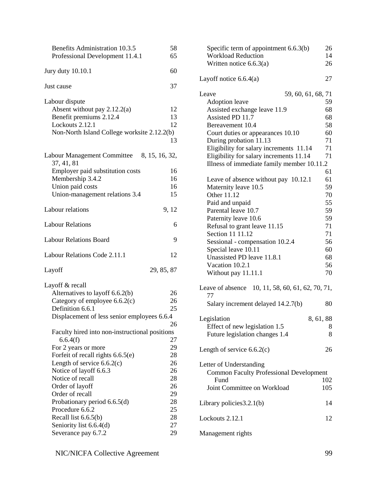| <b>Benefits Administration 10.3.5</b><br>Professional Development 11.4.1 | 58<br>65   |
|--------------------------------------------------------------------------|------------|
| Jury duty 10.10.1                                                        | 60         |
| Just cause                                                               | 37         |
| Labour dispute                                                           |            |
| Absent without pay $2.12.2(a)$                                           | 12         |
| Benefit premiums 2.12.4                                                  | 13         |
| Lockouts 2.12.1                                                          | 12         |
| Non-North Island College worksite 2.12.2(b)                              |            |
|                                                                          | 13         |
| Labour Management Committee 8, 15, 16, 32,<br>37, 41, 81                 |            |
| Employer paid substitution costs                                         | 16         |
| Membership 3.4.2                                                         | 16         |
| Union paid costs                                                         | 16         |
| Union-management relations 3.4                                           | 15         |
| Labour relations                                                         | 9, 12      |
| <b>Labour Relations</b>                                                  | 6          |
| <b>Labour Relations Board</b>                                            | 9          |
| Labour Relations Code 2.11.1                                             | 12         |
| Layoff                                                                   | 29, 85, 87 |
| Layoff & recall                                                          |            |
| Alternatives to layoff 6.6.2(b)                                          | 26         |
| Category of employee $6.6.2(c)$                                          | 26         |
| Definition 6.6.1                                                         | 25         |
| Displacement of less senior employees 6.6.4                              |            |
|                                                                          | 26         |
| Faculty hired into non-instructional positions                           |            |
| 6.6.4(f)                                                                 | 27         |
| For 2 years or more                                                      | 29         |
| Forfeit of recall rights 6.6.5(e)                                        | 28         |
| Length of service $6.6.2(c)$                                             | 26         |
| Notice of layoff 6.6.3                                                   | 26         |
| Notice of recall                                                         | 28         |
| Order of layoff                                                          | 26         |
| Order of recall                                                          | 29         |
| Probationary period 6.6.5(d)                                             | 28         |
| Procedure 6.6.2                                                          | 25         |
| Recall list $6.6.5(b)$                                                   | 28         |
| Seniority list 6.6.4(d)                                                  | 27         |
| Severance pay 6.7.2                                                      | 29         |

| Specific term of appointment $6.6.3(b)$<br><b>Workload Reduction</b><br>Written notice $6.6.3(a)$ | 26<br>14<br>26 |
|---------------------------------------------------------------------------------------------------|----------------|
| Layoff notice $6.6.4(a)$                                                                          | 27             |
| Leave<br>59, 60, 61, 68, 71                                                                       |                |
| <b>Adoption</b> leave                                                                             | 59             |
| Assisted exchange leave 11.9                                                                      | 68             |
| Assisted PD 11.7                                                                                  | 68             |
| Bereavement 10.4                                                                                  | 58             |
| Court duties or appearances 10.10                                                                 | 60             |
| During probation 11.13                                                                            | 71             |
| Eligibility for salary increments 11.14                                                           | 71<br>71       |
| Eligibility for salary increments 11.14                                                           |                |
| Illness of immediate family member 10.11.2                                                        | 61             |
|                                                                                                   | 61             |
| Leave of absence without pay 10.12.1                                                              |                |
| Maternity leave 10.5                                                                              | 59             |
| Other 11.12                                                                                       | 70             |
| Paid and unpaid                                                                                   | 55             |
| Parental leave 10.7                                                                               | 59             |
| Paternity leave 10.6                                                                              | 59             |
| Refusal to grant leave 11.15                                                                      | 71             |
| Section 11 11.12                                                                                  | 71             |
| Sessional - compensation 10.2.4                                                                   | 56             |
| Special leave 10.11                                                                               | 60             |
| Unassisted PD leave 11.8.1                                                                        | 68             |
| Vacation 10.2.1                                                                                   | 56             |
| Without pay 11.11.1                                                                               | 70             |
| Leave of absence $10, 11, 58, 60, 61, 62, 70, 71,$<br>77                                          |                |
| Salary increment delayed 14.2.7(b)                                                                | 80             |
| Legislation<br>8, 61, 88                                                                          |                |
| Effect of new legislation 1.5                                                                     | 8              |
| Future legislation changes 1.4                                                                    | 8              |
| Length of service $6.6.2(c)$                                                                      | 26             |
|                                                                                                   |                |
| Letter of Understanding                                                                           |                |
| <b>Common Faculty Professional Development</b><br>Fund                                            | 102            |
| Joint Committee on Workload                                                                       | 105            |
|                                                                                                   |                |
| Library policies 3.2.1(b)                                                                         | 14             |
| Lockouts 2.12.1                                                                                   | 12             |
| Management rights                                                                                 |                |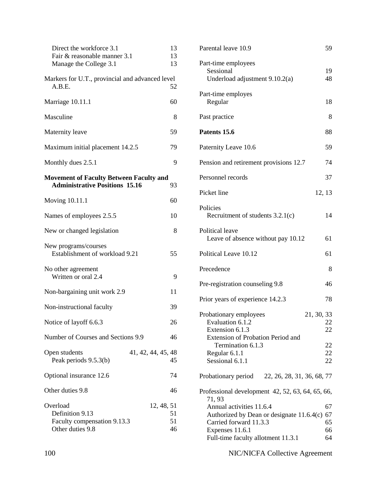| Direct the workforce 3.1<br>Fair & reasonable manner 3.1<br>Manage the College 3.1           | 13<br>13<br>13 |
|----------------------------------------------------------------------------------------------|----------------|
| Markers for U.T., provincial and advanced level<br>A.B.E.                                    | 52             |
| Marriage 10.11.1                                                                             | 60             |
| Masculine                                                                                    | 8              |
| Maternity leave                                                                              | 59             |
| Maximum initial placement 14.2.5                                                             | 79             |
| Monthly dues 2.5.1                                                                           | 9              |
| <b>Movement of Faculty Between Faculty and</b><br><b>Administrative Positions 15.16</b>      | 93             |
| Moving 10.11.1                                                                               | 60             |
| Names of employees 2.5.5                                                                     | 10             |
| New or changed legislation                                                                   | 8              |
| New programs/courses<br>Establishment of workload 9.21                                       | 55             |
| No other agreement<br>Written or oral 2.4                                                    | 9              |
| Non-bargaining unit work 2.9                                                                 | 11             |
| Non-instructional faculty                                                                    | 39             |
| Notice of layoff 6.6.3                                                                       | 26             |
| Number of Courses and Sections 9.9                                                           | 46             |
| 41, 42, 44, 45, 48<br>Open students<br>Peak periods 9.5.3(b)                                 | 45             |
| Optional insurance 12.6                                                                      | 74             |
| Other duties 9.8                                                                             | 46             |
| Overload<br>12, 48, 51<br>Definition 9.13<br>Faculty compensation 9.13.3<br>Other duties 9.8 | 51<br>51<br>46 |

| Parental leave 10.9                                                                                                                                                       | 59                         |
|---------------------------------------------------------------------------------------------------------------------------------------------------------------------------|----------------------------|
| Part-time employees<br>Sessional<br>Underload adjustment $9.10.2(a)$                                                                                                      | 19<br>48                   |
| Part-time employes<br>Regular                                                                                                                                             | 18                         |
| Past practice                                                                                                                                                             | 8                          |
| Patents 15.6                                                                                                                                                              | 88                         |
| Paternity Leave 10.6                                                                                                                                                      | 59                         |
| Pension and retirement provisions 12.7                                                                                                                                    | 74                         |
| Personnel records                                                                                                                                                         | 37                         |
| Picket line                                                                                                                                                               | 12, 13                     |
| Policies<br>Recruitment of students $3.2.1(c)$                                                                                                                            | 14                         |
| Political leave<br>Leave of absence without pay 10.12                                                                                                                     | 61                         |
| Political Leave 10.12                                                                                                                                                     | 61                         |
| Precedence                                                                                                                                                                | 8                          |
| Pre-registration counseling 9.8                                                                                                                                           | 46                         |
| Prior years of experience 14.2.3                                                                                                                                          | 78                         |
| 21, 30, 33<br>Probationary employees<br>Evaluation 6.1.2<br>Extension 6.1.3<br>Extension of Probation Period and<br>Termination 6.1.3<br>Regular 6.1.1<br>Sessional 6.1.1 | 22<br>22<br>22<br>22<br>22 |
| Probationary period 22, 26, 28, 31, 36, 68, 77                                                                                                                            |                            |
| Professional development 42, 52, 63, 64, 65, 66,<br>71, 93                                                                                                                |                            |
| Annual activities 11.6.4<br>Authorized by Dean or designate 11.6.4(c)<br>Carried forward 11.3.3<br>Expenses 11.6.1<br>Full-time faculty allotment 11.3.1                  | 67<br>67<br>65<br>66<br>64 |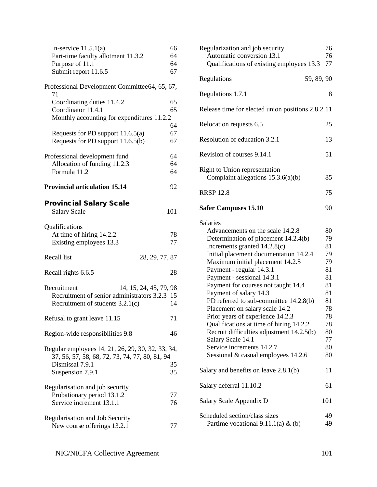| In-service $11.5.1(a)$<br>Part-time faculty allotment 11.3.2                                                              | 66<br>64 |
|---------------------------------------------------------------------------------------------------------------------------|----------|
| Purpose of 11.1                                                                                                           | 64       |
| Submit report 11.6.5                                                                                                      | 67       |
| Professional Development Committee64, 65, 67,                                                                             |          |
| 71<br>Coordinating duties 11.4.2                                                                                          | 65       |
| Coordinator 11.4.1                                                                                                        | 65       |
| Monthly accounting for expenditures 11.2.2                                                                                |          |
|                                                                                                                           | 64       |
| Requests for PD support 11.6.5(a)                                                                                         | 67       |
| Requests for PD support 11.6.5(b)                                                                                         | 67       |
|                                                                                                                           |          |
| Professional development fund                                                                                             | 64<br>64 |
| Allocation of funding 11.2.3<br>Formula 11.2                                                                              | 64       |
|                                                                                                                           |          |
| <b>Provincial articulation 15.14</b>                                                                                      | 92       |
| <b>Provincial Salary Scale</b><br><b>Salary Scale</b>                                                                     | 101      |
| Qualifications<br>At time of hiring 14.2.2<br>Existing employees 13.3                                                     | 78<br>77 |
| Recall list<br>28, 29, 77, 87                                                                                             |          |
| Recall rights 6.6.5                                                                                                       | 28       |
| Recruitment<br>14, 15, 24, 45, 79, 98<br>Recruitment of senior administrators 3.2.3<br>Recruitment of students $3.2.1(c)$ | 15<br>14 |
| Refusal to grant leave 11.15                                                                                              | 71       |
| Region-wide responsibilities 9.8                                                                                          | 46       |
| Regular employees 14, 21, 26, 29, 30, 32, 33, 34,<br>37, 56, 57, 58, 68, 72, 73, 74, 77, 80, 81, 94                       |          |
| Dismissal 7.9.1<br>Suspension 7.9.1                                                                                       | 35<br>35 |
| Regularisation and job security                                                                                           |          |
| Probationary period 13.1.2<br>Service increment 13.1.1                                                                    | 77<br>76 |
|                                                                                                                           |          |
| Regularisation and Job Security<br>New course offerings 13.2.1                                                            | 77       |

| Regularization and job security<br>Automatic conversion 13.1<br>Qualifications of existing employees 13.3                                                                                                                                                                                                                                                                                                                                                                                                                                                                                                                             | 76<br>76<br>77                                                                                     |
|---------------------------------------------------------------------------------------------------------------------------------------------------------------------------------------------------------------------------------------------------------------------------------------------------------------------------------------------------------------------------------------------------------------------------------------------------------------------------------------------------------------------------------------------------------------------------------------------------------------------------------------|----------------------------------------------------------------------------------------------------|
| 59, 89, 90<br>Regulations                                                                                                                                                                                                                                                                                                                                                                                                                                                                                                                                                                                                             |                                                                                                    |
| Regulations 1.7.1                                                                                                                                                                                                                                                                                                                                                                                                                                                                                                                                                                                                                     | 8                                                                                                  |
| Release time for elected union positions 2.8.2 11                                                                                                                                                                                                                                                                                                                                                                                                                                                                                                                                                                                     |                                                                                                    |
| Relocation requests 6.5                                                                                                                                                                                                                                                                                                                                                                                                                                                                                                                                                                                                               | 25                                                                                                 |
| Resolution of education 3.2.1                                                                                                                                                                                                                                                                                                                                                                                                                                                                                                                                                                                                         | 13                                                                                                 |
| Revision of courses 9.14.1                                                                                                                                                                                                                                                                                                                                                                                                                                                                                                                                                                                                            | 51                                                                                                 |
| Right to Union representation<br>Complaint allegations $15.3.6(a)(b)$                                                                                                                                                                                                                                                                                                                                                                                                                                                                                                                                                                 | 85                                                                                                 |
| <b>RRSP 12.8</b>                                                                                                                                                                                                                                                                                                                                                                                                                                                                                                                                                                                                                      | 75                                                                                                 |
| <b>Safer Campuses 15.10</b>                                                                                                                                                                                                                                                                                                                                                                                                                                                                                                                                                                                                           | 90                                                                                                 |
| <b>Salaries</b><br>Advancements on the scale 14.2.8<br>Determination of placement 14.2.4(b)<br>Increments granted 14.2.8(c)<br>Initial placement documentation 14.2.4<br>Maximum initial placement 14.2.5<br>Payment - regular 14.3.1<br>Payment - sessional 14.3.1<br>Payment for courses not taught 14.4<br>Payment of salary 14.3<br>PD referred to sub-committee 14.2.8(b)<br>Placement on salary scale 14.2<br>Prior years of experience 14.2.3<br>Qualifications at time of hiring 14.2.2<br>Recruit difficulties adjustment 14.2.5(b)<br>Salary Scale 14.1<br>Service increments 14.2.7<br>Sessional & casual employees 14.2.6 | 80<br>79<br>81<br>79<br>79<br>81<br>81<br>81<br>81<br>81<br>78<br>78<br>78<br>80<br>77<br>80<br>80 |
| Salary and benefits on leave $2.8.1(b)$                                                                                                                                                                                                                                                                                                                                                                                                                                                                                                                                                                                               | 11                                                                                                 |
| Salary deferral 11.10.2                                                                                                                                                                                                                                                                                                                                                                                                                                                                                                                                                                                                               | 61                                                                                                 |
| Salary Scale Appendix D                                                                                                                                                                                                                                                                                                                                                                                                                                                                                                                                                                                                               | 101                                                                                                |
| Scheduled section/class sizes<br>Partime vocational $9.11.1(a)$ & (b)                                                                                                                                                                                                                                                                                                                                                                                                                                                                                                                                                                 | 49<br>49                                                                                           |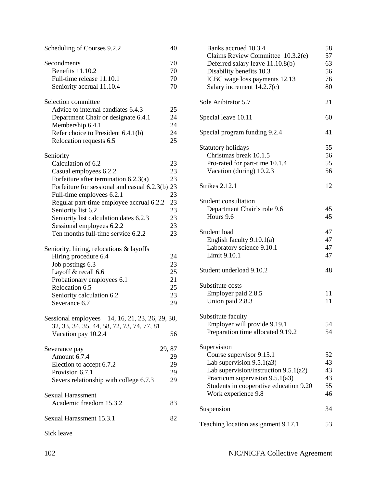| Scheduling of Courses 9.2.2                                                                   | 40     |
|-----------------------------------------------------------------------------------------------|--------|
| Secondments                                                                                   | 70     |
| Benefits 11.10.2                                                                              | 70     |
| Full-time release 11.10.1                                                                     | 70     |
| Seniority accrual 11.10.4                                                                     | 70     |
| Selection committee                                                                           |        |
| Advice to internal candiates 6.4.3                                                            | 25     |
| Department Chair or designate 6.4.1                                                           | 24     |
| Membership 6.4.1                                                                              | 24     |
| Refer choice to President 6.4.1(b)                                                            | 24     |
| Relocation requests 6.5                                                                       | 25     |
| Seniority                                                                                     |        |
| Calculation of 6.2                                                                            | 23     |
| Casual employees 6.2.2                                                                        | 23     |
| Forfeiture after termination $6.2.3(a)$                                                       | 23     |
| Forfeiture for sessional and casual 6.2.3(b) 23                                               |        |
| Full-time employees 6.2.1                                                                     | 23     |
| Regular part-time employee accrual 6.2.2                                                      | 23     |
| Seniority list 6.2                                                                            | 23     |
| Seniority list calculation dates 6.2.3                                                        | 23     |
| Sessional employees 6.2.2                                                                     | 23     |
| Ten months full-time service 6.2.2                                                            | 23     |
| Seniority, hiring, relocations & layoffs                                                      |        |
| Hiring procedure 6.4                                                                          | 24     |
| Job postings 6.3                                                                              | 23     |
| Layoff & recall 6.6                                                                           | 25     |
| Probationary employees 6.1                                                                    | 21     |
| Relocation 6.5                                                                                | 25     |
| Seniority calculation 6.2                                                                     | 23     |
| Severance 6.7                                                                                 | 29     |
| Sessional employees 14, 16, 21, 23, 26, 29, 30,<br>32, 33, 34, 35, 44, 58, 72, 73, 74, 77, 81 |        |
| Vacation pay 10.2.4                                                                           | 56     |
| Severance pay                                                                                 | 29, 87 |
| Amount 6.7.4                                                                                  | 29     |
| Election to accept 6.7.2                                                                      | 29     |
| Provision 6.7.1                                                                               | 29     |
| Severs relationship with college 6.7.3                                                        | 29     |
| <b>Sexual Harassment</b>                                                                      |        |
| Academic freedom 15.3.2                                                                       | 83     |
| Sexual Harassment 15.3.1                                                                      | 82     |
| Sick leave                                                                                    |        |

| Banks accrued 10.3.4<br>Claims Review Committee 10.3.2(e) | 58<br>57 |
|-----------------------------------------------------------|----------|
| Deferred salary leave 11.10.8(b)                          | 63       |
| Disability benefits 10.3                                  | 56       |
| ICBC wage loss payments 12.13                             | 76       |
| Salary increment $14.2.7(c)$                              | 80       |
| Sole Aribtrator 5.7                                       | 21       |
| Special leave 10.11                                       | 60       |
| Special program funding 9.2.4                             | 41       |
| Statutory holidays                                        | 55       |
| Christmas break 10.1.5                                    | 56       |
| Pro-rated for part-time 10.1.4                            | 55       |
| Vacation (during) 10.2.3                                  | 56       |
| <b>Strikes 2.12.1</b>                                     | 12       |
| Student consultation                                      |          |
| Department Chair's role 9.6                               | 45       |
| Hours 9.6                                                 | 45       |
| Student load                                              | 47       |
| English faculty $9.10.1(a)$                               | 47       |
| Laboratory science 9.10.1                                 | 47       |
| Limit 9.10.1                                              | 47       |
| Student underload 9.10.2                                  | 48       |
| Substitute costs                                          |          |
| Employer paid 2.8.5                                       | 11       |
| Union paid 2.8.3                                          | 11       |
| Substitute faculty                                        |          |
| Employer will provide 9.19.1                              | 54       |
| Preparation time allocated 9.19.2                         | 54       |
| Supervision                                               |          |
| Course supervisor 9.15.1                                  | 52       |
| Lab supervision 9.5.1(a3)                                 | 43       |
| Lab supervision/instruction $9.5.1(a2)$                   | 43       |
| Practicum supervision 9.5.1(a3)                           | 43       |
| Students in cooperative education 9.20                    | 55       |
| Work experience 9.8                                       | 46       |
| Suspension                                                | 34       |
| Teaching location assignment 9.17.1                       | 53       |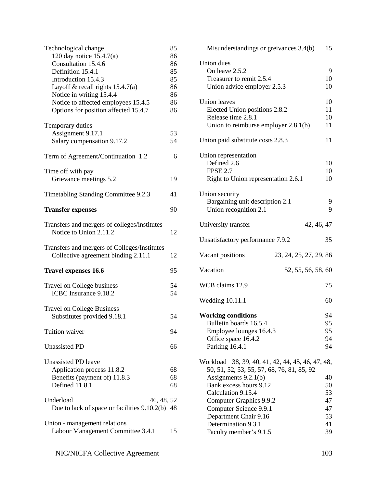| Technological change<br>120 day notice 15.4.7(a)<br>Consultation 15.4.6<br>Definition 15.4.1<br>Introduction 15.4.3<br>Layoff & recall rights $15.4.7(a)$<br>Notice in writing 15.4.4<br>Notice to affected employees 15.4.5<br>Options for position affected 15.4.7 | 85<br>86<br>86<br>85<br>85<br>86<br>86<br>86<br>86 |
|----------------------------------------------------------------------------------------------------------------------------------------------------------------------------------------------------------------------------------------------------------------------|----------------------------------------------------|
| Temporary duties<br>Assignment 9.17.1<br>Salary compensation 9.17.2                                                                                                                                                                                                  | 53<br>54                                           |
| Term of Agreement/Continuation 1.2                                                                                                                                                                                                                                   | 6                                                  |
| Time off with pay<br>Grievance meetings 5.2                                                                                                                                                                                                                          | 19                                                 |
| Timetabling Standing Committee 9.2.3                                                                                                                                                                                                                                 | 41                                                 |
| <b>Transfer expenses</b>                                                                                                                                                                                                                                             | 90                                                 |
| Transfers and mergers of colleges/institutes<br>Notice to Union 2.11.2                                                                                                                                                                                               | 12                                                 |
| Transfers and mergers of Colleges/Institutes<br>Collective agreement binding 2.11.1                                                                                                                                                                                  | 12                                                 |
| <b>Travel expenses 16.6</b>                                                                                                                                                                                                                                          | 95                                                 |
| Travel on College business<br>ICBC Insurance 9.18.2                                                                                                                                                                                                                  | 54<br>54                                           |
| <b>Travel on College Business</b><br>Substitutes provided 9.18.1                                                                                                                                                                                                     | 54                                                 |
| Tuition waiver                                                                                                                                                                                                                                                       | 94                                                 |
| <b>Unassisted PD</b>                                                                                                                                                                                                                                                 | 66                                                 |
| Unassisted PD leave<br>Application process 11.8.2<br>Benefits (payment of) 11.8.3<br>Defined 11.8.1                                                                                                                                                                  | 68<br>68<br>68                                     |
| Underload<br>46, 48, 52<br>Due to lack of space or facilities 9.10.2(b) 48                                                                                                                                                                                           |                                                    |
| Union - management relations<br>Labour Management Committee 3.4.1                                                                                                                                                                                                    | 15                                                 |

| Misunderstandings or greivances 3.4(b)                                                         | 15       |
|------------------------------------------------------------------------------------------------|----------|
| Union dues<br>On leave 2.5.2<br>Treasurer to remit 2.5.4                                       | 9<br>10  |
| Union advice employer 2.5.3                                                                    | 10       |
| <b>Union</b> leaves                                                                            | 10       |
| Elected Union positions 2.8.2                                                                  | 11       |
| Release time 2.8.1                                                                             | 10       |
| Union to reimburse employer $2.8.1(b)$                                                         | 11       |
| Union paid substitute costs 2.8.3                                                              | 11       |
| Union representation                                                                           |          |
| Defined 2.6                                                                                    | 10       |
| <b>FPSE 2.7</b><br>Right to Union representation 2.6.1                                         | 10<br>10 |
|                                                                                                |          |
| Union security                                                                                 |          |
| Bargaining unit description 2.1<br>Union recognition 2.1                                       | 9<br>9   |
|                                                                                                |          |
| University transfer<br>42, 46, 47                                                              |          |
| Unsatisfactory performance 7.9.2                                                               | 35       |
| Vacant positions<br>23, 24, 25, 27, 29, 86                                                     |          |
| Vacation<br>52, 55, 56, 58, 60                                                                 |          |
| WCB claims 12.9                                                                                | 75       |
| <b>Wedding 10.11.1</b>                                                                         | 60       |
|                                                                                                |          |
| <b>Working conditions</b><br>Bulletin boards 16.5.4                                            | 94<br>95 |
| Employee lounges 16.4.3                                                                        | 95       |
| Office space 16.4.2                                                                            | 94       |
| Parking 16.4.1                                                                                 | 94       |
| Workload 38, 39, 40, 41, 42, 44, 45, 46, 47, 48,<br>50, 51, 52, 53, 55, 57, 68, 76, 81, 85, 92 |          |
| Assignments $9.2.1(b)$                                                                         | 40       |
| Bank excess hours 9.12                                                                         | 50       |
| Calculation 9.15.4                                                                             | 53       |
| Computer Graphics 9.9.2                                                                        | 47       |
| Computer Science 9.9.1                                                                         | 47       |
| Department Chair 9.16<br>Determination 9.3.1                                                   | 53<br>41 |
| Faculty member's 9.1.5                                                                         | 39       |